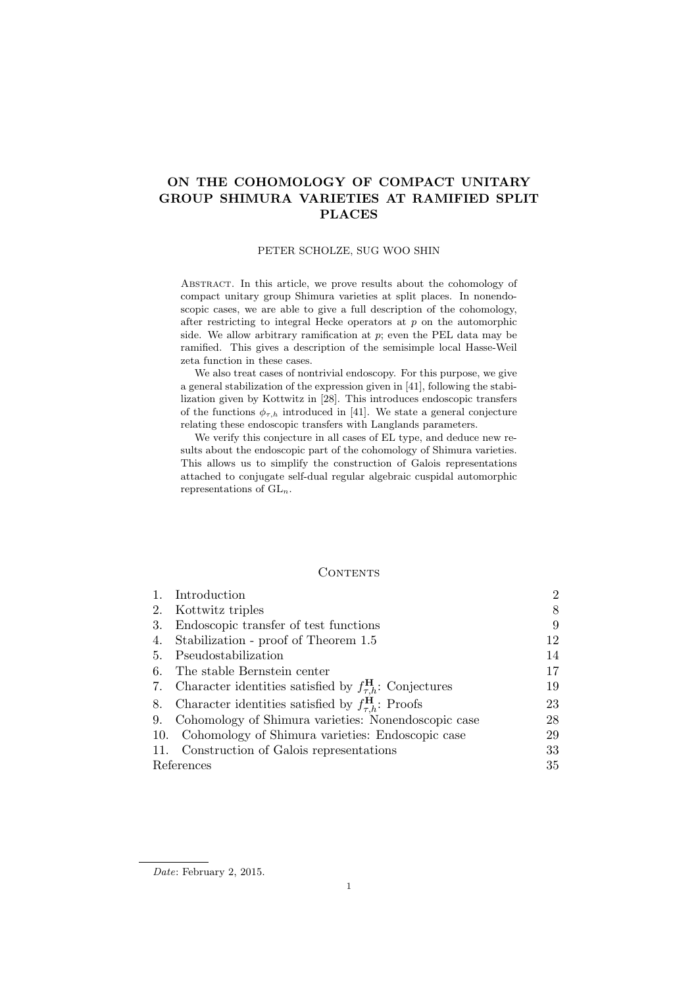# ON THE COHOMOLOGY OF COMPACT UNITARY GROUP SHIMURA VARIETIES AT RAMIFIED SPLIT PLACES

## PETER SCHOLZE, SUG WOO SHIN

Abstract. In this article, we prove results about the cohomology of compact unitary group Shimura varieties at split places. In nonendoscopic cases, we are able to give a full description of the cohomology, after restricting to integral Hecke operators at  $p$  on the automorphic side. We allow arbitrary ramification at  $p$ ; even the PEL data may be ramified. This gives a description of the semisimple local Hasse-Weil zeta function in these cases.

We also treat cases of nontrivial endoscopy. For this purpose, we give a general stabilization of the expression given in [41], following the stabilization given by Kottwitz in [28]. This introduces endoscopic transfers of the functions  $\phi_{\tau,h}$  introduced in [41]. We state a general conjecture relating these endoscopic transfers with Langlands parameters.

We verify this conjecture in all cases of EL type, and deduce new results about the endoscopic part of the cohomology of Shimura varieties. This allows us to simplify the construction of Galois representations attached to conjugate self-dual regular algebraic cuspidal automorphic representations of  $GL_n$ .

# **CONTENTS**

| 1.         | Introduction                                                              | $\overline{2}$ |
|------------|---------------------------------------------------------------------------|----------------|
| 2.         | Kottwitz triples                                                          | 8              |
| 3.         | Endoscopic transfer of test functions                                     | 9              |
| 4.         | Stabilization - proof of Theorem 1.5                                      | 12             |
| 5.         | Pseudostabilization                                                       | 14             |
| 6.         | The stable Bernstein center                                               | 17             |
| 7.         | Character identities satisfied by $f_{\tau,h}^{\mathbf{H}}$ : Conjectures | 19             |
| 8.         | Character identities satisfied by $f_{\tau,h}^{\mathbf{H}}$ : Proofs      | 23             |
| 9.         | Cohomology of Shimura varieties: Nonendoscopic case                       | 28             |
|            | 10. Cohomology of Shimura varieties: Endoscopic case                      | 29             |
| 11.        | Construction of Galois representations                                    | 33             |
| References |                                                                           | 35             |

Date: February 2, 2015.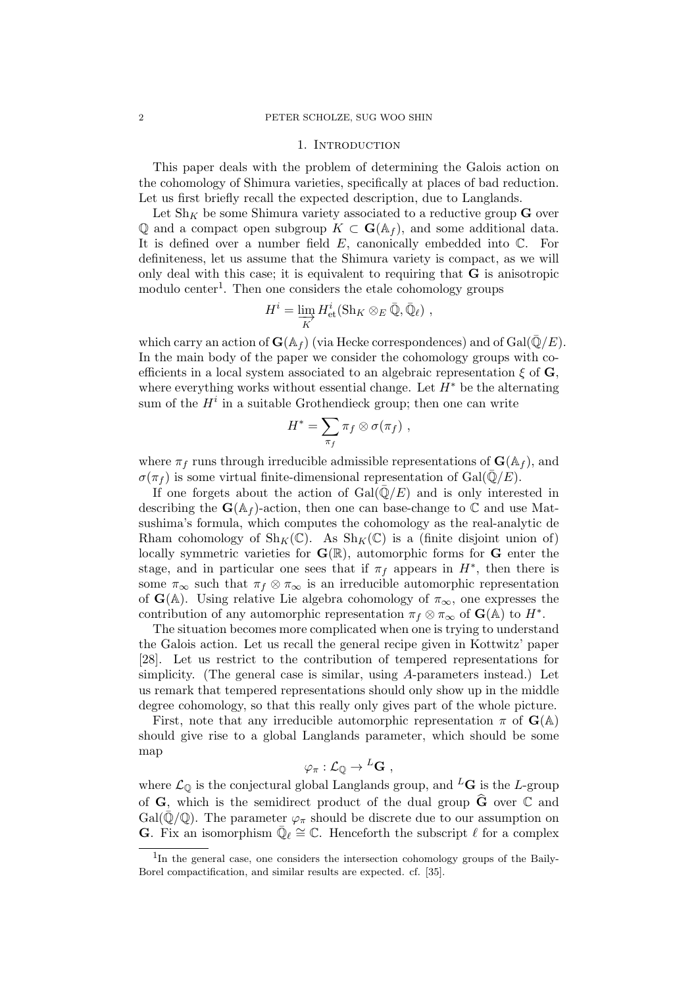#### 1. Introduction

This paper deals with the problem of determining the Galois action on the cohomology of Shimura varieties, specifically at places of bad reduction. Let us first briefly recall the expected description, due to Langlands.

Let  $\text{Sh}_K$  be some Shimura variety associated to a reductive group G over Q and a compact open subgroup  $K \subset \mathbf{G}(\mathbb{A}_f)$ , and some additional data. It is defined over a number field  $E$ , canonically embedded into  $\mathbb{C}$ . For definiteness, let us assume that the Shimura variety is compact, as we will only deal with this case; it is equivalent to requiring that G is anisotropic modulo center<sup>1</sup>. Then one considers the etale cohomology groups

$$
H^i = \varinjlim_K H^i_{\text{et}}(\text{Sh}_K \otimes_E \bar{\mathbb{Q}}, \bar{\mathbb{Q}}_\ell) ,
$$

which carry an action of  $\mathbf{G}(\mathbb{A}_f)$  (via Hecke correspondences) and of  $Gal(\bar{\mathbb{Q}}/E)$ . In the main body of the paper we consider the cohomology groups with coefficients in a local system associated to an algebraic representation  $\xi$  of G, where everything works without essential change. Let  $H^*$  be the alternating sum of the  $H^i$  in a suitable Grothendieck group; then one can write

$$
H^* = \sum_{\pi_f} \pi_f \otimes \sigma(\pi_f) ,
$$

where  $\pi_f$  runs through irreducible admissible representations of  $\mathbf{G}(\mathbb{A}_f)$ , and  $\sigma(\pi_f)$  is some virtual finite-dimensional representation of Gal(Q/E).

If one forgets about the action of  $Gal(\bar{\mathbb{Q}}/E)$  and is only interested in describing the  $\mathbf{G}(\mathbb{A}_f)$ -action, then one can base-change to  $\mathbb C$  and use Matsushima's formula, which computes the cohomology as the real-analytic de Rham cohomology of  $\text{Sh}_K(\mathbb{C})$ . As  $\text{Sh}_K(\mathbb{C})$  is a (finite disjoint union of) locally symmetric varieties for  $\mathbf{G}(\mathbb{R})$ , automorphic forms for  $\mathbf{G}$  enter the stage, and in particular one sees that if  $\pi_f$  appears in  $H^*$ , then there is some  $\pi_{\infty}$  such that  $\pi_{f} \otimes \pi_{\infty}$  is an irreducible automorphic representation of  $\mathbf{G}(\mathbb{A})$ . Using relative Lie algebra cohomology of  $\pi_{\infty}$ , one expresses the contribution of any automorphic representation  $\pi_f \otimes \pi_\infty$  of  $\mathbf{G}(\mathbb{A})$  to  $H^*$ .

The situation becomes more complicated when one is trying to understand the Galois action. Let us recall the general recipe given in Kottwitz' paper [28]. Let us restrict to the contribution of tempered representations for simplicity. (The general case is similar, using A-parameters instead.) Let us remark that tempered representations should only show up in the middle degree cohomology, so that this really only gives part of the whole picture.

First, note that any irreducible automorphic representation  $\pi$  of  $\mathbf{G}(\mathbb{A})$ should give rise to a global Langlands parameter, which should be some map

$$
\varphi_{\pi} : \mathcal{L}_{\mathbb{Q}} \to {}^{L}\mathbf{G} ,
$$

where  $\mathcal{L}_{\mathbb{Q}}$  is the conjectural global Langlands group, and  $^L\mathbf{G}$  is the L-group of  $G_1$ , which is the semidirect product of the dual group  $\widehat{G}$  over  $\mathbb C$  and Gal( $\mathbb{Q}/\mathbb{Q}$ ). The parameter  $\varphi_{\pi}$  should be discrete due to our assumption on **G.** Fix an isomorphism  $\overline{\mathbb{Q}}_{\ell} \cong \mathbb{C}$ . Henceforth the subscript  $\ell$  for a complex

<sup>&</sup>lt;sup>1</sup>In the general case, one considers the intersection cohomology groups of the Baily-Borel compactification, and similar results are expected. cf. [35].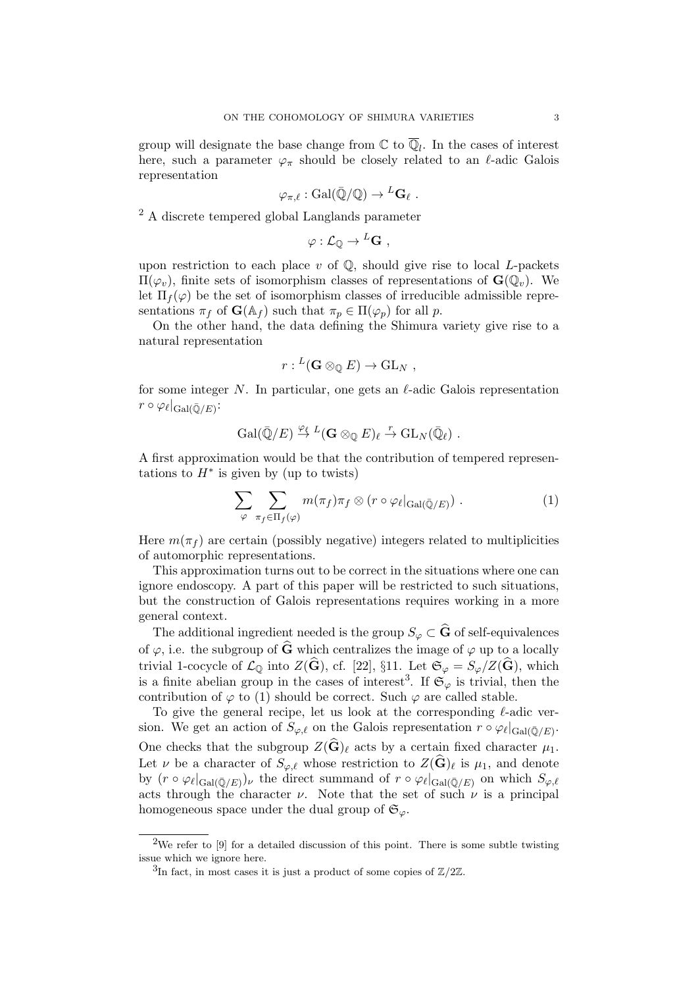group will designate the base change from  $\mathbb C$  to  $\overline{\mathbb Q}_l$ . In the cases of interest here, such a parameter  $\varphi_{\pi}$  should be closely related to an  $\ell$ -adic Galois representation

$$
\varphi_{\pi,\ell} : \operatorname{Gal}(\bar{\mathbb{Q}}/\mathbb{Q}) \to {}^L\mathbf{G}_{\ell} \ .
$$

<sup>2</sup> A discrete tempered global Langlands parameter

$$
\varphi : \mathcal{L}_{\mathbb{Q}} \to {}^L\mathbf{G} ,
$$

upon restriction to each place  $v$  of  $\mathbb{Q}$ , should give rise to local *L*-packets  $\Pi(\varphi_v)$ , finite sets of isomorphism classes of representations of  $\mathbf{G}(\mathbb{Q}_v)$ . We let  $\Pi_f(\varphi)$  be the set of isomorphism classes of irreducible admissible representations  $\pi_f$  of  $\mathbf{G}(\mathbb{A}_f)$  such that  $\pi_p \in \Pi(\varphi_p)$  for all p.

On the other hand, the data defining the Shimura variety give rise to a natural representation

$$
r: {}^L(\mathbf{G} \otimes_{\mathbb{Q}} E) \to \mathrm{GL}_N ,
$$

for some integer N. In particular, one gets an  $\ell$ -adic Galois representation  $r\circ\varphi_\ell|_{\mathrm{Gal}(\bar{\mathbb{Q}}/E)}$ :

$$
\mathrm{Gal}(\bar{\mathbb{Q}}/E) \stackrel{\varphi_{\ell}}{\to} {}^L(\mathbf{G} \otimes_{\mathbb{Q}} E)_{\ell} \stackrel{r}{\to} \mathrm{GL}_N(\bar{\mathbb{Q}}_{\ell}) .
$$

A first approximation would be that the contribution of tempered representations to  $H^*$  is given by (up to twists)

$$
\sum_{\varphi} \sum_{\pi_f \in \Pi_f(\varphi)} m(\pi_f) \pi_f \otimes (r \circ \varphi_\ell |_{\text{Gal}(\bar{\mathbb{Q}}/E)}).
$$
 (1)

Here  $m(\pi_f)$  are certain (possibly negative) integers related to multiplicities of automorphic representations.

This approximation turns out to be correct in the situations where one can ignore endoscopy. A part of this paper will be restricted to such situations, but the construction of Galois representations requires working in a more general context.

The additional ingredient needed is the group  $S_{\varphi} \subset \widehat{G}$  of self-equivalences of  $\varphi$ , i.e. the subgroup of  $\widehat{G}$  which centralizes the image of  $\varphi$  up to a locally trivial 1-cocycle of  $\mathcal{L}_{\mathbb{Q}}$  into  $Z(\widehat{\mathbf{G}})$ , cf. [22], §11. Let  $\mathfrak{S}_{\varphi} = S_{\varphi}/Z(\widehat{\mathbf{G}})$ , which is a finite abelian group in the cases of interest<sup>3</sup>. If  $\mathfrak{S}_{\varphi}$  is trivial, then the contribution of  $\varphi$  to (1) should be correct. Such  $\varphi$  are called stable.

To give the general recipe, let us look at the corresponding  $\ell$ -adic version. We get an action of  $S_{\varphi,\ell}$  on the Galois representation  $r \circ \varphi_{\ell}|_{Gal(\bar{\mathbb{Q}}/E)}$ . One checks that the subgroup  $Z(\widehat{\mathbf{G}})_{\ell}$  acts by a certain fixed character  $\mu_1$ . Let  $\nu$  be a character of  $S_{\varphi,\ell}$  whose restriction to  $Z(\mathbf{G})_{\ell}$  is  $\mu_1$ , and denote by  $(r \circ \varphi_{\ell}|_{Gal(\bar{\mathbb{Q}}/E)})_{\nu}$  the direct summand of  $r \circ \varphi_{\ell}|_{Gal(\bar{\mathbb{Q}}/E)}$  on which  $S_{\varphi,\ell}$ acts through the character  $\nu$ . Note that the set of such  $\nu$  is a principal homogeneous space under the dual group of  $\mathfrak{S}_{\varphi}$ .

<sup>&</sup>lt;sup>2</sup>We refer to [9] for a detailed discussion of this point. There is some subtle twisting issue which we ignore here.

<sup>&</sup>lt;sup>3</sup>In fact, in most cases it is just a product of some copies of  $\mathbb{Z}/2\mathbb{Z}$ .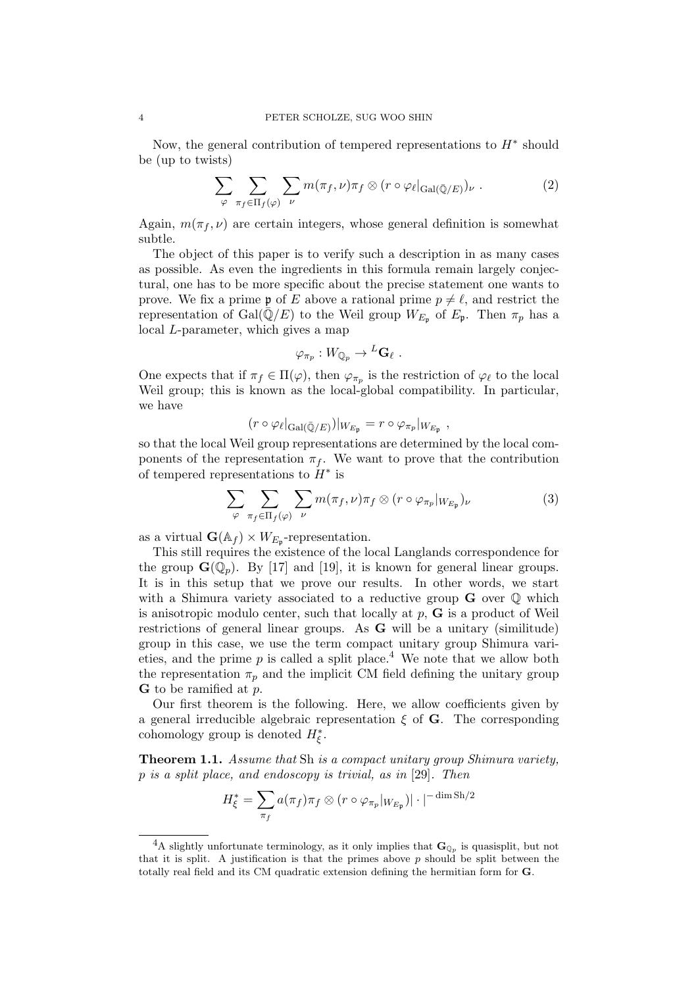Now, the general contribution of tempered representations to  $H^*$  should be (up to twists)

$$
\sum_{\varphi} \sum_{\pi_f \in \Pi_f(\varphi)} \sum_{\nu} m(\pi_f, \nu) \pi_f \otimes (r \circ \varphi_{\ell}|_{Gal(\bar{\mathbb{Q}}/E)})_{\nu} . \tag{2}
$$

Again,  $m(\pi_f, \nu)$  are certain integers, whose general definition is somewhat subtle.

The object of this paper is to verify such a description in as many cases as possible. As even the ingredients in this formula remain largely conjectural, one has to be more specific about the precise statement one wants to prove. We fix a prime  $\mathfrak p$  of E above a rational prime  $p \neq \ell$ , and restrict the representation of Gal $(\mathbb{Q}/E)$  to the Weil group  $W_{E_{\mathfrak{p}}}$  of  $E_{\mathfrak{p}}$ . Then  $\pi_p$  has a local L-parameter, which gives a map

$$
\varphi_{\pi_p}: W_{\mathbb{Q}_p} \to {}^L\mathbf{G}_{\ell} .
$$

One expects that if  $\pi_f \in \Pi(\varphi)$ , then  $\varphi_{\pi_p}$  is the restriction of  $\varphi_{\ell}$  to the local Weil group; this is known as the local-global compatibility. In particular, we have

$$
(r \circ \varphi_{\ell}|_{Gal(\bar{\mathbb{Q}}/E)})|_{W_{E_{\mathfrak{p}}}} = r \circ \varphi_{\pi_p}|_{W_{E_{\mathfrak{p}}}},
$$

so that the local Weil group representations are determined by the local components of the representation  $\pi_f$ . We want to prove that the contribution of tempered representations to  $H^*$  is

$$
\sum_{\varphi} \sum_{\pi_f \in \Pi_f(\varphi)} \sum_{\nu} m(\pi_f, \nu) \pi_f \otimes (r \circ \varphi_{\pi_p}|_{W_{E_{\mathfrak{p}}}})_{\nu} \tag{3}
$$

as a virtual  $\mathbf{G}(\mathbb{A}_f) \times W_{E_p}$ -representation.

This still requires the existence of the local Langlands correspondence for the group  $\mathbf{G}(\mathbb{Q}_p)$ . By [17] and [19], it is known for general linear groups. It is in this setup that we prove our results. In other words, we start with a Shimura variety associated to a reductive group  $\bf{G}$  over  $\bf{O}$  which is anisotropic modulo center, such that locally at  $p$ ,  $\bf{G}$  is a product of Weil restrictions of general linear groups. As G will be a unitary (similitude) group in this case, we use the term compact unitary group Shimura varieties, and the prime  $p$  is called a split place.<sup>4</sup> We note that we allow both the representation  $\pi_p$  and the implicit CM field defining the unitary group G to be ramified at p.

Our first theorem is the following. Here, we allow coefficients given by a general irreducible algebraic representation  $\xi$  of G. The corresponding cohomology group is denoted  $H_{\xi}^*$ .

Theorem 1.1. Assume that Sh is a compact unitary group Shimura variety, p is a split place, and endoscopy is trivial, as in [29]. Then

$$
H_{\xi}^* = \sum_{\pi_f} a(\pi_f) \pi_f \otimes (r \circ \varphi_{\pi_p}|_{W_{E_{\mathfrak{p}}}}) |\cdot|^{-\dim \operatorname{Sh}/2}
$$

<sup>&</sup>lt;sup>4</sup>A slightly unfortunate terminology, as it only implies that  $\mathbf{G}_{\mathbb{Q}_p}$  is quasisplit, but not that it is split. A justification is that the primes above  $p$  should be split between the totally real field and its CM quadratic extension defining the hermitian form for G.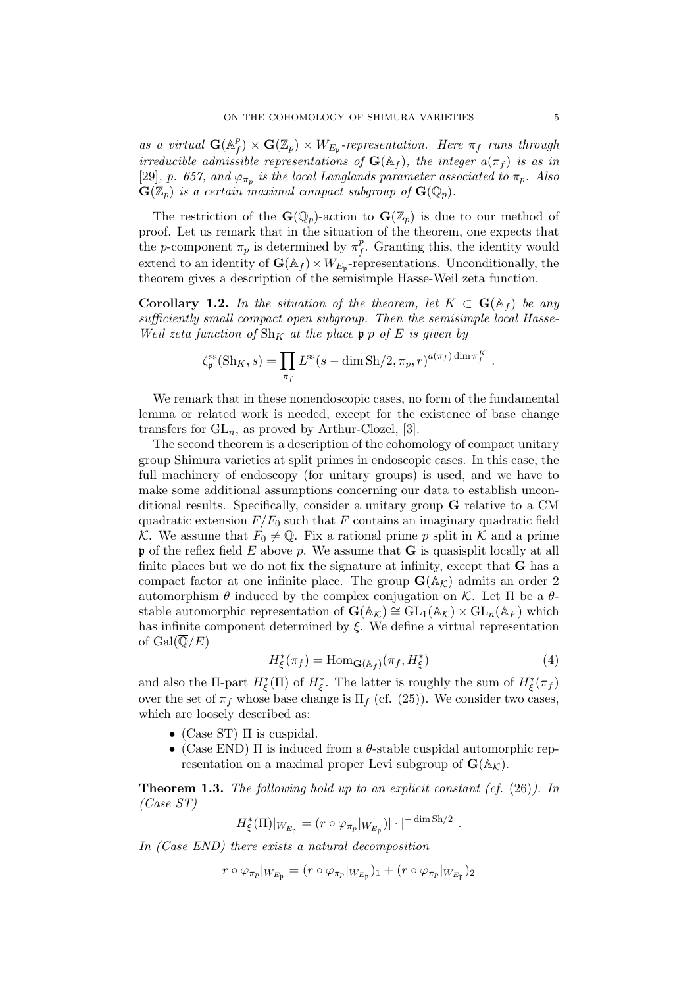as a virtual  $\mathbf{G}(\mathbb{A}_{\mu}^{p})$  $f^p(f) \times \mathbf{G}(\mathbb{Z}_p) \times W_{E_{\mathfrak{p}}}$ -representation. Here  $\pi_f$  runs through irreducible admissible representations of  $\mathbf{G}(\mathbb{A}_f)$ , the integer  $a(\pi_f)$  is as in [29], p. 657, and  $\varphi_{\pi_p}$  is the local Langlands parameter associated to  $\pi_p$ . Also  $\mathbf{G}(\mathbb{Z}_p)$  is a certain maximal compact subgroup of  $\mathbf{G}(\mathbb{Q}_p)$ .

The restriction of the  $\mathbf{G}(\mathbb{Q}_p)$ -action to  $\mathbf{G}(\mathbb{Z}_p)$  is due to our method of proof. Let us remark that in the situation of the theorem, one expects that the *p*-component  $\pi_p$  is determined by  $\pi_f^p$  $f<sup>p</sup>$ . Granting this, the identity would extend to an identity of  $\mathbf{G}(\mathbb{A}_f) \times W_{E_{\mathfrak{p}}}$ -representations. Unconditionally, the theorem gives a description of the semisimple Hasse-Weil zeta function.

**Corollary 1.2.** In the situation of the theorem, let  $K \subset \mathbf{G}(\mathbb{A}_f)$  be any sufficiently small compact open subgroup. Then the semisimple local Hasse-Weil zeta function of  $\text{Sh}_K$  at the place  $\mathfrak{p}|p$  of E is given by

$$
\zeta_{\mathfrak{p}}^{\text{ss}}(\text{Sh}_K, s) = \prod_{\pi_f} L^{\text{ss}}(s - \dim \text{Sh}/2, \pi_p, r)^{a(\pi_f) \dim \pi_f^K}.
$$

We remark that in these nonendoscopic cases, no form of the fundamental lemma or related work is needed, except for the existence of base change transfers for  $GL_n$ , as proved by Arthur-Clozel, [3].

The second theorem is a description of the cohomology of compact unitary group Shimura varieties at split primes in endoscopic cases. In this case, the full machinery of endoscopy (for unitary groups) is used, and we have to make some additional assumptions concerning our data to establish unconditional results. Specifically, consider a unitary group G relative to a CM quadratic extension  $F/F_0$  such that F contains an imaginary quadratic field K. We assume that  $F_0 \neq \mathbb{Q}$ . Fix a rational prime p split in K and a prime  $\mathfrak p$  of the reflex field E above p. We assume that **G** is quasisplit locally at all finite places but we do not fix the signature at infinity, except that G has a compact factor at one infinite place. The group  $\mathbf{G}(\mathbb{A}_{\mathcal{K}})$  admits an order 2 automorphism  $\theta$  induced by the complex conjugation on K. Let  $\Pi$  be a  $\theta$ stable automorphic representation of  $\mathbf{G}(\mathbb{A}_{K}) \cong GL_1(\mathbb{A}_{K}) \times GL_n(\mathbb{A}_{F})$  which has infinite component determined by  $\xi$ . We define a virtual representation of  $Gal(\overline{\mathbb{Q}}/E)$ 

$$
H_{\xi}^*(\pi_f) = \text{Hom}_{\mathbf{G}(\mathbb{A}_f)}(\pi_f, H_{\xi}^*)
$$
\n(4)

.

and also the II-part  $H^*_{\xi}(\Pi)$  of  $H^*_{\xi}$ . The latter is roughly the sum of  $H^*_{\xi}(\pi_f)$ over the set of  $\pi_f$  whose base change is  $\Pi_f$  (cf. (25)). We consider two cases, which are loosely described as:

- (Case ST)  $\Pi$  is cuspidal.
- (Case END)  $\Pi$  is induced from a  $\theta$ -stable cuspidal automorphic representation on a maximal proper Levi subgroup of  $\mathbf{G}(\mathbb{A}_{\mathcal{K}})$ .

**Theorem 1.3.** The following hold up to an explicit constant (cf.  $(26)$ ). In (Case ST)

$$
H_{\xi}^{*}(\Pi)|_{W_{E_{\mathfrak{p}}}} = (r \circ \varphi_{\pi_{p}}|_{W_{E_{\mathfrak{p}}}})| \cdot |^{-\dim \operatorname{Sh}/2}
$$

In (Case END) there exists a natural decomposition

$$
r \circ \varphi_{\pi_p}|_{W_{E_{\mathfrak{p}}}} = (r \circ \varphi_{\pi_p}|_{W_{E_{\mathfrak{p}}}})_1 + (r \circ \varphi_{\pi_p}|_{W_{E_{\mathfrak{p}}}})_2
$$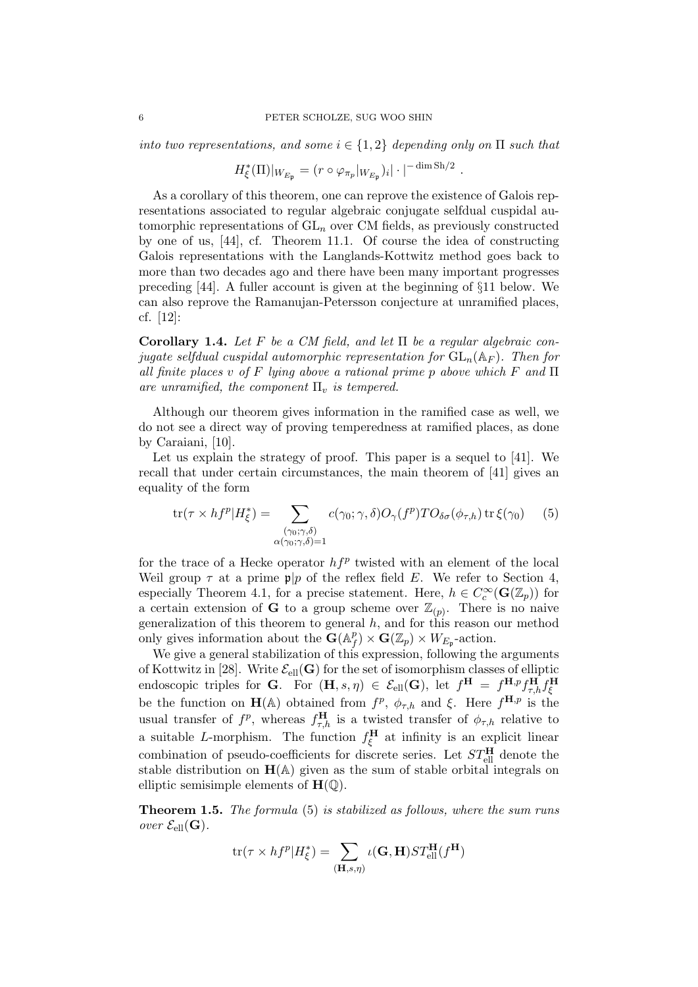into two representations, and some  $i \in \{1,2\}$  depending only on  $\Pi$  such that

$$
H_{\xi}^*(\Pi)|_{W_{E_{\mathfrak{p}}}} = (r \circ \varphi_{\pi_p}|_{W_{E_{\mathfrak{p}}}})_i |\cdot|^{-\dim \operatorname{Sh}/2}.
$$

As a corollary of this theorem, one can reprove the existence of Galois representations associated to regular algebraic conjugate selfdual cuspidal automorphic representations of  $GL_n$  over CM fields, as previously constructed by one of us, [44], cf. Theorem 11.1. Of course the idea of constructing Galois representations with the Langlands-Kottwitz method goes back to more than two decades ago and there have been many important progresses preceding [44]. A fuller account is given at the beginning of §11 below. We can also reprove the Ramanujan-Petersson conjecture at unramified places, cf. [12]:

Corollary 1.4. Let F be a CM field, and let  $\Pi$  be a regular algebraic conjugate selfdual cuspidal automorphic representation for  $GL_n(\mathbb{A}_F)$ . Then for all finite places v of F lying above a rational prime p above which F and  $\Pi$ are unramified, the component  $\Pi_v$  is tempered.

Although our theorem gives information in the ramified case as well, we do not see a direct way of proving temperedness at ramified places, as done by Caraiani, [10].

Let us explain the strategy of proof. This paper is a sequel to [41]. We recall that under certain circumstances, the main theorem of [41] gives an equality of the form

$$
\text{tr}(\tau \times h f^p | H^*_{\xi}) = \sum_{\substack{(\gamma_0; \gamma, \delta) \\ \alpha(\gamma_0; \gamma, \delta) = 1}} c(\gamma_0; \gamma, \delta) O_{\gamma}(f^p) T O_{\delta \sigma}(\phi_{\tau, h}) \text{ tr } \xi(\gamma_0)
$$
 (5)

for the trace of a Hecke operator  $hf^p$  twisted with an element of the local Weil group  $\tau$  at a prime  $\mathfrak{p}|p$  of the reflex field E. We refer to Section 4, especially Theorem 4.1, for a precise statement. Here,  $h \in C_c^{\infty}(\mathbf{G}(\mathbb{Z}_p))$  for a certain extension of **G** to a group scheme over  $\mathbb{Z}_{(p)}$ . There is no naive generalization of this theorem to general  $h$ , and for this reason our method only gives information about the  $\mathbf{G}(\mathbb{A}_{\mu}^p)$  $f^p(f) \times \mathbf{G}(\mathbb{Z}_p) \times W_{E_{\mathfrak{p}}}$ -action.

We give a general stabilization of this expression, following the arguments of Kottwitz in [28]. Write  $\mathcal{E}_{ell}(\mathbf{G})$  for the set of isomorphism classes of elliptic endoscopic triples for G. For  $(H, s, \eta) \in \mathcal{E}_{ell}(G)$ , let  $f^H = f^{H,p} f^H_{\tau,h} f^H_{\xi}$ be the function on  $\mathbf{H}(\mathbb{A})$  obtained from  $f^p$ ,  $\phi_{\tau,h}$  and  $\xi$ . Here  $f^{\mathbf{H},p}$  is the usual transfer of  $f^p$ , whereas  $f_{\tau,h}^{\mathbf{H}}$  is a twisted transfer of  $\phi_{\tau,h}$  relative to a suitable L-morphism. The function  $f_{\xi}^{\mathbf{H}}$  at infinity is an explicit linear combination of pseudo-coefficients for discrete series. Let  $ST_{\text{ell}}^{\text{H}}$  denote the stable distribution on  $H(A)$  given as the sum of stable orbital integrals on elliptic semisimple elements of  $H(\mathbb{Q})$ .

Theorem 1.5. The formula (5) is stabilized as follows, where the sum runs over  $\mathcal{E}_{ell}(\mathbf{G})$ .

$$
\text{tr}(\tau \times hf^p | H^*_{\xi}) = \sum_{(\mathbf{H}, s, \eta)} \iota(\mathbf{G}, \mathbf{H}) ST^{\mathbf{H}}_{\text{ell}}(f^{\mathbf{H}})
$$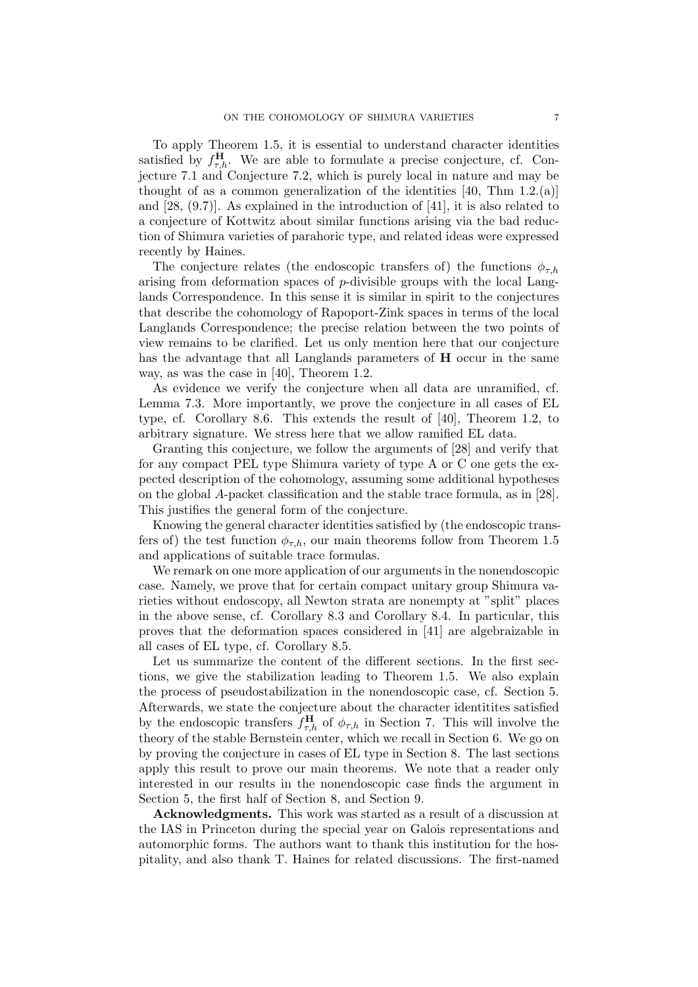To apply Theorem 1.5, it is essential to understand character identities satisfied by  $f_{\tau,h}^{\mathbf{H}}$ . We are able to formulate a precise conjecture, cf. Conjecture 7.1 and Conjecture 7.2, which is purely local in nature and may be thought of as a common generalization of the identities  $[40, Thm 1.2(a)]$ and  $[28, (9.7)]$ . As explained in the introduction of  $[41]$ , it is also related to a conjecture of Kottwitz about similar functions arising via the bad reduction of Shimura varieties of parahoric type, and related ideas were expressed recently by Haines.

The conjecture relates (the endoscopic transfers of) the functions  $\phi_{\tau,h}$ arising from deformation spaces of p-divisible groups with the local Langlands Correspondence. In this sense it is similar in spirit to the conjectures that describe the cohomology of Rapoport-Zink spaces in terms of the local Langlands Correspondence; the precise relation between the two points of view remains to be clarified. Let us only mention here that our conjecture has the advantage that all Langlands parameters of H occur in the same way, as was the case in [40], Theorem 1.2.

As evidence we verify the conjecture when all data are unramified, cf. Lemma 7.3. More importantly, we prove the conjecture in all cases of EL type, cf. Corollary 8.6. This extends the result of [40], Theorem 1.2, to arbitrary signature. We stress here that we allow ramified EL data.

Granting this conjecture, we follow the arguments of [28] and verify that for any compact PEL type Shimura variety of type A or C one gets the expected description of the cohomology, assuming some additional hypotheses on the global A-packet classification and the stable trace formula, as in [28]. This justifies the general form of the conjecture.

Knowing the general character identities satisfied by (the endoscopic transfers of) the test function  $\phi_{\tau,h}$ , our main theorems follow from Theorem 1.5 and applications of suitable trace formulas.

We remark on one more application of our arguments in the nonendoscopic case. Namely, we prove that for certain compact unitary group Shimura varieties without endoscopy, all Newton strata are nonempty at "split" places in the above sense, cf. Corollary 8.3 and Corollary 8.4. In particular, this proves that the deformation spaces considered in [41] are algebraizable in all cases of EL type, cf. Corollary 8.5.

Let us summarize the content of the different sections. In the first sections, we give the stabilization leading to Theorem 1.5. We also explain the process of pseudostabilization in the nonendoscopic case, cf. Section 5. Afterwards, we state the conjecture about the character identitites satisfied by the endoscopic transfers  $f_{\tau,h}^{\mathbf{H}}$  of  $\phi_{\tau,h}$  in Section 7. This will involve the theory of the stable Bernstein center, which we recall in Section 6. We go on by proving the conjecture in cases of EL type in Section 8. The last sections apply this result to prove our main theorems. We note that a reader only interested in our results in the nonendoscopic case finds the argument in Section 5, the first half of Section 8, and Section 9.

Acknowledgments. This work was started as a result of a discussion at the IAS in Princeton during the special year on Galois representations and automorphic forms. The authors want to thank this institution for the hospitality, and also thank T. Haines for related discussions. The first-named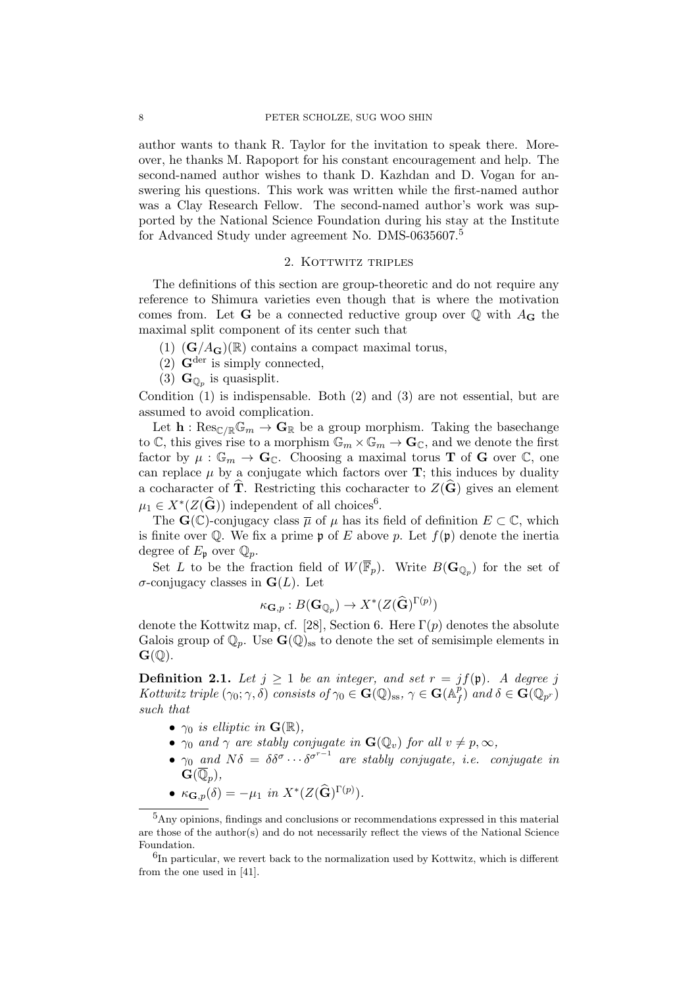author wants to thank R. Taylor for the invitation to speak there. Moreover, he thanks M. Rapoport for his constant encouragement and help. The second-named author wishes to thank D. Kazhdan and D. Vogan for answering his questions. This work was written while the first-named author was a Clay Research Fellow. The second-named author's work was supported by the National Science Foundation during his stay at the Institute for Advanced Study under agreement No. DMS-0635607.<sup>5</sup>

# 2. KOTTWITZ TRIPLES

The definitions of this section are group-theoretic and do not require any reference to Shimura varieties even though that is where the motivation comes from. Let **G** be a connected reductive group over  $\mathbb Q$  with  $A_{\mathbf G}$  the maximal split component of its center such that

- $(1)$   $(\mathbf{G}/A_{\mathbf{G}})(\mathbb{R})$  contains a compact maximal torus,
- (2)  $\mathbf{G}^{\text{der}}$  is simply connected,
- (3)  $\mathbf{G}_{\mathbb{Q}_p}$  is quasisplit.

Condition (1) is indispensable. Both (2) and (3) are not essential, but are assumed to avoid complication.

Let  $\mathbf{h} : \text{Res}_{\mathbb{C}/\mathbb{R}} \mathbb{G}_m \to \mathbf{G}_{\mathbb{R}}$  be a group morphism. Taking the basechange to C, this gives rise to a morphism  $\mathbb{G}_m \times \mathbb{G}_m \to \mathbf{G}_{\mathbb{C}}$ , and we denote the first factor by  $\mu: \mathbb{G}_m \to \mathbf{G}_{\mathbb{C}}$ . Choosing a maximal torus **T** of **G** over  $\mathbb{C}$ , one can replace  $\mu$  by a conjugate which factors over **T**; this induces by duality a cocharacter of  $\hat{\mathbf{T}}$ . Restricting this cocharacter to  $Z(\hat{\mathbf{G}})$  gives an element  $\mu_1 \in X^*(Z(\widehat{\mathbf{G}}))$  independent of all choices<sup>6</sup>.

The  $\mathbf{G}(\mathbb{C})$ -conjugacy class  $\overline{\mu}$  of  $\mu$  has its field of definition  $E \subset \mathbb{C}$ , which is finite over  $\mathbb{Q}$ . We fix a prime p of E above p. Let  $f(\mathfrak{p})$  denote the inertia degree of  $E_{\mathfrak{p}}$  over  $\mathbb{Q}_p$ .

Set L to be the fraction field of  $W(\overline{\mathbb{F}}_p)$ . Write  $B(\mathbf{G}_{\mathbb{Q}_p})$  for the set of σ-conjugacy classes in G(L). Let

$$
\kappa_{\mathbf{G},p}:B(\mathbf{G}_{\mathbb{Q}_p})\to X^*(Z(\widehat{\mathbf{G}})^{\Gamma(p)})
$$

denote the Kottwitz map, cf. [28], Section 6. Here  $\Gamma(p)$  denotes the absolute Galois group of  $\mathbb{Q}_p$ . Use  $\mathbf{G}(\mathbb{Q})_{ss}$  to denote the set of semisimple elements in  $\mathbf{G}(\mathbb{Q})$ .

**Definition 2.1.** Let  $j \ge 1$  be an integer, and set  $r = j f(\mathfrak{p})$ . A degree j Kottwitz triple  $(\gamma_0; \gamma, \delta)$  consists of  $\gamma_0 \in \mathbf{G}(\mathbb{Q})_{ss}, \gamma \in \mathbf{G}(\mathbb{A}^p)$  $\int_{f}^{p}$ ) and  $\delta \in \mathbf{G}(\mathbb{Q}_{p^r})$ such that

- $\gamma_0$  is elliptic in  $\mathbf{G}(\mathbb{R}),$
- $\gamma_0$  and  $\gamma$  are stably conjugate in  $\mathbf{G}(\mathbb{Q}_v)$  for all  $v \neq p, \infty$ ,
- $\gamma_0$  and  $N\delta = \delta \delta^{\sigma} \cdots \delta^{\sigma^{r-1}}$  are stably conjugate, i.e. conjugate in  $\mathbf{G}(\overline{\mathbb{Q}}_p),$
- $\kappa_{\mathbf{G},p}(\delta) = -\mu_1$  in  $X^*(Z(\widehat{\mathbf{G}})^{\Gamma(p)})$ .

<sup>5</sup>Any opinions, findings and conclusions or recommendations expressed in this material are those of the author(s) and do not necessarily reflect the views of the National Science Foundation.

 ${}^{6}$ In particular, we revert back to the normalization used by Kottwitz, which is different from the one used in [41].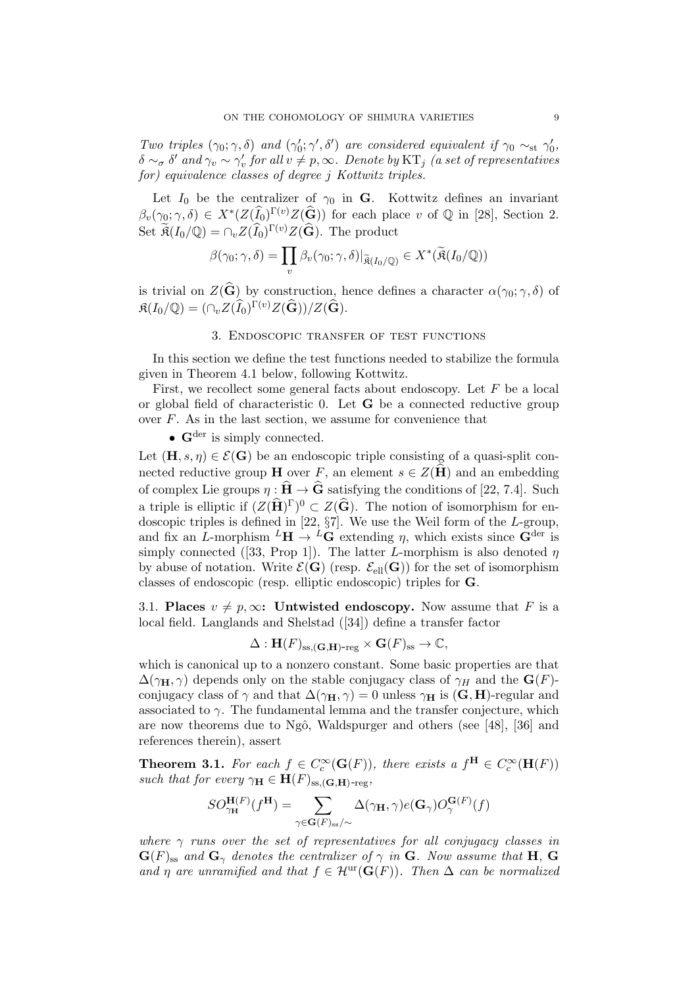Two triples  $(\gamma_0; \gamma, \delta)$  and  $(\gamma'_0; \gamma', \delta')$  are considered equivalent if  $\gamma_0 \sim_{st} \gamma'_0$ ,  $\delta \sim_\sigma \delta'$  and  $\gamma_v \sim \gamma'_v$  for all  $v \neq p, \infty$ . Denote by  $\mathrm{KT}_j$  (a set of representatives for) equivalence classes of degree j Kottwitz triples.

Let  $I_0$  be the centralizer of  $\gamma_0$  in **G**. Kottwitz defines an invariant  $\beta_v(\gamma_0; \gamma, \delta) \in X^*(Z(\widehat{I}_0)^{\Gamma(v)}Z(\widehat{G}))$  for each place v of  $\mathbb Q$  in [28], Section 2. Set  $\widetilde{\mathfrak{K}}(I_0/\mathbb{Q}) = \bigcap_v Z(\widehat{I}_0)^{\Gamma(v)}Z(\widehat{\mathbf{G}})$ . The product

$$
\beta(\gamma_0; \gamma, \delta) = \prod_v \beta_v(\gamma_0; \gamma, \delta)|_{\widetilde{\mathfrak{K}}(I_0/\mathbb{Q})} \in X^*(\widetilde{\mathfrak{K}}(I_0/\mathbb{Q}))
$$

is trivial on  $Z(\widehat{\mathbf{G}})$  by construction, hence defines a character  $\alpha(\gamma_0; \gamma, \delta)$  of  $\mathfrak{K}(I_0/\mathbb{Q}) = (\cap_v Z(\widehat{I}_0)^{\Gamma(v)} Z(\widehat{\mathbf{G}})) / Z(\widehat{\mathbf{G}}).$ 

### 3. Endoscopic transfer of test functions

In this section we define the test functions needed to stabilize the formula given in Theorem 4.1 below, following Kottwitz.

First, we recollect some general facts about endoscopy. Let  $F$  be a local or global field of characteristic 0. Let G be a connected reductive group over  $F$ . As in the last section, we assume for convenience that

•  $\mathbf{G}^{\text{der}}$  is simply connected.

Let  $(\mathbf{H}, s, \eta) \in \mathcal{E}(\mathbf{G})$  be an endoscopic triple consisting of a quasi-split connected reductive group **H** over F, an element  $s \in Z(\hat{H})$  and an embedding of complex Lie groups  $\eta : \hat{H} \to \hat{G}$  satisfying the conditions of [22, 7.4]. Such a triple is elliptic if  $(Z(\widehat{H})^{\Gamma})^0 \subset Z(\widehat{G})$ . The notion of isomorphism for endoscopic triples is defined in [22,  $\S7$ ]. We use the Weil form of the L-group, and fix an L-morphism  ${}^L H \rightarrow {}^L G$  extending  $\eta$ , which exists since  $G^{\text{der}}$  is simply connected ([33, Prop 1]). The latter L-morphism is also denoted  $\eta$ by abuse of notation. Write  $\mathcal{E}(\mathbf{G})$  (resp.  $\mathcal{E}_{ell}(\mathbf{G})$ ) for the set of isomorphism classes of endoscopic (resp. elliptic endoscopic) triples for G.

3.1. Places  $v \neq p, \infty$ : Untwisted endoscopy. Now assume that F is a local field. Langlands and Shelstad ([34]) define a transfer factor

$$
\Delta: \mathbf{H}(F)_{\mathrm{ss},(\mathbf{G},\mathbf{H})\text{-reg}} \times \mathbf{G}(F)_{\mathrm{ss}} \to \mathbb{C},
$$

which is canonical up to a nonzero constant. Some basic properties are that  $\Delta(\gamma_{\rm H}, \gamma)$  depends only on the stable conjugacy class of  $\gamma_H$  and the  ${\bf G}(F)$ conjugacy class of  $\gamma$  and that  $\Delta(\gamma_{\mathbf{H}}, \gamma) = 0$  unless  $\gamma_{\mathbf{H}}$  is  $(\mathbf{G}, \mathbf{H})$ -regular and associated to  $\gamma$ . The fundamental lemma and the transfer conjecture, which are now theorems due to Ngô, Waldspurger and others (see [48], [36] and references therein), assert

**Theorem 3.1.** For each  $f \in C_c^{\infty}(\mathbf{G}(F))$ , there exists a  $f^{\mathbf{H}} \in C_c^{\infty}(\mathbf{H}(F))$ such that for every  $\gamma_{\mathbf{H}} \in \mathbf{H}(F)_{\text{ss.}(\mathbf{G},\mathbf{H})\text{-reg}}$ ,

$$
SO^{\mathbf{H}(F)}_{\gamma_{\mathbf{H}}}(f^{\mathbf{H}})=\sum_{\gamma \in \mathbf{G}(F)_{\mathrm{ss}}/\sim} \Delta(\gamma_{\mathbf{H}},\gamma) e(\mathbf{G}_{\gamma}) O_{\gamma}^{\mathbf{G}(F)}(f)
$$

where  $\gamma$  runs over the set of representatives for all conjugacy classes in  $\mathbf{G}(F)_{\text{ss}}$  and  $\mathbf{G}_{\gamma}$  denotes the centralizer of  $\gamma$  in  $\mathbf{G}$ . Now assume that H,  $\mathbf{G}$ and  $\eta$  are unramified and that  $f \in \mathcal{H}^{\text{ur}}(\mathbf{G}(F))$ . Then  $\Delta$  can be normalized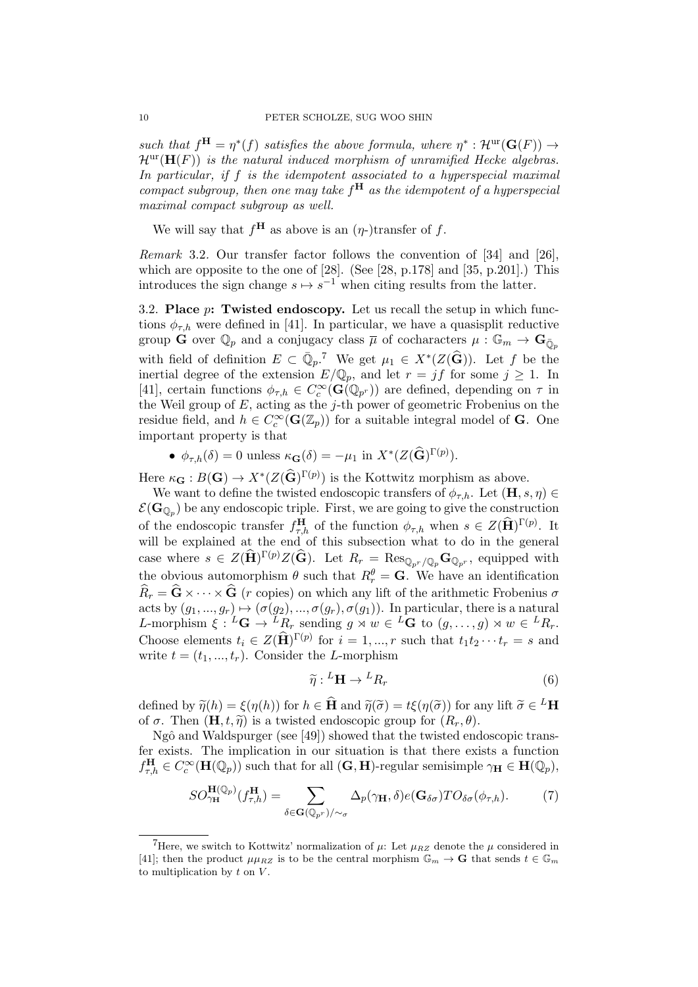such that  $f^{\mathbf{H}} = \eta^*(f)$  satisfies the above formula, where  $\eta^* : \mathcal{H}^{\text{ur}}(\mathbf{G}(F)) \to$  $\mathcal{H}^{\text{ur}}(\mathbf{H}(F))$  is the natural induced morphism of unramified Hecke algebras. In particular, if  $f$  is the idempotent associated to a hyperspecial maximal compact subgroup, then one may take  $f^{\mathbf{H}}$  as the idempotent of a hyperspecial maximal compact subgroup as well.

We will say that  $f^{\mathbf{H}}$  as above is an  $(\eta$ -)transfer of f.

Remark 3.2. Our transfer factor follows the convention of [34] and [26], which are opposite to the one of [28]. (See [28, p.178] and [35, p.201].) This introduces the sign change  $s \mapsto s^{-1}$  when citing results from the latter.

3.2. Place  $p$ : Twisted endoscopy. Let us recall the setup in which functions  $\phi_{\tau,h}$  were defined in [41]. In particular, we have a quasisplit reductive group **G** over  $\mathbb{Q}_p$  and a conjugacy class  $\overline{\mu}$  of cocharacters  $\mu : \mathbb{G}_m \to \mathbf{G}_{\overline{0}_m}$ with field of definition  $E \subset \overline{\mathbb{Q}}_p$ .<sup>7</sup> We get  $\mu_1 \in X^*(Z(\widehat{\mathbf{G}}))$ . Let f be the inertial degree of the extension  $E/\mathbb{Q}_p$ , and let  $r = jf$  for some  $j \ge 1$ . In [41], certain functions  $\phi_{\tau,h} \in C_c^{\infty}(\mathbf{G}(\mathbb{Q}_{p^r}))$  are defined, depending on  $\tau$  in the Weil group of  $E$ , acting as the j-th power of geometric Frobenius on the residue field, and  $h \in C_c^{\infty}(\mathbf{G}(\mathbb{Z}_p))$  for a suitable integral model of **G**. One important property is that

•  $\phi_{\tau,h}(\delta) = 0$  unless  $\kappa_{\mathbf{G}}(\delta) = -\mu_1$  in  $X^*(Z(\widehat{\mathbf{G}})^{\Gamma(p)})$ .

Here  $\kappa_{\mathbf{G}} : B(\mathbf{G}) \to X^*(Z(\widehat{\mathbf{G}})^{\Gamma(p)})$  is the Kottwitz morphism as above.

We want to define the twisted endoscopic transfers of  $\phi_{\tau,h}$ . Let  $(\mathbf{H}, s, \eta) \in$  $\mathcal{E}(\mathbf{G}_{\mathbb{Q}_p})$  be any endoscopic triple. First, we are going to give the construction of the endoscopic transfer  $f_{\tau,h}^{\mathbf{H}}$  of the function  $\phi_{\tau,h}$  when  $s \in Z(\widehat{\mathbf{H}})^{\Gamma(p)}$ . It will be explained at the end of this subsection what to do in the general case where  $s \in Z(\widehat{\mathbf{H}})^{\Gamma(p)}Z(\widehat{\mathbf{G}})$ . Let  $R_r = \text{Res}_{\mathbb{Q}_{p^r}/\mathbb{Q}_p} \mathbf{G}_{\mathbb{Q}_{p^r}}$ , equipped with the obvious automorphism  $\theta$  such that  $R_r^{\theta} = \mathbf{G}$ . We have an identification  $\widehat{R}_r = \widehat{\mathbf{G}} \times \cdots \times \widehat{\mathbf{G}}$  (r copies) on which any lift of the arithmetic Frobenius  $\sigma$ acts by  $(g_1, ..., g_r) \mapsto (\sigma(g_2), ..., \sigma(g_r), \sigma(g_1))$ . In particular, there is a natural L-morphism  $\xi : {}^L\mathbf{G} \to {}^L R_r$  sending  $g \rtimes w \in {}^L\mathbf{G}$  to  $(g, \ldots, g) \rtimes w \in {}^L R_r$ . Choose elements  $t_i \in Z(\widehat{H})^{\Gamma(p)}$  for  $i = 1, ..., r$  such that  $t_1 t_2 \cdots t_r = s$  and write  $t = (t_1, ..., t_r)$ . Consider the L-morphism

$$
\widetilde{\eta}:{}^{L}\mathbf{H}\to{}^{L}R_r\tag{6}
$$

defined by  $\widetilde{\eta}(h) = \xi(\eta(h))$  for  $h \in \widehat{H}$  and  $\widetilde{\eta}(\widetilde{\sigma}) = t\xi(\eta(\widetilde{\sigma}))$  for any lift  $\widetilde{\sigma} \in {}^L H$ <br>of  $\sigma$ . Then  $(H, t, \widetilde{\sigma})$  is a twisted ordescopic group for  $(B, \theta)$ of  $\sigma$ . Then  $(\mathbf{H}, t, \tilde{\eta})$  is a twisted endoscopic group for  $(R_r, \theta)$ .

 $Ng\hat{o}$  and Waldspurger (see [49]) showed that the twisted endoscopic transfer exists. The implication in our situation is that there exists a function  $f_{\tau,h}^{\mathbf{H}} \in C_c^{\infty}(\mathbf{H}(\mathbb{Q}_p))$  such that for all  $(\mathbf{G}, \mathbf{H})$ -regular semisimple  $\gamma_{\mathbf{H}} \in \mathbf{H}(\mathbb{Q}_p)$ ,

$$
SO_{\gamma_{\mathbf{H}}}^{\mathbf{H}(\mathbb{Q}_p)}(f_{\tau,h}^{\mathbf{H}}) = \sum_{\delta \in \mathbf{G}(\mathbb{Q}_{p^r})/\sim_{\sigma}} \Delta_p(\gamma_{\mathbf{H}}, \delta) e(\mathbf{G}_{\delta\sigma}) T O_{\delta\sigma}(\phi_{\tau,h}). \tag{7}
$$

<sup>&</sup>lt;sup>7</sup>Here, we switch to Kottwitz' normalization of  $\mu$ : Let  $\mu_{RZ}$  denote the  $\mu$  considered in [41]; then the product  $\mu\mu_{RZ}$  is to be the central morphism  $\mathbb{G}_m \to \mathbf{G}$  that sends  $t \in \mathbb{G}_m$ to multiplication by  $t$  on  $V$ .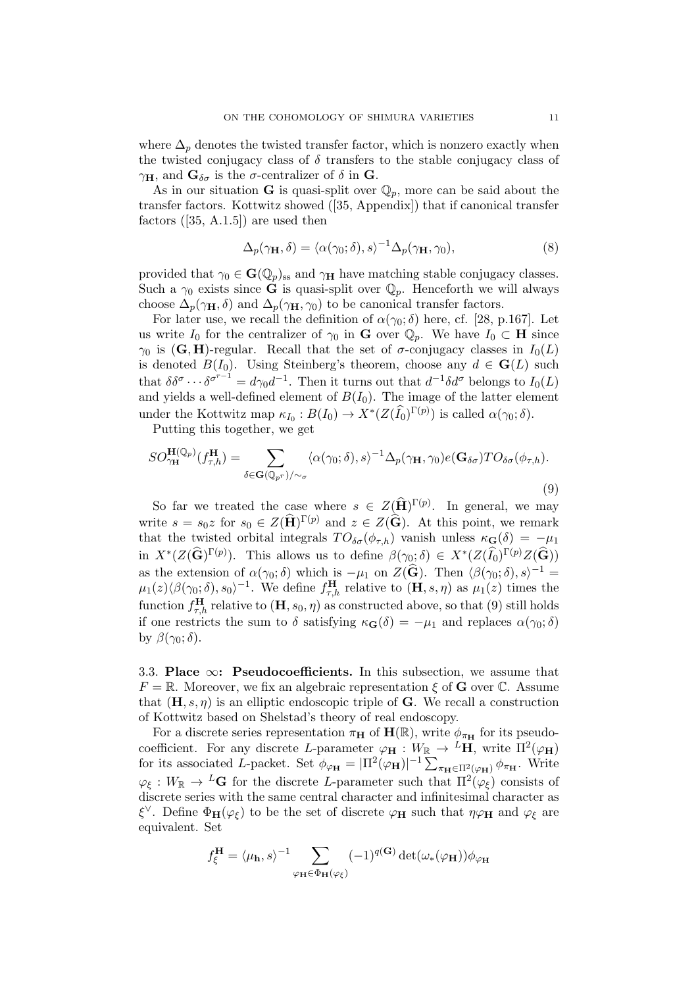where  $\Delta_p$  denotes the twisted transfer factor, which is nonzero exactly when the twisted conjugacy class of  $\delta$  transfers to the stable conjugacy class of  $\gamma_H$ , and  $\mathbf{G}_{\delta\sigma}$  is the  $\sigma$ -centralizer of  $\delta$  in  $\mathbf{G}_{\sigma}$ .

As in our situation G is quasi-split over  $\mathbb{Q}_p$ , more can be said about the transfer factors. Kottwitz showed ([35, Appendix]) that if canonical transfer factors  $([35, A.1.5])$  are used then

$$
\Delta_p(\gamma_{\mathbf{H}}, \delta) = \langle \alpha(\gamma_0; \delta), s \rangle^{-1} \Delta_p(\gamma_{\mathbf{H}}, \gamma_0), \tag{8}
$$

provided that  $\gamma_0 \in \mathbf{G}(\mathbb{Q}_p)_{ss}$  and  $\gamma_H$  have matching stable conjugacy classes. Such a  $\gamma_0$  exists since **G** is quasi-split over  $\mathbb{Q}_p$ . Henceforth we will always choose  $\Delta_p(\gamma_{\mathbf{H}}, \delta)$  and  $\Delta_p(\gamma_{\mathbf{H}}, \gamma_0)$  to be canonical transfer factors.

For later use, we recall the definition of  $\alpha(\gamma_0; \delta)$  here, cf. [28, p.167]. Let us write  $I_0$  for the centralizer of  $\gamma_0$  in **G** over  $\mathbb{Q}_p$ . We have  $I_0 \subset \mathbf{H}$  since  $\gamma_0$  is (G, H)-regular. Recall that the set of  $\sigma$ -conjugacy classes in  $I_0(L)$ is denoted  $B(I_0)$ . Using Steinberg's theorem, choose any  $d \in G(L)$  such that  $\delta \delta^{\sigma} \cdots \delta^{\sigma^{r-1}} = d\gamma_0 d^{-1}$ . Then it turns out that  $d^{-1} \delta d^{\sigma}$  belongs to  $I_0(L)$ and yields a well-defined element of  $B(I_0)$ . The image of the latter element under the Kottwitz map  $\kappa_{I_0}: B(I_0) \to X^*(Z(\widehat{I}_0)^{\Gamma(p)})$  is called  $\alpha(\gamma_0; \delta)$ .

Putting this together, we get

$$
SO_{\gamma_{\mathbf{H}}}^{\mathbf{H}(\mathbb{Q}_p)}(f_{\tau,h}^{\mathbf{H}}) = \sum_{\delta \in \mathbf{G}(\mathbb{Q}_{p^r})/\sim_{\sigma}} \langle \alpha(\gamma_0;\delta), s \rangle^{-1} \Delta_p(\gamma_{\mathbf{H}},\gamma_0) e(\mathbf{G}_{\delta\sigma}) T O_{\delta\sigma}(\phi_{\tau,h}).
$$
\n(9)

So far we treated the case where  $s \in Z(\widehat{H})^{\Gamma(p)}$ . In general, we may write  $s = s_0 z$  for  $s_0 \in Z(\widehat{\mathbf{H}})^{\Gamma(p)}$  and  $z \in Z(\widehat{\mathbf{G}})$ . At this point, we remark that the twisted orbital integrals  $TO_{\delta\sigma}(\phi_{\tau,h})$  vanish unless  $\kappa_{\mathbf{G}}(\delta) = -\mu_1$ in  $X^*(Z(\widehat{\mathbf{G}})^{\Gamma(p)})$ . This allows us to define  $\beta(\gamma_0; \delta) \in X^*(Z(\widehat{I_0})^{\Gamma(p)}Z(\widehat{\mathbf{G}}))$ as the extension of  $\alpha(\gamma_0;\delta)$  which is  $-\mu_1$  on  $Z(\widehat{\mathbf{G}})$ . Then  $\langle \beta(\gamma_0;\delta), s \rangle^{-1}$  $\mu_1(z)\langle\beta(\gamma_0;\delta), s_0\rangle^{-1}$ . We define  $f_{\tau,h}^{\mathbf{H}}$  relative to  $(\mathbf{H}, s, \eta)$  as  $\mu_1(z)$  times the function  $f_{\tau,h}^{\mathbf{H}}$  relative to  $(\mathbf{H}, s_0, \eta)$  as constructed above, so that  $(9)$  still holds if one restricts the sum to  $\delta$  satisfying  $\kappa_{\mathbf{G}}(\delta) = -\mu_1$  and replaces  $\alpha(\gamma_0; \delta)$ by  $\beta(\gamma_0;\delta)$ .

3.3. Place  $\infty$ : Pseudocoefficients. In this subsection, we assume that  $F = \mathbb{R}$ . Moreover, we fix an algebraic representation  $\xi$  of G over C. Assume that  $(\mathbf{H}, s, \eta)$  is an elliptic endoscopic triple of **G**. We recall a construction of Kottwitz based on Shelstad's theory of real endoscopy.

For a discrete series representation  $\pi_{\mathbf{H}}$  of  $\mathbf{H}(\mathbb{R})$ , write  $\phi_{\pi_{\mathbf{H}}}$  for its pseudocoefficient. For any discrete L-parameter  $\varphi_H : W_{\mathbb{R}} \to {}^L H$ , write  $\Pi^2(\varphi_H)$ for its associated L-packet. Set  $\phi_{\varphi_{\bf H}} = |\Pi^2(\varphi_{\bf H})|^{-1} \sum_{\pi_{\bf H} \in \Pi^2(\varphi_{\bf H})} \phi_{\pi_{\bf H}}$ . Write  $\varphi_{\xi}: W_{\mathbb{R}} \to L\mathbf{G}$  for the discrete L-parameter such that  $\Pi^2(\varphi_{\xi})$  consists of discrete series with the same central character and infinitesimal character as  $\xi^{\vee}$ . Define  $\Phi_{\mathbf{H}}(\varphi_{\xi})$  to be the set of discrete  $\varphi_{\mathbf{H}}$  such that  $\eta\varphi_{\mathbf{H}}$  and  $\varphi_{\xi}$  are equivalent. Set

$$
f_{\xi}^{\mathbf{H}} = \langle \mu_{\mathbf{h}}, s \rangle^{-1} \sum_{\varphi_{\mathbf{H}} \in \Phi_{\mathbf{H}}(\varphi_{\xi})} (-1)^{q(\mathbf{G})} \det(\omega_{*}(\varphi_{\mathbf{H}})) \phi_{\varphi_{\mathbf{H}}}
$$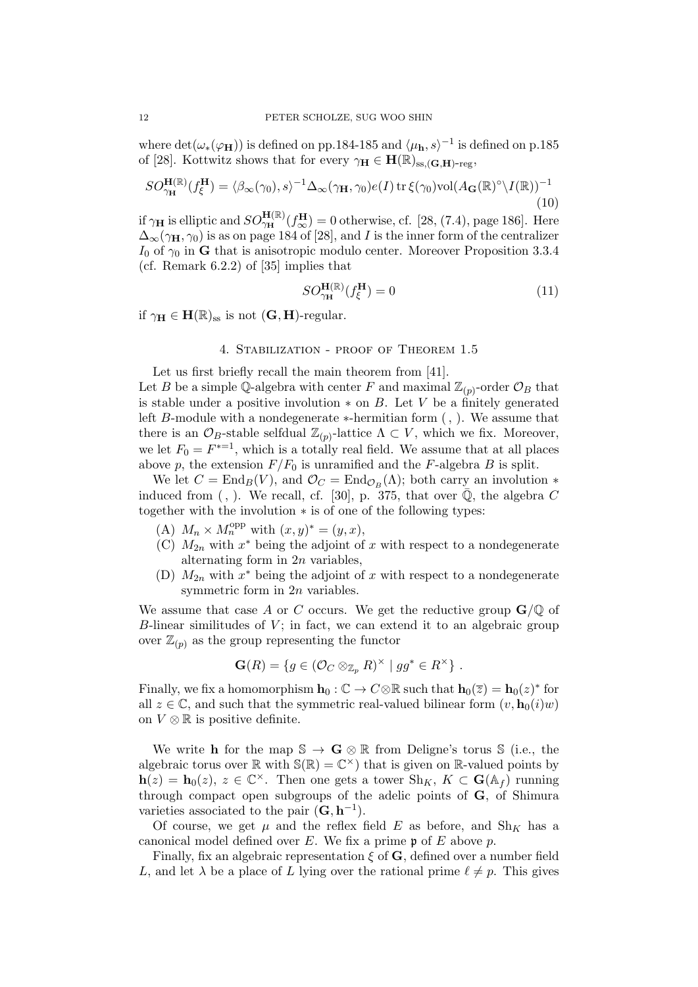where  $\det(\omega_*(\varphi_{\bf H}))$  is defined on pp.184-185 and  $\langle \mu_{\bf h}, s \rangle^{-1}$  is defined on p.185 of [28]. Kottwitz shows that for every  $\gamma_H \in H(\mathbb{R})_{ss,(\mathbf{G},\mathbf{H})\text{-reg}}$ ,

$$
SO_{\gamma_{\mathbf{H}}}^{\mathbf{H}(\mathbb{R})}(f_{\xi}^{\mathbf{H}}) = \langle \beta_{\infty}(\gamma_{0}), s \rangle^{-1} \Delta_{\infty}(\gamma_{\mathbf{H}}, \gamma_{0}) e(I) \operatorname{tr} \xi(\gamma_{0}) \operatorname{vol} (A_{\mathbf{G}}(\mathbb{R})^{\circ} \backslash I(\mathbb{R}))^{-1}
$$
(10)

if  $\gamma_H$  is elliptic and  $SO_{\gamma_H}^{H(\mathbb{R})}(f_{\infty}^H) = 0$  otherwise, cf. [28, (7.4), page 186]. Here  $\Delta_{\infty}(\gamma_{\rm H}, \gamma_0)$  is as on page 184 of [28], and I is the inner form of the centralizer  $I_0$  of  $\gamma_0$  in G that is anisotropic modulo center. Moreover Proposition 3.3.4 (cf. Remark 6.2.2) of [35] implies that

$$
SO_{\gamma_{\mathbf{H}}}^{\mathbf{H}(\mathbb{R})}(f_{\xi}^{\mathbf{H}}) = 0 \tag{11}
$$

if  $\gamma_H \in H(\mathbb{R})_{ss}$  is not  $(G, H)$ -regular.

### 4. Stabilization - proof of Theorem 1.5

Let us first briefly recall the main theorem from [41].

Let B be a simple Q-algebra with center F and maximal  $\mathbb{Z}_{(p)}$ -order  $\mathcal{O}_B$  that is stable under a positive involution  $*$  on B. Let V be a finitely generated left B-module with a nondegenerate ∗-hermitian form (, ). We assume that there is an  $\mathcal{O}_B$ -stable selfdual  $\mathbb{Z}_{(p)}$ -lattice  $\Lambda \subset V$ , which we fix. Moreover, we let  $F_0 = F^{*-1}$ , which is a totally real field. We assume that at all places above p, the extension  $F/F_0$  is unramified and the F-algebra B is split.

We let  $C = \text{End}_B(V)$ , and  $\mathcal{O}_C = \text{End}_{\mathcal{O}_B}(\Lambda)$ ; both carry an involution  $*$ induced from (, ). We recall, cf. [30], p. 375, that over  $\overline{Q}$ , the algebra C together with the involution ∗ is of one of the following types:

- (A)  $M_n \times M_n^{\text{opp}}$  with  $(x, y)^* = (y, x),$
- (C)  $M_{2n}$  with  $x^*$  being the adjoint of x with respect to a nondegenerate alternating form in  $2n$  variables,
- (D)  $M_{2n}$  with  $x^*$  being the adjoint of x with respect to a nondegenerate symmetric form in 2n variables.

We assume that case A or C occurs. We get the reductive group  $\mathbf{G}/\mathbb{Q}$  of  $B$ -linear similitudes of  $V$ ; in fact, we can extend it to an algebraic group over  $\mathbb{Z}_{(p)}$  as the group representing the functor

$$
\mathbf{G}(R) = \{ g \in (\mathcal{O}_C \otimes_{\mathbb{Z}_p} R)^{\times} \mid gg^* \in R^{\times} \} .
$$

Finally, we fix a homomorphism  $\mathbf{h}_0 : \mathbb{C} \to C \otimes \mathbb{R}$  such that  $\mathbf{h}_0(\overline{z}) = \mathbf{h}_0(z)^*$  for all  $z \in \mathbb{C}$ , and such that the symmetric real-valued bilinear form  $(v, \mathbf{h}_0(i)w)$ on  $V \otimes \mathbb{R}$  is positive definite.

We write **h** for the map  $\mathbb{S} \to \mathbf{G} \otimes \mathbb{R}$  from Deligne's torus  $\mathbb{S}$  (i.e., the algebraic torus over  $\mathbb R$  with  $\mathbb S(\mathbb R)=\mathbb C^{\times}$  that is given on  $\mathbb R$ -valued points by  $\mathbf{h}(z) = \mathbf{h}_0(z)$ ,  $z \in \mathbb{C}^\times$ . Then one gets a tower  $\mathrm{Sh}_K$ ,  $K \subset \mathbf{G}(\mathbb{A}_f)$  running through compact open subgroups of the adelic points of **, of Shimura** varieties associated to the pair  $({\bf G}, {\bf h}^{-1})$ .

Of course, we get  $\mu$  and the reflex field E as before, and Sh<sub>K</sub> has a canonical model defined over E. We fix a prime  $\mathfrak p$  of E above p.

Finally, fix an algebraic representation  $\xi$  of  $\mathbf{G}$ , defined over a number field L, and let  $\lambda$  be a place of L lying over the rational prime  $\ell \neq p$ . This gives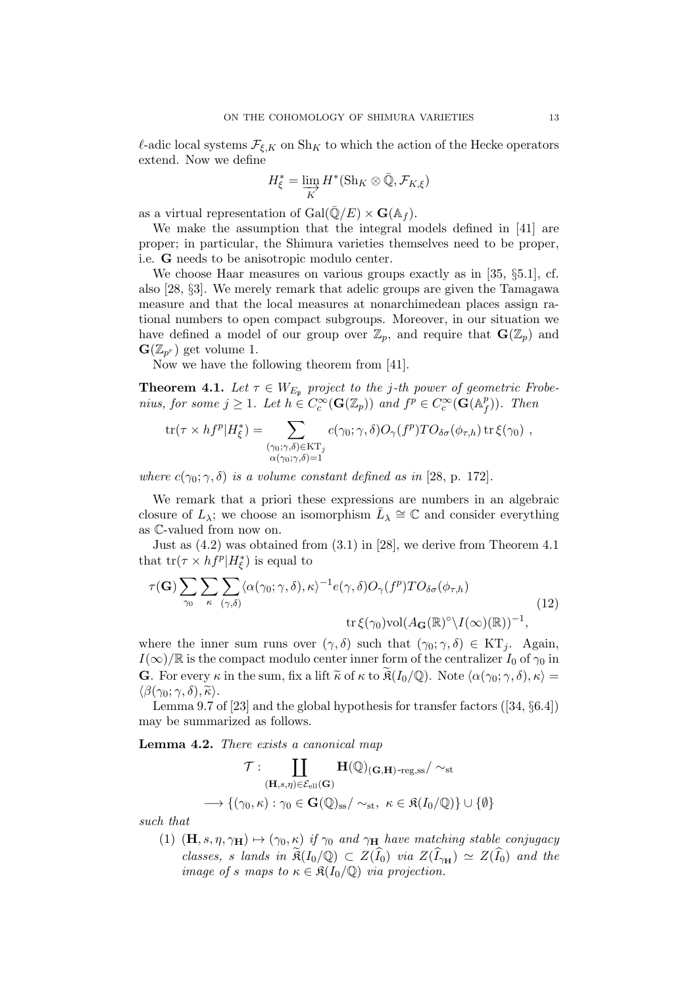$\ell$ -adic local systems  $\mathcal{F}_{\xi,K}$  on Sh<sub>K</sub> to which the action of the Hecke operators extend. Now we define

$$
H_{\xi}^* = \varinjlim_{K} H^*(\mathrm{Sh}_K \otimes \bar{\mathbb{Q}}, \mathcal{F}_{K,\xi})
$$

as a virtual representation of  $Gal(\bar{\mathbb{Q}}/E) \times \mathbf{G}(\mathbb{A}_f)$ .

We make the assumption that the integral models defined in [41] are proper; in particular, the Shimura varieties themselves need to be proper, i.e. G needs to be anisotropic modulo center.

We choose Haar measures on various groups exactly as in [35, §5.1], cf. also [28, §3]. We merely remark that adelic groups are given the Tamagawa measure and that the local measures at nonarchimedean places assign rational numbers to open compact subgroups. Moreover, in our situation we have defined a model of our group over  $\mathbb{Z}_p$ , and require that  $\mathbf{G}(\mathbb{Z}_p)$  and  $\mathbf{G}(\mathbb{Z}_{p^r})$  get volume 1.

Now we have the following theorem from [41].

**Theorem 4.1.** Let  $\tau \in W_{E_p}$  project to the j-th power of geometric Frobenius, for some  $j \geq 1$ . Let  $h \in C_c^{\infty}(\mathbf{G}(\mathbb{Z}_p))$  and  $f^p \in C_c^{\infty}(\mathbf{G}(\mathbb{A}_f^p))$  $\binom{p}{f}$ ). Then

$$
\text{tr}(\tau \times h f^p | H^*_{\xi}) = \sum_{\substack{(\gamma_0; \gamma, \delta) \in \text{KT}_j \\ \alpha(\gamma_0; \gamma, \delta) = 1}} c(\gamma_0; \gamma, \delta) O_{\gamma}(f^p) T O_{\delta \sigma}(\phi_{\tau, h}) \text{ tr } \xi(\gamma_0) ,
$$

where  $c(\gamma_0; \gamma, \delta)$  is a volume constant defined as in [28, p. 172].

We remark that a priori these expressions are numbers in an algebraic closure of  $L_{\lambda}$ ; we choose an isomorphism  $\bar{L}_{\lambda} \cong \mathbb{C}$  and consider everything as C-valued from now on.

Just as (4.2) was obtained from (3.1) in [28], we derive from Theorem 4.1 that  $\text{tr}(\tau \times h f^p | H^*_{\xi})$  is equal to

$$
\tau(\mathbf{G}) \sum_{\gamma_0} \sum_{\kappa} \sum_{(\gamma,\delta)} \langle \alpha(\gamma_0; \gamma, \delta), \kappa \rangle^{-1} e(\gamma, \delta) O_{\gamma}(f^p) T O_{\delta \sigma}(\phi_{\tau,h})
$$
\n
$$
\text{tr}\,\xi(\gamma_0) \text{vol}(A_{\mathbf{G}}(\mathbb{R})^\circ \setminus I(\infty)(\mathbb{R}))^{-1},
$$
\n(12)

where the inner sum runs over  $(\gamma, \delta)$  such that  $(\gamma_0; \gamma, \delta) \in KT_i$ . Again,  $I(\infty)/\mathbb{R}$  is the compact modulo center inner form of the centralizer  $I_0$  of  $\gamma_0$  in **G**. For every  $\kappa$  in the sum, fix a lift  $\tilde{\kappa}$  of  $\kappa$  to  $\tilde{\mathfrak{K}}(I_0/\mathbb{Q})$ . Note  $\langle \alpha(\gamma_0; \gamma, \delta), \kappa \rangle =$  $\langle \beta(\gamma_0; \gamma, \delta), \widetilde{\kappa} \rangle$ .

Lemma 9.7 of [23] and the global hypothesis for transfer factors ([34, §6.4]) may be summarized as follows.

Lemma 4.2. There exists a canonical map

$$
\mathcal{T} : \coprod_{(\mathbf{H},s,\eta) \in \mathcal{E}_{\text{ell}}(\mathbf{G})} \mathbf{H}(\mathbb{Q})_{(\mathbf{G},\mathbf{H})\text{-reg},\text{ss}} / \sim_{\text{st}}
$$

$$
\longrightarrow \{ (\gamma_0,\kappa) : \gamma_0 \in \mathbf{G}(\mathbb{Q})_{\text{ss}} / \sim_{\text{st}}, \ \kappa \in \mathfrak{K}(I_0/\mathbb{Q}) \} \cup \{\emptyset\}
$$

such that

(1)  $(\mathbf{H}, s, \eta, \gamma_{\mathbf{H}}) \mapsto (\gamma_0, \kappa)$  if  $\gamma_0$  and  $\gamma_{\mathbf{H}}$  have matching stable conjugacy classes, s lands in  $\mathfrak{K}(I_0/\mathbb{Q}) \subset Z(\hat{I}_0)$  via  $Z(\hat{I}_{\gamma_H}) \simeq Z(\hat{I}_0)$  and the image of s maps to  $\kappa \in \mathfrak{K}(I_0/\mathbb{Q})$  via projection.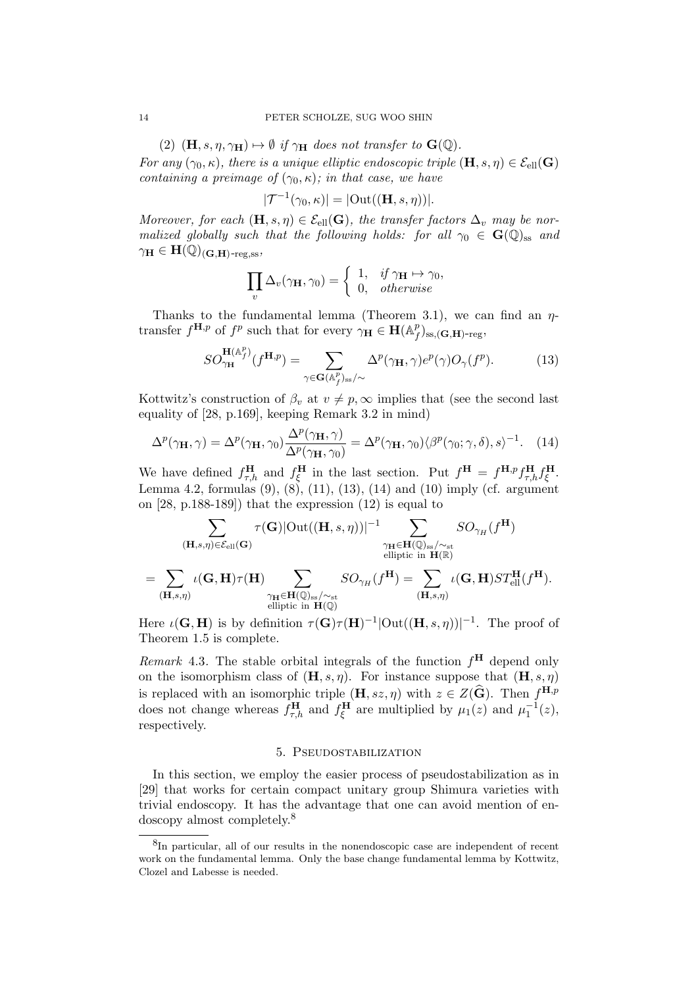(2)  $(\mathbf{H}, s, \eta, \gamma_{\mathbf{H}}) \mapsto \emptyset$  if  $\gamma_{\mathbf{H}}$  does not transfer to  $\mathbf{G}(\mathbb{Q})$ .

For any  $(\gamma_0, \kappa)$ , there is a unique elliptic endoscopic triple  $(\mathbf{H}, s, \eta) \in \mathcal{E}_{\text{ell}}(\mathbf{G})$ containing a preimage of  $(\gamma_0, \kappa)$ ; in that case, we have

$$
|\mathcal{T}^{-1}(\gamma_0,\kappa)| = |\text{Out}((\mathbf{H},s,\eta))|.
$$

Moreover, for each  $(\mathbf{H}, s, \eta) \in \mathcal{E}_{ell}(\mathbf{G})$ , the transfer factors  $\Delta_v$  may be normalized globally such that the following holds: for all  $\gamma_0 \in G(\mathbb{Q})_{ss}$  and  $\gamma_{\mathbf{H}} \in \mathbf{H}(\mathbb{Q})_{(\mathbf{G},\mathbf{H})\text{-reg.ss}}$ 

$$
\prod_{v} \Delta_{v}(\gamma_{\mathbf{H}}, \gamma_{0}) = \begin{cases} 1, & \text{if } \gamma_{\mathbf{H}} \mapsto \gamma_{0}, \\ 0, & \text{otherwise} \end{cases}
$$

Thanks to the fundamental lemma (Theorem 3.1), we can find an  $\eta$ transfer  $f^{\mathbf{H},p}$  of  $f^p$  such that for every  $\gamma_{\mathbf{H}} \in \mathbf{H}(\mathbb{A}_f^p)$  $_{f}^{p})_{\mathrm{ss},(\mathbf{G},\mathbf{H})\text{-reg}},$ 

$$
SO_{\gamma_{\mathbf{H}}}^{\mathbf{H}(\mathbb{A}_f^p)}(f^{\mathbf{H},p}) = \sum_{\gamma \in \mathbf{G}(\mathbb{A}_f^p)_{\text{ss}}/\sim} \Delta^p(\gamma_{\mathbf{H}}, \gamma) e^p(\gamma) O_{\gamma}(f^p). \tag{13}
$$

Kottwitz's construction of  $\beta_v$  at  $v \neq p$ ,  $\infty$  implies that (see the second last equality of [28, p.169], keeping Remark 3.2 in mind)

$$
\Delta^p(\gamma_\mathbf{H}, \gamma) = \Delta^p(\gamma_\mathbf{H}, \gamma_0) \frac{\Delta^p(\gamma_\mathbf{H}, \gamma)}{\Delta^p(\gamma_\mathbf{H}, \gamma_0)} = \Delta^p(\gamma_\mathbf{H}, \gamma_0) \langle \beta^p(\gamma_0; \gamma, \delta), s \rangle^{-1}.
$$
 (14)

We have defined  $f_{\tau,h}^{\mathbf{H}}$  and  $f_{\xi}^{\mathbf{H}}$  in the last section. Put  $f^{\mathbf{H}} = f^{\mathbf{H},p} f_{\tau,h}^{\mathbf{H}} f_{\xi}^{\mathbf{H}}$ . Lemma 4.2, formulas (9), (8), (11), (13), (14) and (10) imply (cf. argument on [28, p.188-189]) that the expression (12) is equal to

$$
\sum_{(\mathbf{H},s,\eta) \in \mathcal{E}_{\text{ell}}(\mathbf{G})} \tau(\mathbf{G}) |\text{Out}((\mathbf{H},s,\eta))|^{-1} \sum_{\substack{\gamma_{\mathbf{H}} \in \mathbf{H}(\mathbb{Q})_{\text{ss}}/\sim_{\text{st}} \\ \text{elliptic in } \mathbf{H}(\mathbb{R})}} SO_{\gamma_H}(f^{\mathbf{H}})
$$

$$
=\sum_{(\mathbf{H},s,\eta)}\iota(\mathbf{G},\mathbf{H})\tau(\mathbf{H})\sum_{\substack{\gamma_{\mathbf{H}}\in \mathbf{H}(\mathbb{Q})_{\mathrm{ss}}/\sim_{\mathrm{st}}\\ \text{elliptic in $\mathbf{H}(\mathbb{Q})$}}}SO_{\gamma_H}(f^{\mathbf{H}})=\sum_{(\mathbf{H},s,\eta)}\iota(\mathbf{G},\mathbf{H})ST^{\mathbf{H}}_{\text{ell}}(f^{\mathbf{H}}).
$$

Here  $\iota(G, H)$  is by definition  $\tau(G)\tau(H)^{-1}|\text{Out}((H, s, \eta))|^{-1}$ . The proof of Theorem 1.5 is complete.

Remark 4.3. The stable orbital integrals of the function  $f^{\mathbf{H}}$  depend only on the isomorphism class of  $(\mathbf{H}, s, \eta)$ . For instance suppose that  $(\mathbf{H}, s, \eta)$ is replaced with an isomorphic triple  $(\mathbf{H}, sz, \eta)$  with  $z \in Z(\widehat{\mathbf{G}})$ . Then  $f^{\mathbf{H}, p}$ does not change whereas  $f_{\tau,h}^{\mathbf{H}}$  and  $f_{\xi}^{\mathbf{H}}$  are multiplied by  $\mu_1(z)$  and  $\mu_1^{-1}(z)$ , respectively.

## 5. Pseudostabilization

In this section, we employ the easier process of pseudostabilization as in [29] that works for certain compact unitary group Shimura varieties with trivial endoscopy. It has the advantage that one can avoid mention of endoscopy almost completely.<sup>8</sup>

<sup>&</sup>lt;sup>8</sup>In particular, all of our results in the nonendoscopic case are independent of recent work on the fundamental lemma. Only the base change fundamental lemma by Kottwitz, Clozel and Labesse is needed.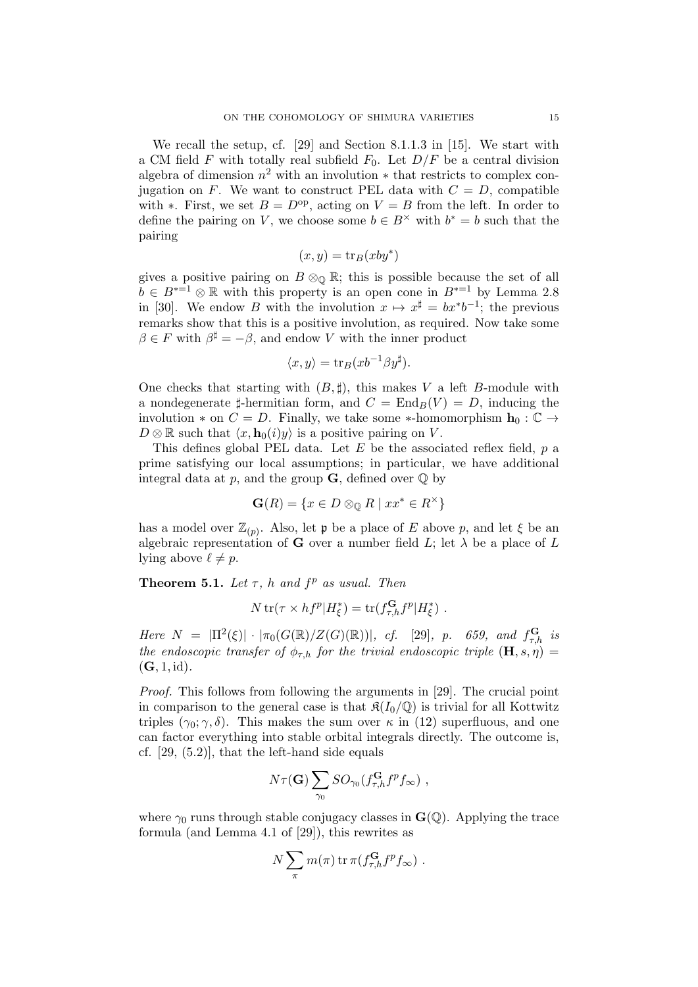We recall the setup, cf. [29] and Section 8.1.1.3 in [15]. We start with a CM field F with totally real subfield  $F_0$ . Let  $D/F$  be a central division algebra of dimension  $n^2$  with an involution  $*$  that restricts to complex conjugation on F. We want to construct PEL data with  $C = D$ , compatible with ∗. First, we set  $B = D^{\rm op}$ , acting on  $V = B$  from the left. In order to define the pairing on V, we choose some  $b \in B^{\times}$  with  $b^* = b$  such that the pairing

$$
(x, y) = \text{tr}_B(xy^*)
$$

gives a positive pairing on  $B \otimes_{\mathbb{Q}} \mathbb{R}$ ; this is possible because the set of all  $b \in B^{*-1} \otimes \mathbb{R}$  with this property is an open cone in  $B^{*-1}$  by Lemma 2.8 in [30]. We endow B with the involution  $x \mapsto x^{\sharp} = bx^*b^{-1}$ ; the previous remarks show that this is a positive involution, as required. Now take some  $\beta \in F$  with  $\beta^{\sharp} = -\beta$ , and endow V with the inner product

$$
\langle x, y \rangle = \text{tr}_B(xb^{-1}\beta y^{\sharp}).
$$

One checks that starting with  $(B, \sharp)$ , this makes V a left B-module with a nondegenerate  $\sharp$ -hermitian form, and  $C = \text{End}_B(V) = D$ , inducing the involution  $*$  on  $C = D$ . Finally, we take some  $*$ -homomorphism  $\mathbf{h}_0 : \mathbb{C} \to$  $D \otimes \mathbb{R}$  such that  $\langle x, \mathbf{h}_0(i)y \rangle$  is a positive pairing on V.

This defines global PEL data. Let  $E$  be the associated reflex field,  $p$  a prime satisfying our local assumptions; in particular, we have additional integral data at p, and the group  $\mathbf{G}$ , defined over  $\mathbb{Q}$  by

$$
\mathbf{G}(R) = \{ x \in D \otimes_{\mathbb{Q}} R \mid xx^* \in R^\times \}
$$

has a model over  $\mathbb{Z}_{(p)}$ . Also, let p be a place of E above p, and let  $\xi$  be an algebraic representation of **G** over a number field  $L$ ; let  $\lambda$  be a place of  $L$ lying above  $\ell \neq p$ .

**Theorem 5.1.** Let  $\tau$ , h and  $f^p$  as usual. Then

$$
N \operatorname{tr}(\tau \times h f^p | H_{\xi}^*) = \operatorname{tr}(f_{\tau,h}^{\mathbf{G}} f^p | H_{\xi}^*) .
$$

Here  $N = |\Pi^2(\xi)| \cdot |\pi_0(G(\mathbb{R})/Z(G)(\mathbb{R}))|$ , cf. [29], p. 659, and  $f_{\tau,h}^{\mathbf{G}}$  is the endoscopic transfer of  $\phi_{\tau,h}$  for the trivial endoscopic triple  $(\mathbf{H}, s, \eta) =$  $(G, 1, id).$ 

Proof. This follows from following the arguments in [29]. The crucial point in comparison to the general case is that  $\mathfrak{K}(I_0/\mathbb{Q})$  is trivial for all Kottwitz triples  $(\gamma_0; \gamma, \delta)$ . This makes the sum over  $\kappa$  in (12) superfluous, and one can factor everything into stable orbital integrals directly. The outcome is, cf. [29, (5.2)], that the left-hand side equals

$$
N\tau(\mathbf{G})\sum_{\gamma_0} SO_{\gamma_0}(f_{\tau,h}^{\mathbf{G}}f^p f_{\infty}),
$$

where  $\gamma_0$  runs through stable conjugacy classes in  $\mathbf{G}(\mathbb{Q})$ . Applying the trace formula (and Lemma 4.1 of [29]), this rewrites as

$$
N\sum_{\pi} m(\pi) \operatorname{tr} \pi(f_{\tau,h}^{\mathbf{G}} f^p f_{\infty}) .
$$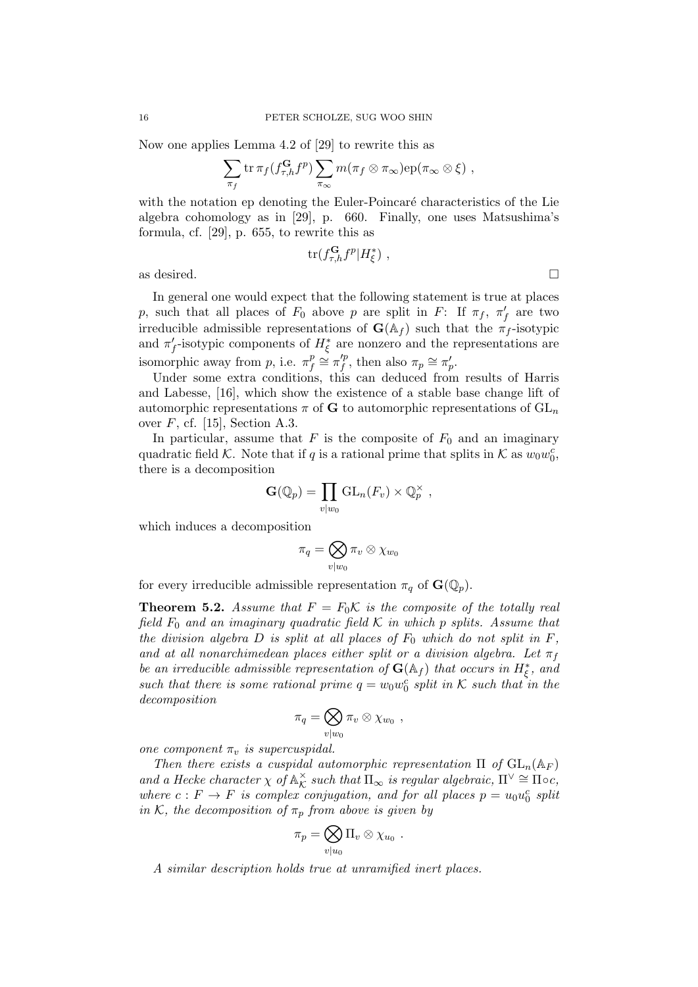Now one applies Lemma 4.2 of [29] to rewrite this as

$$
\sum_{\pi_f} \operatorname{tr} \pi_f(f_{\tau,h}^{\mathbf{G}} f^p) \sum_{\pi_\infty} m(\pi_f \otimes \pi_\infty) \operatorname{ep}(\pi_\infty \otimes \xi) ,
$$

with the notation ep denoting the Euler-Poincaré characteristics of the Lie algebra cohomology as in [29], p. 660. Finally, one uses Matsushima's formula, cf. [29], p. 655, to rewrite this as

$$
\text{tr}(f_{\tau,h}^{\mathbf{G}}f^p|H_{\xi}^*)\ ,
$$

as desired.  $\Box$ 

In general one would expect that the following statement is true at places p, such that all places of  $F_0$  above p are split in F: If  $\pi_f$ ,  $\pi'_f$  are two irreducible admissible representations of  $\mathbf{G}(\mathbb{A}_f)$  such that the  $\pi_f$ -isotypic and  $\pi'_f$ -isotypic components of  $H^*_\xi$  are nonzero and the representations are isomorphic away from p, i.e.  $\pi_f^p$  $\frac{p}{f} \cong \pi'^p_f$  $x'^p_f$ , then also  $\pi_p \cong \pi'_p$ .

Under some extra conditions, this can deduced from results of Harris and Labesse, [16], which show the existence of a stable base change lift of automorphic representations  $\pi$  of G to automorphic representations of  $GL_n$ over  $F$ , cf. [15], Section A.3.

In particular, assume that  $F$  is the composite of  $F_0$  and an imaginary quadratic field K. Note that if q is a rational prime that splits in K as  $w_0w_0^c$ , there is a decomposition

$$
\mathbf{G}(\mathbb{Q}_p) = \prod_{v \mid w_0} \mathrm{GL}_n(F_v) \times \mathbb{Q}_p^{\times} ,
$$

which induces a decomposition

$$
\pi_q = \bigotimes_{v \mid w_0} \pi_v \otimes \chi_{w_0}
$$

for every irreducible admissible representation  $\pi_q$  of  $\mathbf{G}(\mathbb{Q}_p)$ .

**Theorem 5.2.** Assume that  $F = F_0 \mathcal{K}$  is the composite of the totally real field  $F_0$  and an imaginary quadratic field K in which p splits. Assume that the division algebra  $D$  is split at all places of  $F_0$  which do not split in  $F$ , and at all nonarchimedean places either split or a division algebra. Let  $\pi_f$ be an irreducible admissible representation of  $\mathbf{G}(\mathbb{A}_f)$  that occurs in  $H^*_\xi$ , and such that there is some rational prime  $q = w_0 w_0^c$  split in K such that in the decomposition

$$
\pi_q = \bigotimes_{v \mid w_0} \pi_v \otimes \chi_{w_0} ,
$$

one component  $\pi_v$  is supercuspidal.

Then there exists a cuspidal automorphic representation  $\Pi$  of  $GL_n(\mathbb{A}_F)$ and a Hecke character  $\chi$  of  $\mathbb{A}_K^{\times}$  $\underset{\mathcal{K}}{\times}$  such that  $\Pi_{\infty}$  is regular algebraic,  $\Pi^{\vee} \cong \Pi \circ c$ , where  $c: F \to F$  is complex conjugation, and for all places  $p = u_0 u_0^c$  split in K, the decomposition of  $\pi_p$  from above is given by

$$
\pi_p = \bigotimes_{v|u_0} \Pi_v \otimes \chi_{u_0} .
$$

A similar description holds true at unramified inert places.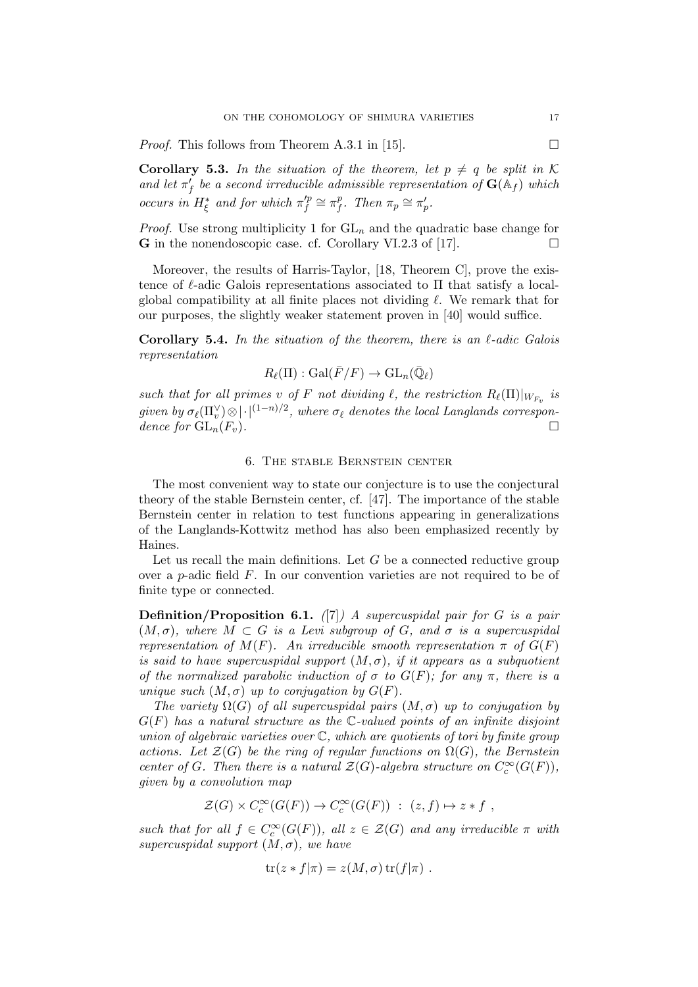*Proof.* This follows from Theorem A.3.1 in [15].  $\Box$ 

**Corollary 5.3.** In the situation of the theorem, let  $p \neq q$  be split in K and let  $\pi'_f$  be a second irreducible admissible representation of  $\mathbf{G}(\mathbb{A}_f)$  which occurs in  $H_{\xi}^*$  and for which  $\pi_{f}^{'p}$  $\zeta_f^p \cong \pi_f^p$  $_{f}^{p}$ . Then  $\pi_{p} \cong \pi_{p}'$ .

*Proof.* Use strong multiplicity 1 for  $GL_n$  and the quadratic base change for **G** in the nonendoscopic case. cf. Corollary VI.2.3 of [17].  $\Box$ 

Moreover, the results of Harris-Taylor, [18, Theorem C], prove the existence of  $\ell$ -adic Galois representations associated to  $\Pi$  that satisfy a localglobal compatibility at all finite places not dividing  $\ell$ . We remark that for our purposes, the slightly weaker statement proven in [40] would suffice.

Corollary 5.4. In the situation of the theorem, there is an  $\ell$ -adic Galois representation

$$
R_{\ell}(\Pi): \mathrm{Gal}(\bar{F}/F) \to \mathrm{GL}_n(\bar{\mathbb{Q}}_{\ell})
$$

such that for all primes v of F not dividing  $\ell$ , the restriction  $R_{\ell}(\Pi)|_{W_{F_v}}$  is given by  $\sigma_{\ell}(\Pi_v^{\vee}) \otimes | \cdot |^{(1-n)/2}$ , where  $\sigma_{\ell}$  denotes the local Langlands correspondence for  $GL_n(F_n)$ .

# 6. The stable Bernstein center

The most convenient way to state our conjecture is to use the conjectural theory of the stable Bernstein center, cf. [47]. The importance of the stable Bernstein center in relation to test functions appearing in generalizations of the Langlands-Kottwitz method has also been emphasized recently by Haines.

Let us recall the main definitions. Let  $G$  be a connected reductive group over a p-adic field F. In our convention varieties are not required to be of finite type or connected.

**Definition/Proposition 6.1.** ([7]) A supercuspidal pair for G is a pair  $(M, \sigma)$ , where  $M \subset G$  is a Levi subgroup of G, and  $\sigma$  is a supercuspidal representation of  $M(F)$ . An irreducible smooth representation  $\pi$  of  $G(F)$ is said to have supercuspidal support  $(M, \sigma)$ , if it appears as a subquotient of the normalized parabolic induction of  $\sigma$  to  $G(F)$ ; for any  $\pi$ , there is a unique such  $(M, \sigma)$  up to conjugation by  $G(F)$ .

The variety  $\Omega(G)$  of all supercuspidal pairs  $(M, \sigma)$  up to conjugation by  $G(F)$  has a natural structure as the C-valued points of an infinite disjoint union of algebraic varieties over  $\mathbb C$ , which are quotients of tori by finite group actions. Let  $\mathcal{Z}(G)$  be the ring of regular functions on  $\Omega(G)$ , the Bernstein center of G. Then there is a natural  $\mathcal{Z}(G)$ -algebra structure on  $C_c^{\infty}(G(F))$ , given by a convolution map

$$
\mathcal{Z}(G) \times C_c^{\infty}(G(F)) \to C_c^{\infty}(G(F)) : (z, f) \mapsto z * f,
$$

such that for all  $f \in C_c^{\infty}(G(F))$ , all  $z \in \mathcal{Z}(G)$  and any irreducible  $\pi$  with supercuspidal support  $(M, \sigma)$ , we have

$$
\operatorname{tr}(z * f | \pi) = z(M, \sigma) \operatorname{tr}(f | \pi) .
$$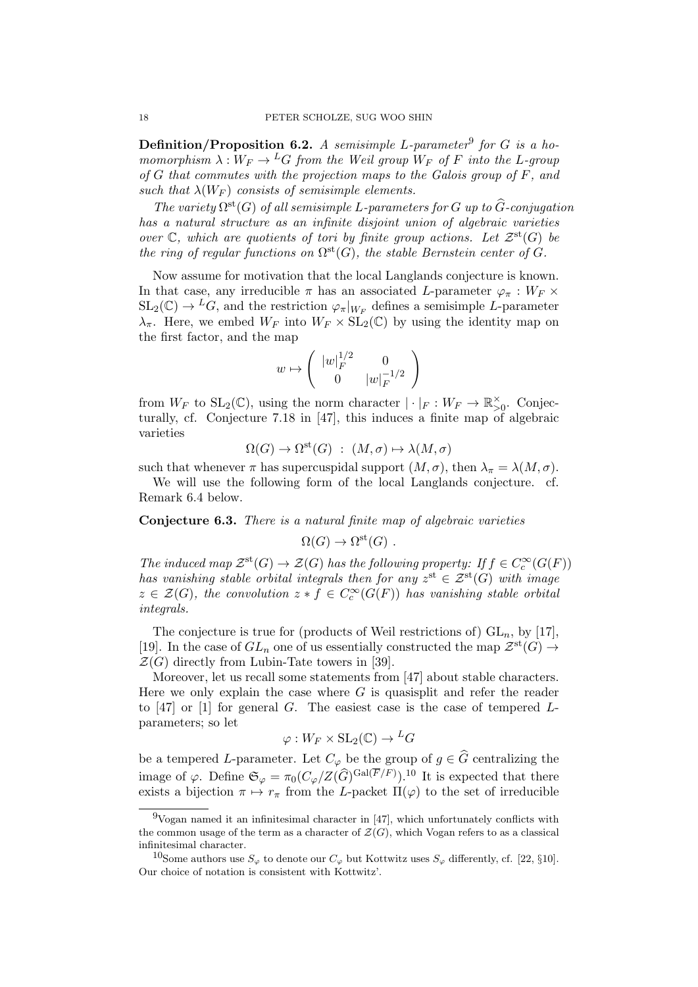Definition/Proposition 6.2. A semisimple L-parameter<sup>9</sup> for G is a homomorphism  $\lambda: W_F \to {}^L G$  from the Weil group  $W_F$  of F into the L-group of  $G$  that commutes with the projection maps to the Galois group of  $F$ , and such that  $\lambda(W_F)$  consists of semisimple elements.

The variety  $\Omega^{\text{st}}(G)$  of all semisimple L-parameters for G up to  $\widehat{G}$ -conjugation has a natural structure as an infinite disjoint union of algebraic varieties over  $\mathbb C$ , which are quotients of tori by finite group actions. Let  $\mathcal Z^{\rm st}(G)$  be the ring of regular functions on  $\Omega^{\rm st}(G)$ , the stable Bernstein center of G.

Now assume for motivation that the local Langlands conjecture is known. In that case, any irreducible  $\pi$  has an associated L-parameter  $\varphi_{\pi}: W_F \times$  $SL_2(\mathbb{C}) \to {}^L G$ , and the restriction  $\varphi_{\pi}|_{W_F}$  defines a semisimple L-parameter  $\lambda_{\pi}$ . Here, we embed  $W_F$  into  $W_F \times SL_2(\mathbb{C})$  by using the identity map on the first factor, and the map

$$
w\mapsto \left(\begin{array}{cc} |w|_F^{1/2} & 0 \\ 0 & |w|_F^{-1/2} \end{array}\right)
$$

from  $W_F$  to  $SL_2(\mathbb{C})$ , using the norm character  $|\cdot|_F: W_F \to \mathbb{R}_{>0}^{\times}$ . Conjecturally, cf. Conjecture 7.18 in [47], this induces a finite map of algebraic varieties

$$
\Omega(G) \to \Omega^{\text{st}}(G) : (M, \sigma) \mapsto \lambda(M, \sigma)
$$

such that whenever  $\pi$  has supercuspidal support  $(M, \sigma)$ , then  $\lambda_{\pi} = \lambda(M, \sigma)$ .

We will use the following form of the local Langlands conjecture. cf. Remark 6.4 below.

Conjecture 6.3. There is a natural finite map of algebraic varieties

$$
\Omega(G) \to \Omega^{\rm st}(G) .
$$

The induced map  $\mathcal{Z}^{st}(G) \to \mathcal{Z}(G)$  has the following property: If  $f \in C_c^{\infty}(G(F))$ has vanishing stable orbital integrals then for any  $z^{\text{st}} \in \mathcal{Z}^{\text{st}}(G)$  with image  $z \in \mathcal{Z}(G)$ , the convolution  $z * f \in C_c^{\infty}(G(F))$  has vanishing stable orbital integrals.

The conjecture is true for (products of Weil restrictions of)  $GL_n$ , by [17], [19]. In the case of  $GL_n$  one of us essentially constructed the map  $\mathcal{Z}^{\text{st}}(G) \to$  $\mathcal{Z}(G)$  directly from Lubin-Tate towers in [39].

Moreover, let us recall some statements from [47] about stable characters. Here we only explain the case where  $G$  is quasisplit and refer the reader to  $[47]$  or  $[1]$  for general  $G$ . The easiest case is the case of tempered  $L$ parameters; so let

$$
\varphi: W_F \times SL_2(\mathbb{C}) \to {}^L G
$$

be a tempered L-parameter. Let  $C_{\varphi}$  be the group of  $g \in \widehat{G}$  centralizing the image of  $\varphi$ . Define  $\mathfrak{S}_{\varphi} = \pi_0 (C_{\varphi}/Z(\widehat{G})^{\text{Gal}(\overline{F}/F)})^{10}$  It is expected that there exists a bijection  $\pi \mapsto r_{\pi}$  from the L-packet  $\Pi(\varphi)$  to the set of irreducible

 $9$ Vogan named it an infinitesimal character in [47], which unfortunately conflicts with the common usage of the term as a character of  $\mathcal{Z}(G)$ , which Vogan refers to as a classical infinitesimal character.

<sup>&</sup>lt;sup>10</sup>Some authors use  $S_{\varphi}$  to denote our  $C_{\varphi}$  but Kottwitz uses  $S_{\varphi}$  differently, cf. [22, §10]. Our choice of notation is consistent with Kottwitz'.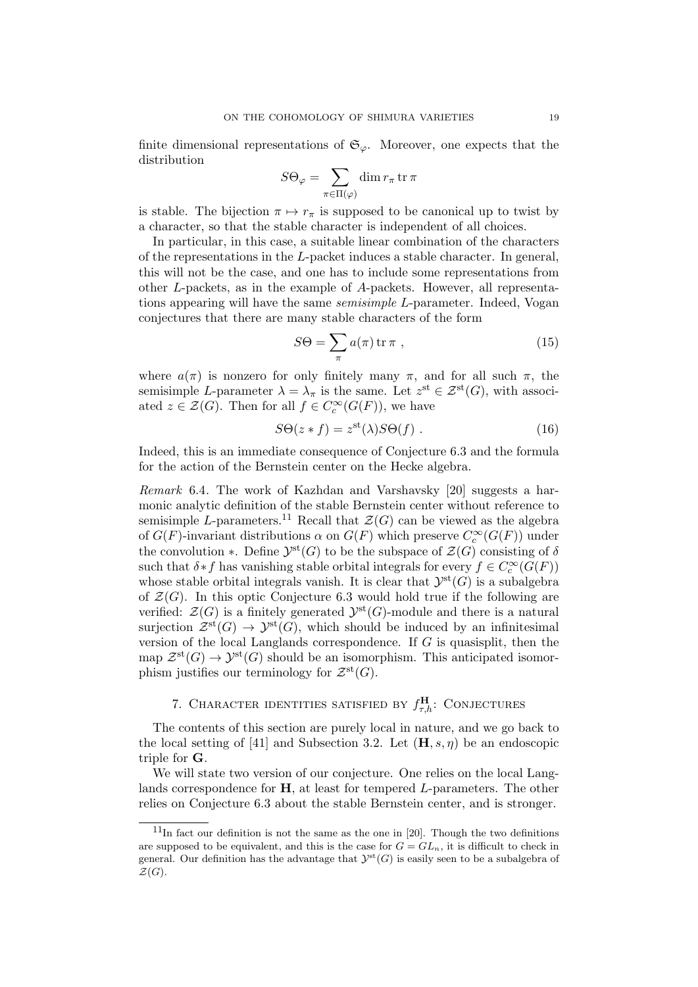finite dimensional representations of  $\mathfrak{S}_{\varphi}$ . Moreover, one expects that the distribution

$$
S\Theta_{\varphi} = \sum_{\pi \in \Pi(\varphi)} \dim r_{\pi} \operatorname{tr} \pi
$$

is stable. The bijection  $\pi \mapsto r_{\pi}$  is supposed to be canonical up to twist by a character, so that the stable character is independent of all choices.

In particular, in this case, a suitable linear combination of the characters of the representations in the L-packet induces a stable character. In general, this will not be the case, and one has to include some representations from other L-packets, as in the example of A-packets. However, all representations appearing will have the same semisimple L-parameter. Indeed, Vogan conjectures that there are many stable characters of the form

$$
S\Theta = \sum_{\pi} a(\pi) \operatorname{tr} \pi \;, \tag{15}
$$

where  $a(\pi)$  is nonzero for only finitely many  $\pi$ , and for all such  $\pi$ , the semisimple L-parameter  $\lambda = \lambda_{\pi}$  is the same. Let  $z^{\text{st}} \in \mathcal{Z}^{\text{st}}(G)$ , with associated  $z \in \mathcal{Z}(G)$ . Then for all  $f \in C_c^{\infty}(G(F))$ , we have

$$
S\Theta(z*f) = z^{st}(\lambda)S\Theta(f) \tag{16}
$$

Indeed, this is an immediate consequence of Conjecture 6.3 and the formula for the action of the Bernstein center on the Hecke algebra.

Remark 6.4. The work of Kazhdan and Varshavsky [20] suggests a harmonic analytic definition of the stable Bernstein center without reference to semisimple L-parameters.<sup>11</sup> Recall that  $\mathcal{Z}(G)$  can be viewed as the algebra of  $G(F)$ -invariant distributions  $\alpha$  on  $G(F)$  which preserve  $C_c^{\infty}(G(F))$  under the convolution  $\ast$ . Define  $\mathcal{Y}^{\text{st}}(G)$  to be the subspace of  $\mathcal{Z}(G)$  consisting of  $\delta$ such that  $\delta * f$  has vanishing stable orbital integrals for every  $f \in C_c^{\infty}(G(F))$ whose stable orbital integrals vanish. It is clear that  $\mathcal{Y}^{st}(G)$  is a subalgebra of  $\mathcal{Z}(G)$ . In this optic Conjecture 6.3 would hold true if the following are verified:  $\mathcal{Z}(G)$  is a finitely generated  $\mathcal{Y}^{\text{st}}(G)$ -module and there is a natural surjection  $\mathcal{Z}^{st}(G) \to \mathcal{Y}^{st}(G)$ , which should be induced by an infinitesimal version of the local Langlands correspondence. If  $G$  is quasisplit, then the map  $\mathcal{Z}^{\rm st}(G) \to \mathcal{Y}^{\rm st}(G)$  should be an isomorphism. This anticipated isomorphism justifies our terminology for  $\mathcal{Z}^{\text{st}}(G)$ .

# 7. CHARACTER IDENTITIES SATISFIED BY  $f_{\tau,h}^{\text{H}}$ : CONJECTURES

The contents of this section are purely local in nature, and we go back to the local setting of [41] and Subsection 3.2. Let  $(\mathbf{H}, s, \eta)$  be an endoscopic triple for G.

We will state two version of our conjecture. One relies on the local Langlands correspondence for **H**, at least for tempered L-parameters. The other relies on Conjecture 6.3 about the stable Bernstein center, and is stronger.

 $11$ In fact our definition is not the same as the one in [20]. Though the two definitions are supposed to be equivalent, and this is the case for  $G = GL_n$ , it is difficult to check in general. Our definition has the advantage that  $\mathcal{Y}^{\text{st}}(G)$  is easily seen to be a subalgebra of  $\mathcal{Z}(G)$ .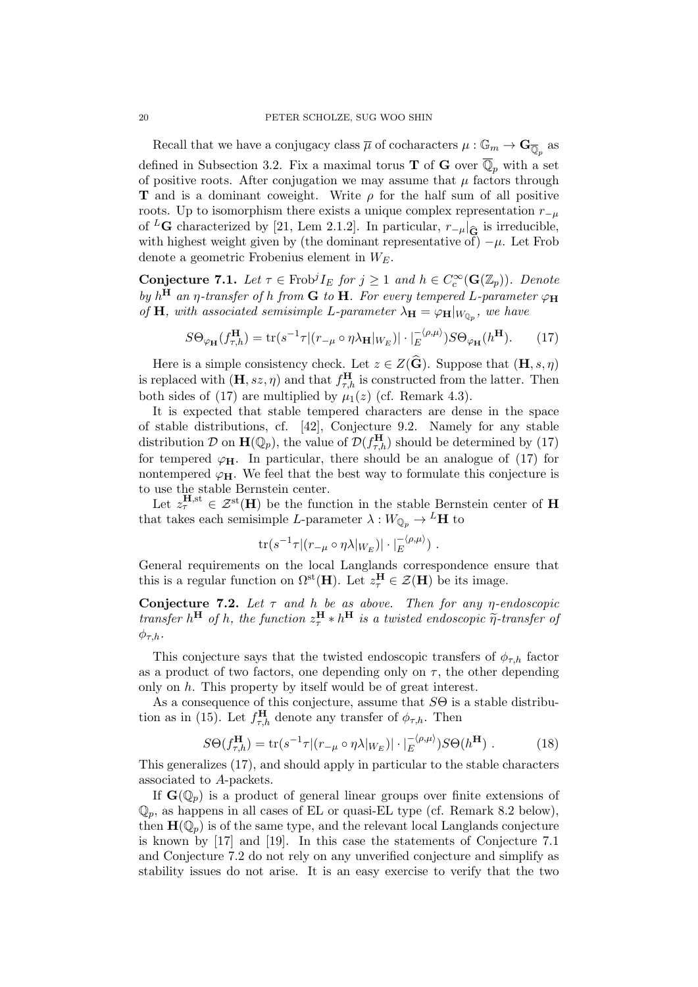Recall that we have a conjugacy class  $\overline{\mu}$  of cocharacters  $\mu: \mathbb{G}_m \to \mathbf{G}_{\overline{\mathbb{Q}}_p}$  as defined in Subsection 3.2. Fix a maximal torus **T** of **G** over  $\overline{\mathbb{Q}}_p$  with a set of positive roots. After conjugation we may assume that  $\mu$  factors through **T** and is a dominant coweight. Write  $\rho$  for the half sum of all positive roots. Up to isomorphism there exists a unique complex representation  $r_{-\mu}$ of <sup>L</sup>G characterized by [21, Lem 2.1.2]. In particular,  $r_{-\mu}|_{\widehat{G}}$  is irreducible, with highest weight given by (the dominant representative of)  $-\mu$ . Let Frob denote a geometric Frobenius element in  $W_E$ .

**Conjecture 7.1.** Let  $\tau \in \text{Frob}^j I_E$  for  $j \geq 1$  and  $h \in C_c^{\infty}(\mathbf{G}(\mathbb{Z}_p))$ . Denote by  $h^{\text{H}}$  an  $\eta$ -transfer of h from **G** to **H**. For every tempered L-parameter  $\varphi_{\text{H}}$ of **H**, with associated semisimple L-parameter  $\lambda_{\mathbf{H}} = \varphi_{\mathbf{H}}|_{W_{\mathbb{Q}_p}}$ , we have

$$
S\Theta_{\varphi_{\mathbf{H}}}(f_{\tau,h}^{\mathbf{H}}) = \text{tr}(s^{-1}\tau | (r_{-\mu} \circ \eta \lambda_{\mathbf{H}}|_{W_E}) | \cdot |_{E}^{-\langle \rho,\mu \rangle}) S\Theta_{\varphi_{\mathbf{H}}}(h^{\mathbf{H}}).
$$
 (17)

Here is a simple consistency check. Let  $z \in Z(\widehat{G})$ . Suppose that  $(H, s, \eta)$ is replaced with  $(\mathbf{H}, ss, \eta)$  and that  $f_{\tau,h}^{\mathbf{H}}$  is constructed from the latter. Then both sides of (17) are multiplied by  $\mu_1(z)$  (cf. Remark 4.3).

It is expected that stable tempered characters are dense in the space of stable distributions, cf. [42], Conjecture 9.2. Namely for any stable distribution D on  $\mathbf{H}(\mathbb{Q}_p)$ , the value of  $\mathcal{D}(f_{\tau,h}^{\mathbf{H}})$  should be determined by (17) for tempered  $\varphi_H$ . In particular, there should be an analogue of (17) for nontempered  $\varphi_H$ . We feel that the best way to formulate this conjecture is to use the stable Bernstein center.

Let  $z_{\tau}^{\mathbf{H},\mathrm{st}} \in \mathcal{Z}^{\mathrm{st}}(\mathbf{H})$  be the function in the stable Bernstein center of H that takes each semisimple L-parameter  $\lambda:W_{\mathbb{Q}_p}\to {}^L\mathbf{H}$  to

$$
\mathrm{tr}(s^{-1}\tau|(r_{-\mu}\circ\eta\lambda|_{W_E})|\cdot|_E^{-\langle\rho,\mu\rangle})\ .
$$

General requirements on the local Langlands correspondence ensure that this is a regular function on  $\Omega^{\rm st}(\mathbf{H})$ . Let  $z_{\tau}^{\mathbf{H}} \in \mathcal{Z}(\mathbf{H})$  be its image.

Conjecture 7.2. Let  $\tau$  and h be as above. Then for any  $\eta$ -endoscopic transfer  $h^{\text{H}}$  of h, the function  $z_{\tau}^{\text{H}} * h^{\text{H}}$  is a twisted endoscopic  $\widetilde{\eta}$ -transfer of  $\phi_{\tau,h}$ .

This conjecture says that the twisted endoscopic transfers of  $\phi_{\tau,h}$  factor as a product of two factors, one depending only on  $\tau$ , the other depending only on h. This property by itself would be of great interest.

As a consequence of this conjecture, assume that  $S\Theta$  is a stable distribution as in (15). Let  $f_{\tau,h}^{\mathbf{H}}$  denote any transfer of  $\phi_{\tau,h}$ . Then

$$
S\Theta(f_{\tau,h}^{\mathbf{H}}) = \text{tr}(s^{-1}\tau | (r_{-\mu} \circ \eta \lambda |_{W_E}) | \cdot |_{E}^{-\langle \rho, \mu \rangle}) S\Theta(h^{\mathbf{H}}) . \tag{18}
$$

This generalizes (17), and should apply in particular to the stable characters associated to A-packets.

If  $\mathbf{G}(\mathbb{Q}_p)$  is a product of general linear groups over finite extensions of  $\mathbb{Q}_p$ , as happens in all cases of EL or quasi-EL type (cf. Remark 8.2 below), then  $\mathbf{H}(\mathbb{Q}_p)$  is of the same type, and the relevant local Langlands conjecture is known by [17] and [19]. In this case the statements of Conjecture 7.1 and Conjecture 7.2 do not rely on any unverified conjecture and simplify as stability issues do not arise. It is an easy exercise to verify that the two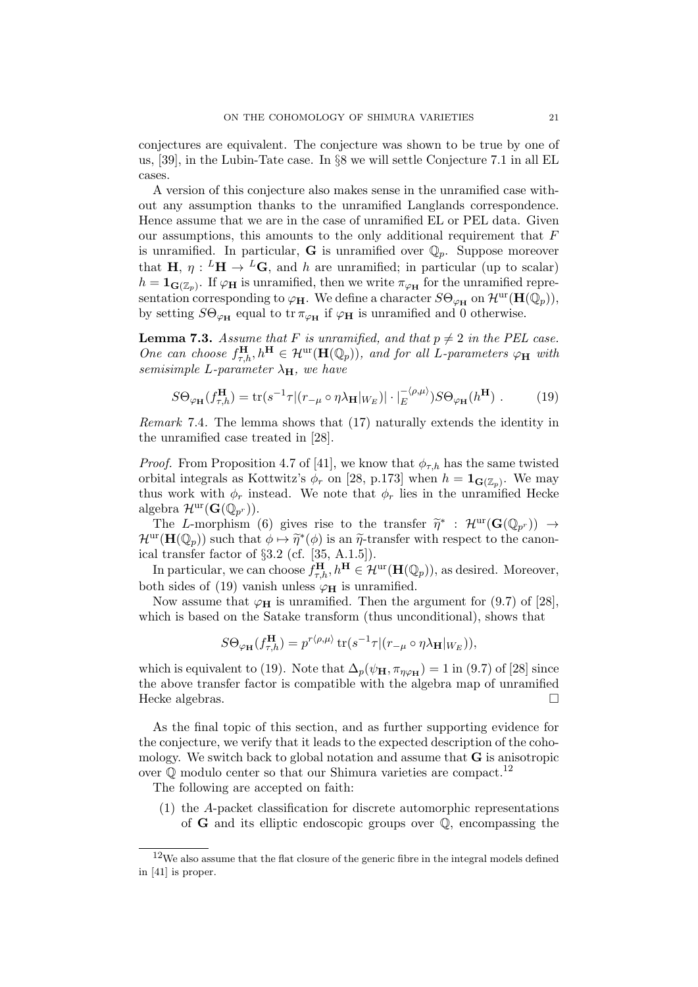conjectures are equivalent. The conjecture was shown to be true by one of us, [39], in the Lubin-Tate case. In §8 we will settle Conjecture 7.1 in all EL cases.

A version of this conjecture also makes sense in the unramified case without any assumption thanks to the unramified Langlands correspondence. Hence assume that we are in the case of unramified EL or PEL data. Given our assumptions, this amounts to the only additional requirement that F is unramified. In particular, **G** is unramified over  $\mathbb{Q}_p$ . Suppose moreover that  $H, \eta: {}^L H \to {}^L G$ , and h are unramified; in particular (up to scalar)  $h = \mathbf{1}_{\mathbf{G}(\mathbb{Z}_p)}$ . If  $\varphi_H$  is unramified, then we write  $\pi_{\varphi_H}$  for the unramified representation corresponding to  $\varphi_H$ . We define a character  $S\Theta_{\varphi_H}$  on  $\mathcal{H}^{\text{ur}}(\mathbf{H}(\mathbb{Q}_p))$ , by setting  $S\Theta_{\varphi_{\mathbf{H}}}$  equal to tr  $\pi_{\varphi_{\mathbf{H}}}$  if  $\varphi_{\mathbf{H}}$  is unramified and 0 otherwise.

**Lemma 7.3.** Assume that F is unramified, and that  $p \neq 2$  in the PEL case. One can choose  $f_{\tau,h}^{\mathbf{H}}, h^{\mathbf{H}} \in \mathcal{H}^{\text{ur}}(\mathbf{H}(\mathbb{Q}_p)),$  and for all L-parameters  $\varphi_{\mathbf{H}}$  with semisimple L-parameter  $\lambda_{H}$ , we have

$$
S\Theta_{\varphi_{\mathbf{H}}}(f_{\tau,h}^{\mathbf{H}}) = \text{tr}(s^{-1}\tau | (r_{-\mu} \circ \eta \lambda_{\mathbf{H}}|_{W_E}) | \cdot |_{E}^{-\langle \rho,\mu \rangle}) S\Theta_{\varphi_{\mathbf{H}}}(h^{\mathbf{H}}) . \tag{19}
$$

Remark 7.4. The lemma shows that (17) naturally extends the identity in the unramified case treated in [28].

*Proof.* From Proposition 4.7 of [41], we know that  $\phi_{\tau,h}$  has the same twisted orbital integrals as Kottwitz's  $\phi_r$  on [28, p.173] when  $h = \mathbf{1}_{\mathbf{G}(\mathbb{Z}_p)}$ . We may thus work with  $\phi_r$  instead. We note that  $\phi_r$  lies in the unramified Hecke algebra  $\mathcal{H}^{\text{ur}}(\mathbf{G}(\mathbb{Q}_{p^r})).$ 

The L-morphism (6) gives rise to the transfer  $\tilde{\eta}^*$ :  $\mathcal{H}^{\text{ur}}(\mathbf{G}(\mathbb{Q}_{p^r})) \rightarrow$ <br> ${}^{\text{ur}}(\mathbf{H}(\mathbb{Q}_{p^r}))$  such that  $\phi \mapsto \tilde{\eta}^*(\phi)$  is an  $\tilde{\eta}$ -transfer with respect to the canon- $\mathcal{H}^{\text{ur}}(\mathbf{H}(\mathbb{Q}_p))$  such that  $\phi \mapsto \tilde{\eta}^*(\phi)$  is an  $\tilde{\eta}$ -transfer with respect to the canon-<br>ical transfer factor of 83.2 (cf. [35, A, 1.5]) ical transfer factor of §3.2 (cf. [35, A.1.5]).

In particular, we can choose  $f_{\tau,h}^{\mathbf{H}}, h^{\mathbf{H}} \in \mathcal{H}^{\text{ur}}(\mathbf{H}(\mathbb{Q}_p)),$  as desired. Moreover, both sides of (19) vanish unless  $\varphi_H$  is unramified.

Now assume that  $\varphi_H$  is unramified. Then the argument for (9.7) of [28], which is based on the Satake transform (thus unconditional), shows that

$$
S\Theta_{\varphi_{\mathbf{H}}}(f_{\tau,h}^{\mathbf{H}})=p^{r\langle\rho,\mu\rangle}\operatorname{tr}(s^{-1}\tau|(r_{-\mu}\circ\eta\lambda_{\mathbf{H}}|_{W_E})),
$$

which is equivalent to (19). Note that  $\Delta_p(\psi_H, \pi_{\eta \varphi_H}) = 1$  in (9.7) of [28] since the above transfer factor is compatible with the algebra map of unramified Hecke algebras.

As the final topic of this section, and as further supporting evidence for the conjecture, we verify that it leads to the expected description of the cohomology. We switch back to global notation and assume that  **is anisotropic** over  $\mathbb O$  modulo center so that our Shimura varieties are compact.<sup>12</sup>

The following are accepted on faith:

(1) the A-packet classification for discrete automorphic representations of G and its elliptic endoscopic groups over Q, encompassing the

<sup>12</sup>We also assume that the flat closure of the generic fibre in the integral models defined in [41] is proper.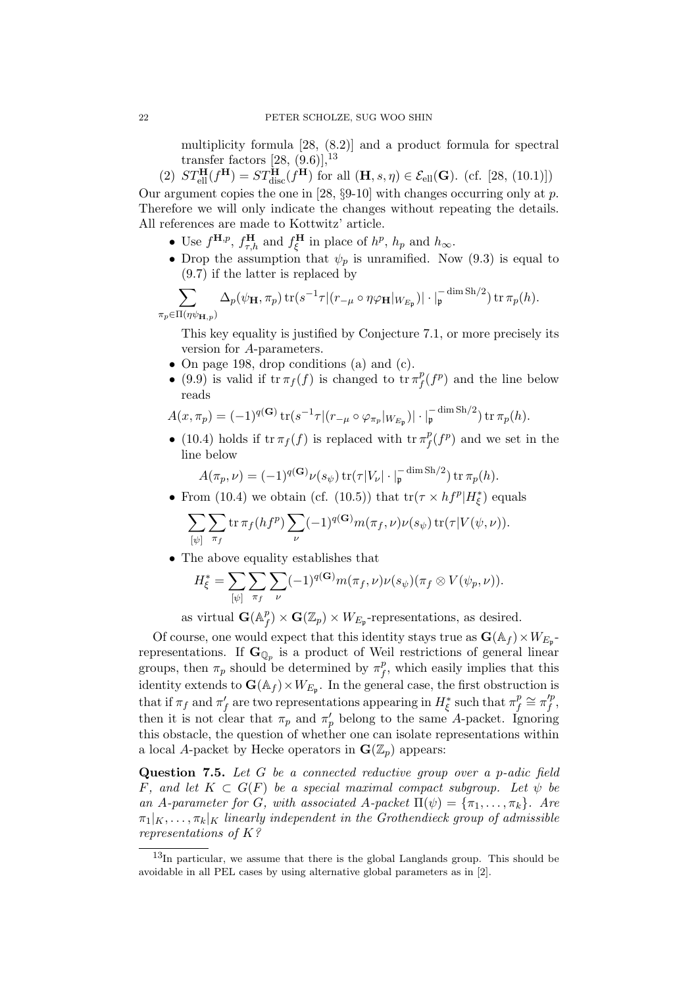multiplicity formula [28, (8.2)] and a product formula for spectral transfer factors  $[28, (9.6)]$ ,  $^{13}$ 

(2)  $ST_{\text{ell}}^{\text{H}}(f^{\text{H}}) = ST_{\text{disc}}^{\text{H}}(f^{\text{H}})$  for all  $(\text{H}, s, \eta) \in \mathcal{E}_{\text{ell}}(\text{G})$ . (cf. [28, (10.1)])

Our argument copies the one in [28,  $\S 9$ -10] with changes occurring only at p. Therefore we will only indicate the changes without repeating the details. All references are made to Kottwitz' article.

- Use  $f^{\mathbf{H},p}$ ,  $f^{\mathbf{H}}_{\tau,h}$  and  $f^{\mathbf{H}}_{\xi}$  in place of  $h^p$ ,  $h_p$  and  $h_{\infty}$ .
- Drop the assumption that  $\psi_p$  is unramified. Now (9.3) is equal to (9.7) if the latter is replaced by

$$
\sum_{\Pi(\eta\psi_{\mathbf{H},p})}\Delta_p(\psi_{\mathbf{H}},\pi_p)\operatorname{tr}(s^{-1}\tau|(r_{-\mu}\circ\eta\varphi_{\mathbf{H}}|_{W_{E_{\mathfrak{p}}}})|\cdot|_{\mathfrak{p}}^{-\dim\operatorname{Sh}/2})\operatorname{tr}\pi_p(h).
$$

This key equality is justified by Conjecture 7.1, or more precisely its version for A-parameters.

- On page 198, drop conditions (a) and (c).
- (9.9) is valid if  $\operatorname{tr} \pi_f(f)$  is changed to  $\operatorname{tr} \pi_f^p$  $f(f<sup>p</sup>)$  and the line below reads

$$
A(x,\pi_p) = (-1)^{q(\mathbf{G})} \operatorname{tr} (s^{-1} \tau | (r_{-\mu} \circ \varphi_{\pi_p} |_{W_{E_{\mathfrak{p}}}}) | \cdot |_{\mathfrak{p}}^{-\dim \operatorname{Sh}/2}) \operatorname{tr} \pi_p(h).
$$

• (10.4) holds if  $\operatorname{tr} \pi_f(f)$  is replaced with  $\operatorname{tr} \pi_f^p$  $f(f<sup>p</sup>)$  and we set in the line below

$$
A(\pi_p,\nu) = (-1)^{q(\mathbf{G})}\nu(s_{\psi})\operatorname{tr}(\tau|V_{\nu}|\cdot|_{\mathfrak{p}}^{-\dim \operatorname{Sh}/2})\operatorname{tr}\pi_p(h).
$$

• From (10.4) we obtain (cf. (10.5)) that  $\text{tr}(\tau \times h f^p | H^*_{\xi})$  equals

$$
\sum_{[\psi]} \sum_{\pi_f} \text{tr}\,\pi_f(h f^p) \sum_{\nu} (-1)^{q(\mathbf{G})} m(\pi_f, \nu) \nu(s_{\psi}) \,\text{tr}(\tau | V(\psi, \nu)).
$$

• The above equality establishes that

$$
H_{\xi}^* = \sum_{[\psi]} \sum_{\pi_f} \sum_{\nu} (-1)^{q(\mathbf{G})} m(\pi_f, \nu) \nu(s_{\psi})(\pi_f \otimes V(\psi_p, \nu)).
$$

as virtual  $\mathbf{G}(\mathbb{A}_{\mu}^{p})$  $f_f^p$  ×  $\mathbf{G}(\mathbb{Z}_p)$  ×  $W_{E_p}$ -representations, as desired.

Of course, one would expect that this identity stays true as  $\mathbf{G}(\mathbb{A}_f) \times W_{E_{\mathfrak{p}}}$ . representations. If  $\mathbf{G}_{\mathbb{Q}_p}$  is a product of Weil restrictions of general linear groups, then  $\pi_p$  should be determined by  $\pi_f^p$  $_{f}^{p}$ , which easily implies that this identity extends to  $\mathbf{G}(\mathbb{A}_f) \times W_{E_{\mathfrak{p}}}$ . In the general case, the first obstruction is that if  $\pi_f$  and  $\pi'_f$  are two representations appearing in  $H_{\xi}^*$  such that  $\pi_f^p$  $\tau_f^p \cong \pi_f'^p$  $\int\limits_f^{\prime}$ then it is not clear that  $\pi_p$  and  $\pi'_p$  belong to the same A-packet. Ignoring this obstacle, the question of whether one can isolate representations within a local A-packet by Hecke operators in  $\mathbf{G}(\mathbb{Z}_p)$  appears:

Question 7.5. Let G be a connected reductive group over a p-adic field F, and let  $K \subset G(F)$  be a special maximal compact subgroup. Let  $\psi$  be an A-parameter for G, with associated A-packet  $\Pi(\psi) = {\pi_1, \dots, \pi_k}$ . Are  $\pi_1|_K, \ldots, \pi_k|_K$  linearly independent in the Grothendieck group of admissible representations of K?

 $\pi_p \in$ 

<sup>13</sup>In particular, we assume that there is the global Langlands group. This should be avoidable in all PEL cases by using alternative global parameters as in [2].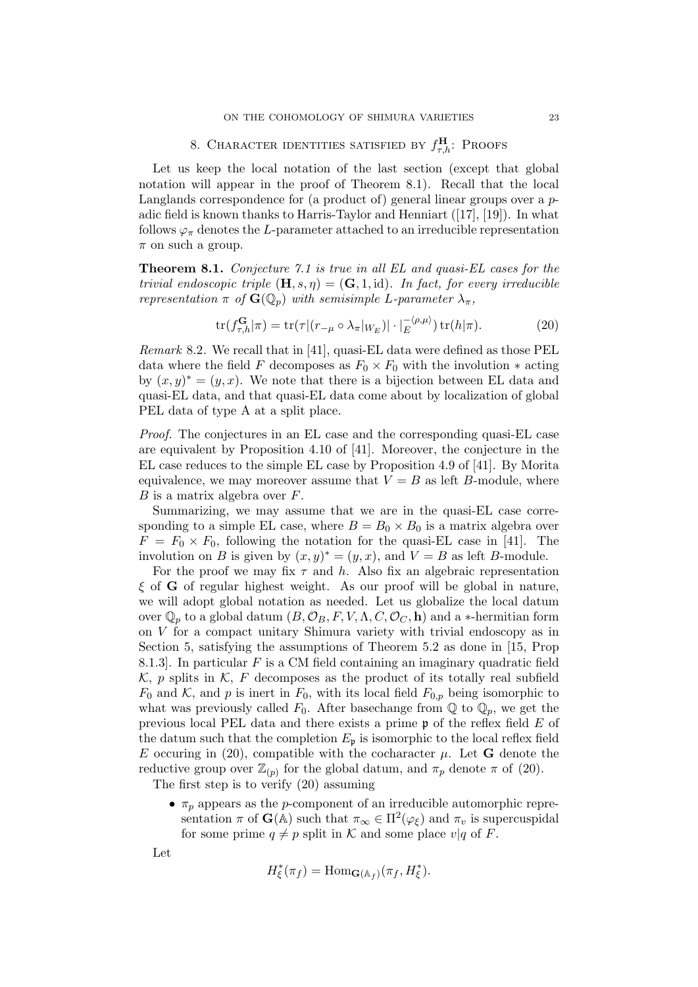# 8. CHARACTER IDENTITIES SATISFIED BY  $f_{\tau,h}^{\textbf{H}}$ : Proofs

Let us keep the local notation of the last section (except that global notation will appear in the proof of Theorem 8.1). Recall that the local Langlands correspondence for (a product of) general linear groups over a padic field is known thanks to Harris-Taylor and Henniart ([17], [19]). In what follows  $\varphi_{\pi}$  denotes the L-parameter attached to an irreducible representation  $\pi$  on such a group.

Theorem 8.1. Conjecture 7.1 is true in all EL and quasi-EL cases for the trivial endoscopic triple  $(\mathbf{H}, s, \eta) = (\mathbf{G}, 1, id)$ . In fact, for every irreducible representation  $\pi$  of  $\mathbf{G}(\mathbb{Q}_p)$  with semisimple L-parameter  $\lambda_{\pi}$ ,

$$
\text{tr}(f_{\tau,h}^{\mathbf{G}}|\pi) = \text{tr}(\tau|(r_{-\mu} \circ \lambda_{\pi}|_{W_E})| \cdot |_{E}^{-\langle \rho,\mu \rangle}) \,\text{tr}(h|\pi). \tag{20}
$$

*Remark* 8.2. We recall that in [41], quasi-EL data were defined as those PEL data where the field F decomposes as  $F_0 \times F_0$  with the involution  $*$  acting by  $(x, y)^* = (y, x)$ . We note that there is a bijection between EL data and quasi-EL data, and that quasi-EL data come about by localization of global PEL data of type A at a split place.

Proof. The conjectures in an EL case and the corresponding quasi-EL case are equivalent by Proposition 4.10 of [41]. Moreover, the conjecture in the EL case reduces to the simple EL case by Proposition 4.9 of [41]. By Morita equivalence, we may moreover assume that  $V = B$  as left B-module, where  $B$  is a matrix algebra over  $F$ .

Summarizing, we may assume that we are in the quasi-EL case corresponding to a simple EL case, where  $B = B_0 \times B_0$  is a matrix algebra over  $F = F_0 \times F_0$ , following the notation for the quasi-EL case in [41]. The involution on B is given by  $(x, y)^* = (y, x)$ , and  $V = B$  as left B-module.

For the proof we may fix  $\tau$  and h. Also fix an algebraic representation  $\xi$  of G of regular highest weight. As our proof will be global in nature, we will adopt global notation as needed. Let us globalize the local datum over  $\mathbb{Q}_p$  to a global datum  $(B, \mathcal{O}_B, F, V, \Lambda, C, \mathcal{O}_C, \mathbf{h})$  and a \*-hermitian form on V for a compact unitary Shimura variety with trivial endoscopy as in Section 5, satisfying the assumptions of Theorem 5.2 as done in [15, Prop 8.1.3. In particular  $F$  is a CM field containing an imaginary quadratic field  $\mathcal{K}, p$  splits in  $\mathcal{K}, F$  decomposes as the product of its totally real subfield  $F_0$  and K, and p is inert in  $F_0$ , with its local field  $F_{0,p}$  being isomorphic to what was previously called  $F_0$ . After basechange from  $\mathbb Q$  to  $\mathbb Q_p$ , we get the previous local PEL data and there exists a prime  $\mathfrak p$  of the reflex field  $E$  of the datum such that the completion  $E_p$  is isomorphic to the local reflex field E occuring in (20), compatible with the cocharacter  $\mu$ . Let **G** denote the reductive group over  $\mathbb{Z}_{(p)}$  for the global datum, and  $\pi_p$  denote  $\pi$  of (20).

The first step is to verify (20) assuming

•  $\pi_p$  appears as the *p*-component of an irreducible automorphic representation  $\pi$  of  $\mathbf{G}(\mathbb{A})$  such that  $\pi_{\infty} \in \Pi^2(\varphi_{\xi})$  and  $\pi_v$  is supercuspidal for some prime  $q \neq p$  split in K and some place  $v|q$  of F.

Let

$$
H_{\xi}^*(\pi_f) = \text{Hom}_{\mathbf{G}(\mathbb{A}_f)}(\pi_f, H_{\xi}^*).
$$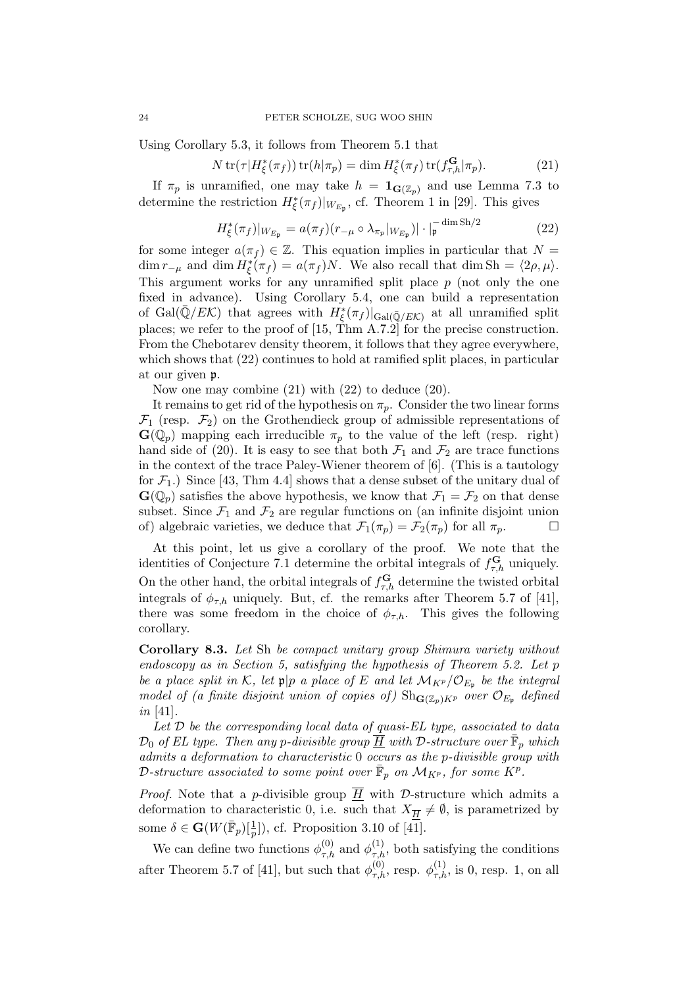Using Corollary 5.3, it follows from Theorem 5.1 that

$$
N \operatorname{tr}(\tau | H_{\xi}^*(\pi_f)) \operatorname{tr}(h|\pi_p) = \dim H_{\xi}^*(\pi_f) \operatorname{tr}(f_{\tau,h}^{\mathbf{G}}|\pi_p). \tag{21}
$$

If  $\pi_p$  is unramified, one may take  $h = \mathbf{1}_{\mathbf{G}(\mathbb{Z}_p)}$  and use Lemma 7.3 to determine the restriction  $H_{\xi}^{*}(\pi_{f})|_{W_{E_{\mathfrak{p}}}},$  cf. Theorem 1 in [29]. This gives

$$
H_{\xi}^{*}(\pi_{f})|_{W_{E_{\mathfrak{p}}}} = a(\pi_{f})(r_{-\mu} \circ \lambda_{\pi_{p}}|_{W_{E_{\mathfrak{p}}}})| \cdot |_{\mathfrak{p}}^{-\dim \operatorname{Sh}/2}
$$
(22)

for some integer  $a(\pi_f) \in \mathbb{Z}$ . This equation implies in particular that  $N =$  $\dim r_{-\mu}$  and  $\dim H_{\xi}^*(\pi_f) = a(\pi_f)N$ . We also recall that  $\dim Sh = \langle 2\rho, \mu \rangle$ . This argument works for any unramified split place  $p$  (not only the one fixed in advance). Using Corollary 5.4, one can build a representation of Gal( $\bar{Q}/E\mathcal{K}$ ) that agrees with  $H_{\xi}^{*}(\pi_{f})|_{Gal(\bar{Q}/E\mathcal{K})}$  at all unramified split places; we refer to the proof of  $[15, Thm A.7.2]$  for the precise construction. From the Chebotarev density theorem, it follows that they agree everywhere, which shows that  $(22)$  continues to hold at ramified split places, in particular at our given p.

Now one may combine (21) with (22) to deduce (20).

It remains to get rid of the hypothesis on  $\pi_p$ . Consider the two linear forms  $\mathcal{F}_1$  (resp.  $\mathcal{F}_2$ ) on the Grothendieck group of admissible representations of  $\mathbf{G}(\mathbb{Q}_p)$  mapping each irreducible  $\pi_p$  to the value of the left (resp. right) hand side of (20). It is easy to see that both  $\mathcal{F}_1$  and  $\mathcal{F}_2$  are trace functions in the context of the trace Paley-Wiener theorem of [6]. (This is a tautology for  $\mathcal{F}_1$ .) Since [43, Thm 4.4] shows that a dense subset of the unitary dual of  $\mathbf{G}(\mathbb{Q}_p)$  satisfies the above hypothesis, we know that  $\mathcal{F}_1 = \mathcal{F}_2$  on that dense subset. Since  $\mathcal{F}_1$  and  $\mathcal{F}_2$  are regular functions on (an infinite disjoint union of) algebraic varieties, we deduce that  $\mathcal{F}_1(\pi_p) = \mathcal{F}_2(\pi_p)$  for all  $\pi_p$ .

At this point, let us give a corollary of the proof. We note that the identities of Conjecture 7.1 determine the orbital integrals of  $f_{\tau,h}^{\mathbf{G}}$  uniquely. On the other hand, the orbital integrals of  $f_{\tau,h}^{\mathbf{G}}$  determine the twisted orbital integrals of  $\phi_{\tau,h}$  uniquely. But, cf. the remarks after Theorem 5.7 of [41], there was some freedom in the choice of  $\phi_{\tau,h}$ . This gives the following corollary.

Corollary 8.3. Let Sh be compact unitary group Shimura variety without endoscopy as in Section 5, satisfying the hypothesis of Theorem 5.2. Let p be a place split in K, let  $\mathfrak{p}|p$  a place of E and let  $\mathcal{M}_{K^p}/\mathcal{O}_{E_{\mathfrak{p}}}$  be the integral model of (a finite disjoint union of copies of)  $\text{Sh}_{\mathbf{G}(\mathbb{Z}_p)K^p}$  over  $\mathcal{O}_{E_p}$  defined in [41].

Let  $\mathcal D$  be the corresponding local data of quasi-EL type, associated to data  $\mathcal{D}_0$  of EL type. Then any p-divisible group  $\overline{\hat{H}}$  with D-structure over  $\bar{\mathbb{F}}_p$  which admits a deformation to characteristic 0 occurs as the p-divisible group with D-structure associated to some point over  $\mathbb{\bar{F}}_p$  on  $\mathcal{M}_{K^p},$  for some  $\widecheck{K}^p.$ 

*Proof.* Note that a *p*-divisible group  $\overline{H}$  with *D*-structure which admits a deformation to characteristic 0, i.e. such that  $X_{\overline{H}} \neq \emptyset$ , is parametrized by some  $\delta \in \mathbf{G}(W(\overline{\mathbb{F}}_p)[\frac{1}{p}])$ , cf. Proposition 3.10 of  $[\overline{41}]$ .

We can define two functions  $\phi_{\tau,h}^{(0)}$  and  $\phi_{\tau,h}^{(1)}$ , both satisfying the conditions after Theorem 5.7 of [41], but such that  $\phi_{\tau,h}^{(0)}$ , resp.  $\phi_{\tau,h}^{(1)}$ , is 0, resp. 1, on all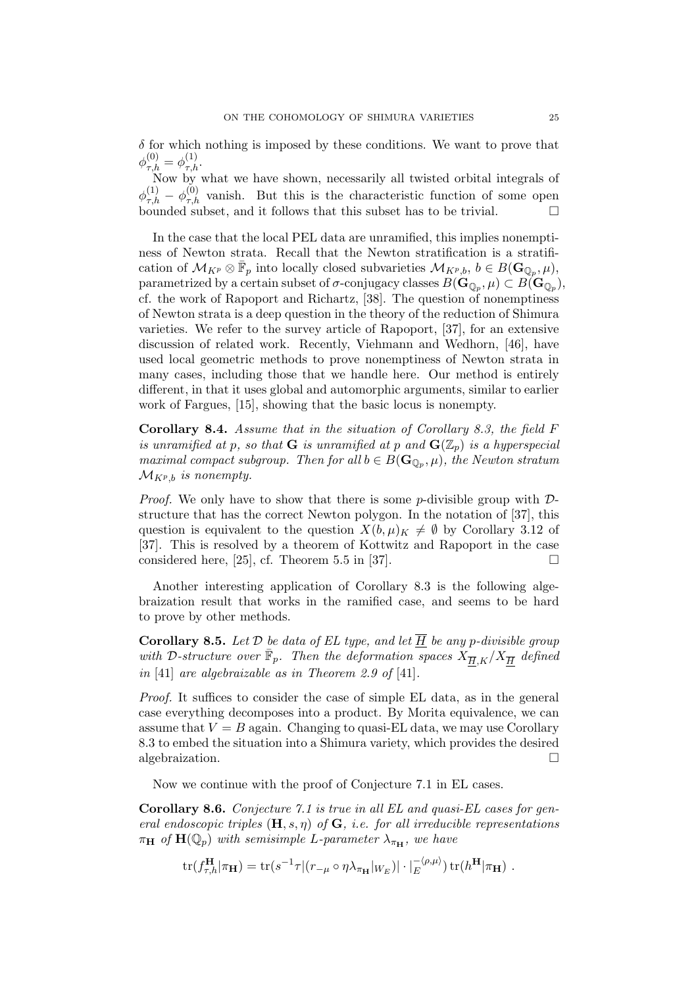$\delta$  for which nothing is imposed by these conditions. We want to prove that  $\phi_{\tau,h}^{(0)} = \phi_{\tau,h}^{(1)}.$ 

Now by what we have shown, necessarily all twisted orbital integrals of  $\phi_{\tau,h}^{(1)} - \phi_{\tau,h}^{(0)}$  vanish. But this is the characteristic function of some open  $(1)$   $(0)$ bounded subset, and it follows that this subset has to be trivial.  $\Box$ 

In the case that the local PEL data are unramified, this implies nonemptiness of Newton strata. Recall that the Newton stratification is a stratification of  $\mathcal{M}_{K^p} \otimes \bar{\mathbb{F}}_p$  into locally closed subvarieties  $\mathcal{M}_{K^p,b}, b \in B(\mathbf{G}_{\mathbb{Q}_p},\mu)$ ,  ${\rm parametrized}$  by a certain subset of  $\sigma$ -conjugacy classes  $B(\mathbf{G}_{\mathbb{Q}_p},\mu)\subset B(\mathbf{G}_{\mathbb{Q}_p}),$ cf. the work of Rapoport and Richartz, [38]. The question of nonemptiness of Newton strata is a deep question in the theory of the reduction of Shimura varieties. We refer to the survey article of Rapoport, [37], for an extensive discussion of related work. Recently, Viehmann and Wedhorn, [46], have used local geometric methods to prove nonemptiness of Newton strata in many cases, including those that we handle here. Our method is entirely different, in that it uses global and automorphic arguments, similar to earlier work of Fargues, [15], showing that the basic locus is nonempty.

Corollary 8.4. Assume that in the situation of Corollary 8.3, the field F is unramified at p, so that **G** is unramified at p and  $\mathbf{G}(\mathbb{Z}_p)$  is a hyperspecial maximal compact subgroup. Then for all  $b \in B(\mathbf{G}_{\mathbb{Q}_p}, \mu)$ , the Newton stratum  $\mathcal{M}_{K^p,b}$  is nonempty.

*Proof.* We only have to show that there is some *p*-divisible group with  $\mathcal{D}$ structure that has the correct Newton polygon. In the notation of [37], this question is equivalent to the question  $X(b,\mu)_K \neq \emptyset$  by Corollary 3.12 of [37]. This is resolved by a theorem of Kottwitz and Rapoport in the case considered here, [25], cf. Theorem 5.5 in [37].  $\Box$ 

Another interesting application of Corollary 8.3 is the following algebraization result that works in the ramified case, and seems to be hard to prove by other methods.

**Corollary 8.5.** Let  $D$  be data of EL type, and let  $\underline{H}$  be any p-divisible group with D-structure over  $\bar{\mathbb{F}}_p$ . Then the deformation spaces  $X_{\overline{H},K}/X_{\overline{H}}$  defined in [41] are algebraizable as in Theorem 2.9 of [41].

Proof. It suffices to consider the case of simple EL data, as in the general case everything decomposes into a product. By Morita equivalence, we can assume that  $V = B$  again. Changing to quasi-EL data, we may use Corollary 8.3 to embed the situation into a Shimura variety, which provides the desired algebraization.

Now we continue with the proof of Conjecture 7.1 in EL cases.

Corollary 8.6. Conjecture 7.1 is true in all EL and quasi-EL cases for general endoscopic triples  $(H, s, \eta)$  of  $G$ , i.e. for all irreducible representations  $\pi_{\mathbf{H}}$  of  $\mathbf{H}(\mathbb{Q}_p)$  with semisimple L-parameter  $\lambda_{\pi_{\mathbf{H}}}$ , we have

 $\text{tr}(f_{\tau,h}^{\mathbf{H}}|\pi_{\mathbf{H}}) = \text{tr}(s^{-1}\tau|(r_{-\mu} \circ \eta \lambda_{\pi_{\mathbf{H}}}|_{W_E})|\cdot|\frac{1}{E}^{\langle \rho,\mu\rangle})\,\text{tr}(h^{\mathbf{H}}|\pi_{\mathbf{H}})$ .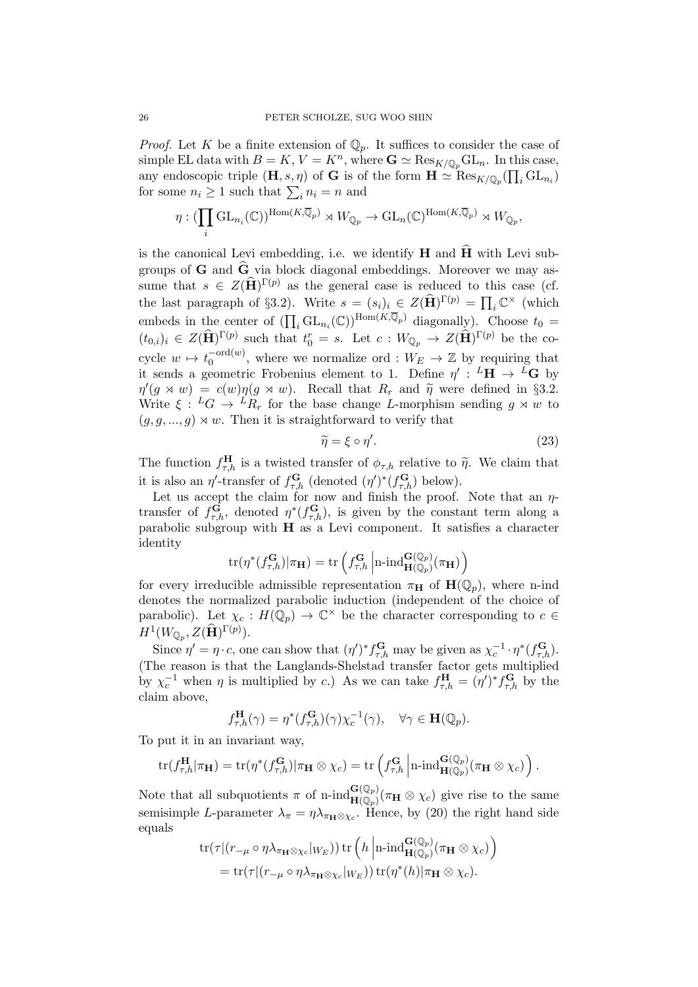*Proof.* Let K be a finite extension of  $\mathbb{Q}_p$ . It suffices to consider the case of simple EL data with  $B = K$ ,  $V = K<sup>n</sup>$ , where  $\mathbf{G} \simeq \text{Res}_{K/\mathbb{Q}_p} \text{GL}_n$ . In this case, any endoscopic triple  $(\mathbf{H}, s, \eta)$  of G is of the form  $\mathbf{H} \simeq \text{Res}_{K/\mathbb{Q}_p}(\prod_i \text{GL}_{n_i})$ for some  $n_i \geq 1$  such that  $\sum_i n_i = n$  and

$$
\eta: (\prod_i \mathrm{GL}_{n_i}(\mathbb{C}))^{\mathrm{Hom}(K,\overline{\mathbb{Q}}_p)} \rtimes W_{\mathbb{Q}_p} \to \mathrm{GL}_n(\mathbb{C})^{\mathrm{Hom}(K,\overline{\mathbb{Q}}_p)} \rtimes W_{\mathbb{Q}_p},
$$

is the canonical Levi embedding, i.e. we identify  $H$  and  $\hat{H}$  with Levi subgroups of  $G$  and  $\widehat{G}$  via block diagonal embeddings. Moreover we may assume that  $s \in Z(\widehat{\mathbf{H}})^{\Gamma(p)}$  as the general case is reduced to this case (cf. the last paragraph of §3.2). Write  $s = (s_i)_i \in Z(\widehat{H})^{\Gamma(p)} = \prod_i \mathbb{C}^\times$  (which embeds in the center of  $(\prod_i GL_{n_i}(\mathbb{C}))^{\text{Hom}(K,\overline{\mathbb{Q}}_p)}$  diagonally). Choose  $t_0 =$  $(t_{0,i})_i \in Z(\widehat{\mathbf{H}})^{\Gamma(p)}$  such that  $t_0^r = s$ . Let  $c: W_{\mathbb{Q}_p} \to Z(\widehat{\mathbf{H}})^{\Gamma(p)}$  be the cocycle  $w \mapsto t_0^{-\text{ord}(w)}$  $_{0}^{-\text{ord}(w)}$ , where we normalize ord :  $W_{E} \rightarrow \mathbb{Z}$  by requiring that it sends a geometric Frobenius element to 1. Define  $\eta' : L^{\mathbf{H}} \to L^{\mathbf{G}}$  by  $\eta'(g \times w) = c(w)\eta(g \times w)$ . Recall that  $R_r$  and  $\tilde{\eta}$  were defined in §3.2.<br>Write  $\zeta$ ,  $L_C$ ,  $L_R$  for the base change I morphism sonding  $g \times w$  to Write  $\xi : {}^L G \to {}^L R_r$  for the base change L-morphism sending  $g \rtimes w$  to  $(g, g, ..., g) \rtimes w$ . Then it is straightforward to verify that

$$
\widetilde{\eta} = \xi \circ \eta'.\tag{23}
$$

The function  $f_{\tau,h}^{\mathbf{H}}$  is a twisted transfer of  $\phi_{\tau,h}$  relative to  $\widetilde{\eta}$ . We claim that it is also an  $\eta'$ -transfer of  $f_{\tau,h}^{\mathbf{G}}$  (denoted  $(\eta')^*(f_{\tau,h}^{\mathbf{G}})$  below).

Let us accept the claim for now and finish the proof. Note that an  $\eta$ transfer of  $f_{\tau,h}^{\mathbf{G}}$ , denoted  $\eta^*(f_{\tau,h}^{\mathbf{G}})$ , is given by the constant term along a parabolic subgroup with H as a Levi component. It satisfies a character identity

$$
\mathrm{tr}(\eta^*(f_{\tau,h}^\mathbf{G})|\pi_\mathbf{H}) = \mathrm{tr}\left(f_{\tau,h}^\mathbf{G}\left|\mathrm{n}\text{-}\mathrm{ind}_{\mathbf{H}(\mathbb{Q}_p)}^{\mathbf{G}(\mathbb{Q}_p)}(\pi_\mathbf{H})\right.\right)
$$

for every irreducible admissible representation  $\pi_{\mathbf{H}}$  of  $\mathbf{H}(\mathbb{Q}_p)$ , where n-ind denotes the normalized parabolic induction (independent of the choice of parabolic). Let  $\chi_c: H(\overline{\mathbb{Q}}_p) \to \mathbb{C}^\times$  be the character corresponding to  $c \in$  $H^1(W_{\mathbb{Q}_p},Z(\widehat{\mathbf{H}})^{\Gamma(p)}).$ 

Since  $\eta' = \eta \cdot c$ , one can show that  $(\eta')^* f_{\tau,h}^{\mathbf{G}}$  may be given as  $\chi_c^{-1} \cdot \eta^*(f_{\tau,h}^{\mathbf{G}})$ . (The reason is that the Langlands-Shelstad transfer factor gets multiplied by  $\chi_c^{-1}$  when  $\eta$  is multiplied by c.) As we can take  $f_{\tau,h}^{\mathbf{H}} = (\eta')^* f_{\tau,h}^{\mathbf{G}}$  by the claim above,

$$
f_{\tau,h}^{\mathbf{H}}(\gamma) = \eta^*(f_{\tau,h}^{\mathbf{G}})(\gamma) \chi_c^{-1}(\gamma), \quad \forall \gamma \in \mathbf{H}(\mathbb{Q}_p).
$$

To put it in an invariant way,

$$
\mathrm{tr}(f_{\tau,h}^{\mathbf{H}}|\pi_{\mathbf{H}})=\mathrm{tr}(\eta^*(f_{\tau,h}^{\mathbf{G}})|\pi_{\mathbf{H}}\otimes\chi_c)=\mathrm{tr}\left(f_{\tau,h}^{\mathbf{G}}\left|\mathrm{n}\text{-}\mathrm{ind}_{\mathbf{H}(\mathbb{Q}_p)}^{\mathbf{G}(\mathbb{Q}_p)}(\pi_{\mathbf{H}}\otimes\chi_c)\right.\right).
$$

Note that all subquotients  $\pi$  of n-ind  $H_{\mathbf{H}(\mathbb{Q}_p)}^{(\mathbf{G}(\mathbb{Q}_p))}(\pi_{\mathbf{H}} \otimes \chi_c)$  give rise to the same semisimple L-parameter  $\lambda_{\pi} = \eta \lambda_{\pi_H \otimes \chi_c}$ . Hence, by (20) the right hand side equals

$$
\mathrm{tr}(\tau|(r_{-\mu}\circ\eta\lambda_{\pi_{\mathbf{H}}\otimes\chi_{c}}|_{W_{E}}))\,\mathrm{tr}\left(h\left|\mathrm{n\text{-}ind}_{\mathbf{H}(\mathbb{Q}_{p})}^{\mathbf{G}(\mathbb{Q}_{p})}(\pi_{\mathbf{H}}\otimes\chi_{c})\right.\right) \n= \mathrm{tr}(\tau|(r_{-\mu}\circ\eta\lambda_{\pi_{\mathbf{H}}\otimes\chi_{c}}|_{W_{E}}))\,\mathrm{tr}(\eta^{*}(h)|\pi_{\mathbf{H}}\otimes\chi_{c}).
$$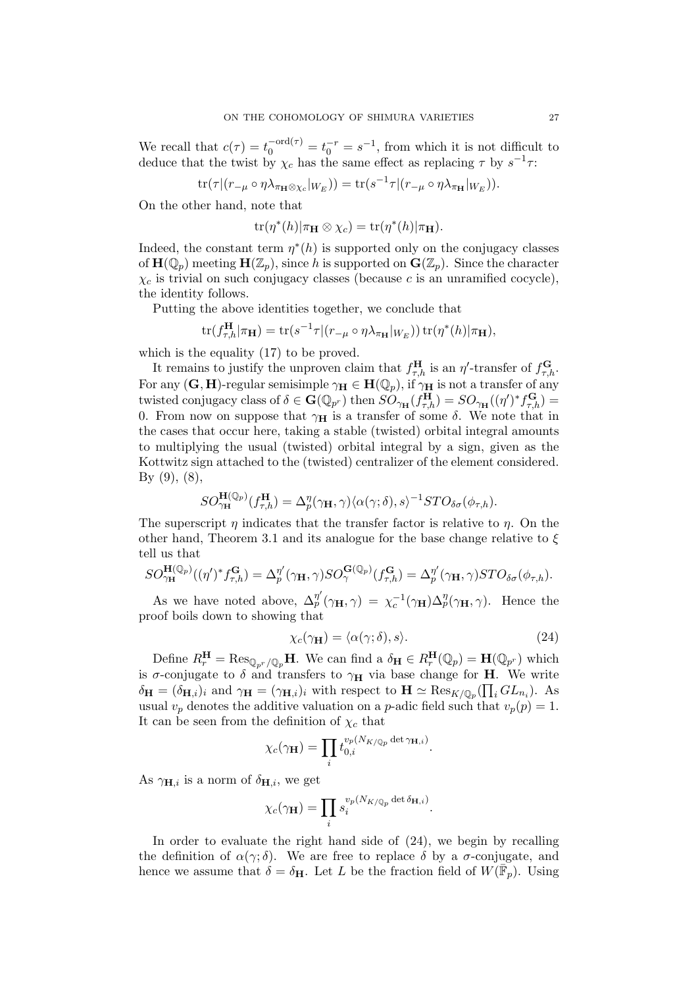We recall that  $c(\tau) = t_0^{-\text{ord}(\tau)} = t_0^{-r} = s^{-1}$ , from which it is not difficult to deduce that the twist by  $\chi_c$  has the same effect as replacing  $\tau$  by  $s^{-1}\tau$ :

$$
\operatorname{tr}(\tau|(r_{-\mu}\circ\eta\lambda_{\pi_{\mathbf{H}}\otimes\chi_c}|_{W_E})) = \operatorname{tr}(s^{-1}\tau|(r_{-\mu}\circ\eta\lambda_{\pi_{\mathbf{H}}}|_{W_E})).
$$

On the other hand, note that

$$
\operatorname{tr}(\eta^*(h)|\pi_{\mathbf{H}}\otimes\chi_c) = \operatorname{tr}(\eta^*(h)|\pi_{\mathbf{H}}).
$$

Indeed, the constant term  $\eta^*(h)$  is supported only on the conjugacy classes of  $\mathbf{H}(\mathbb{Q}_p)$  meeting  $\mathbf{H}(\mathbb{Z}_p)$ , since h is supported on  $\mathbf{G}(\mathbb{Z}_p)$ . Since the character  $\chi_c$  is trivial on such conjugacy classes (because c is an unramified cocycle), the identity follows.

Putting the above identities together, we conclude that

$$
\text{tr}(f_{\tau,h}^{\mathbf{H}}|\pi_{\mathbf{H}}) = \text{tr}(s^{-1}\tau|(r_{-\mu} \circ \eta \lambda_{\pi_{\mathbf{H}}}|_{W_E})) \text{tr}(\eta^*(h)|\pi_{\mathbf{H}}),
$$

which is the equality  $(17)$  to be proved.

It remains to justify the unproven claim that  $f_{\tau,h}^{\mathbf{H}}$  is an  $\eta'$ -transfer of  $f_{\tau,h}^{\mathbf{G}}$ . For any  $(G, H)$ -regular semisimple  $\gamma_H \in H(\mathbb{Q}_p)$ , if  $\gamma_H$  is not a transfer of any twisted conjugacy class of  $\delta \in \mathbf{G}(\mathbb{Q}_{p^r})$  then  $\widehat{SO}_{\gamma_{\mathbf{H}}}(f_{\tau,h}^{\mathbf{H}}) = SO_{\gamma_{\mathbf{H}}}((\eta')^* f_{\tau,h}^{\mathbf{G}}) =$ 0. From now on suppose that  $\gamma_H$  is a transfer of some  $\delta$ . We note that in the cases that occur here, taking a stable (twisted) orbital integral amounts to multiplying the usual (twisted) orbital integral by a sign, given as the Kottwitz sign attached to the (twisted) centralizer of the element considered. By  $(9)$ ,  $(8)$ ,

$$
SO_{\gamma_{\mathbf{H}}}^{\mathbf{H}(\mathbb{Q}_p)}(f_{\tau,h}^{\mathbf{H}})=\Delta_p^{\eta}(\gamma_{\mathbf{H}},\gamma)\langle\alpha(\gamma;\delta),s\rangle^{-1}STO_{\delta\sigma}(\phi_{\tau,h}).
$$

The superscript  $\eta$  indicates that the transfer factor is relative to  $\eta$ . On the other hand, Theorem 3.1 and its analogue for the base change relative to  $\xi$ tell us that

$$
SO_{\gamma_{\mathbf{H}}}^{\mathbf{H}(\mathbb{Q}_p)}((\eta')^* f_{\tau,h}^{\mathbf{G}}) = \Delta_p^{\eta'}(\gamma_{\mathbf{H}}, \gamma) SO_{\gamma}^{\mathbf{G}(\mathbb{Q}_p)}(f_{\tau,h}^{\mathbf{G}}) = \Delta_p^{\eta'}(\gamma_{\mathbf{H}}, \gamma) STO_{\delta\sigma}(\phi_{\tau,h}).
$$

As we have noted above,  $\Delta_p^{\eta'}(\gamma_H, \gamma) = \chi_c^{-1}(\gamma_H) \Delta_p^{\eta}(\gamma_H, \gamma)$ . Hence the proof boils down to showing that

$$
\chi_c(\gamma_\mathbf{H}) = \langle \alpha(\gamma;\delta), s \rangle. \tag{24}
$$

Define  $R_r^{\mathbf{H}} = \text{Res}_{\mathbb{Q}_{p^r}/\mathbb{Q}_p} \mathbf{H}$ . We can find a  $\delta_{\mathbf{H}} \in R_r^{\mathbf{H}}(\mathbb{Q}_p) = \mathbf{H}(\mathbb{Q}_{p^r})$  which is  $\sigma$ -conjugate to  $\delta$  and transfers to  $\gamma_H$  via base change for **H**. We write  $\delta_{\mathbf{H}} = (\delta_{\mathbf{H},i})_i$  and  $\gamma_{\mathbf{H}} = (\gamma_{\mathbf{H},i})_i$  with respect to  $\mathbf{H} \simeq \text{Res}_{K/\mathbb{Q}_p}(\prod_i GL_{n_i})$ . As usual  $v_p$  denotes the additive valuation on a *p*-adic field such that  $v_p(p) = 1$ . It can be seen from the definition of  $\chi_c$  that

$$
\chi_c(\gamma_\mathbf{H}) = \prod_i t_{0,i}^{v_p(N_{K/\mathbb{Q}_p} \det \gamma_{\mathbf{H},i})}.
$$

As  $\gamma_{\mathbf{H},i}$  is a norm of  $\delta_{\mathbf{H},i}$ , we get

$$
\chi_c(\gamma_\mathbf{H}) = \prod_i s_i^{v_p(N_{K/\mathbb{Q}_p} \det \delta_{\mathbf{H},i})}.
$$

In order to evaluate the right hand side of (24), we begin by recalling the definition of  $\alpha(\gamma;\delta)$ . We are free to replace  $\delta$  by a  $\sigma$ -conjugate, and hence we assume that  $\delta = \delta_H$ . Let L be the fraction field of  $W(\overline{\mathbb{F}}_p)$ . Using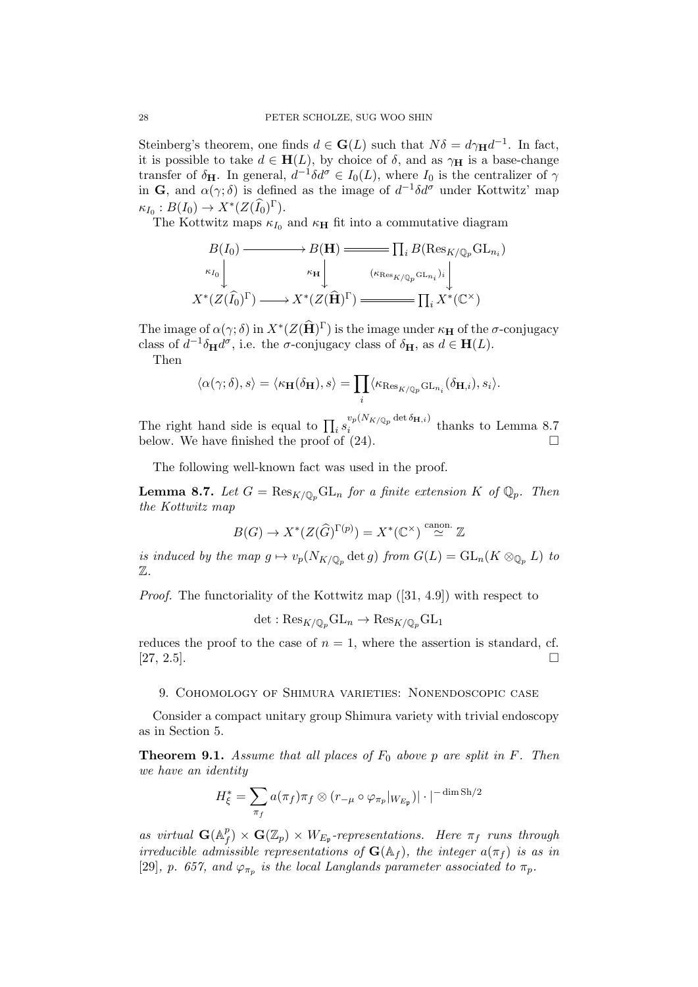Steinberg's theorem, one finds  $d \in \mathbf{G}(L)$  such that  $N\delta = d\gamma_H d^{-1}$ . In fact, it is possible to take  $d \in H(L)$ , by choice of  $\delta$ , and as  $\gamma_H$  is a base-change transfer of  $\delta_{\mathbf{H}}$ . In general,  $d^{-1}\delta d^{\sigma} \in I_0(L)$ , where  $I_0$  is the centralizer of  $\gamma$ in G, and  $\alpha(\gamma;\delta)$  is defined as the image of  $d^{-1}\delta d^{\sigma}$  under Kottwitz' map  $\kappa_{I_0}: B(I_0) \to X^*(Z(\widehat{I_0})^{\Gamma}).$ 

The Kottwitz maps  $\kappa_{I_0}$  and  $\kappa_H$  fit into a commutative diagram

$$
B(I_0) \longrightarrow B(\mathbf{H}) \longrightarrow \prod_i B(\mathrm{Res}_{K/\mathbb{Q}_p} \mathrm{GL}_{n_i})
$$
  
\n
$$
\kappa_{I_0} \downarrow \qquad \kappa_{\mathbf{H}} \downarrow \qquad (\kappa_{\mathrm{Res}_{K/\mathbb{Q}_p} \mathrm{GL}_{n_i}})_i \downarrow
$$
  
\n
$$
X^*(Z(\widehat{I}_0)^{\Gamma}) \longrightarrow X^*(Z(\widehat{\mathbf{H}})^{\Gamma}) \longrightarrow \prod_i X^*(\mathbb{C}^{\times})
$$

The image of  $\alpha(\gamma;\delta)$  in  $X^*(Z(\widehat{\mathbf{H}})^{\Gamma})$  is the image under  $\kappa_{\mathbf{H}}$  of the  $\sigma$ -conjugacy class of  $d^{-1}\delta_{\mathbf{H}}d^{\sigma}$ , i.e. the  $\sigma$ -conjugacy class of  $\delta_{\mathbf{H}}$ , as  $d \in \mathbf{H}(L)$ .

Then

$$
\langle \alpha(\gamma;\delta),s\rangle=\langle \kappa_{\mathbf{H}}(\delta_{\mathbf{H}}),s\rangle=\prod_i\langle \kappa_{\operatorname{Res}_{K/\mathbb{Q}_p}\operatorname{GL}_{n_i}}(\delta_{\mathbf{H},i}),s_i\rangle.
$$

The right hand side is equal to  $\prod_i s_i^{v_p(N_{K/\mathbb{Q}_p} \det \delta_{\mathbf{H},i})}$  $i$ <sup>t</sup> below. We have finished the proof of  $(24)$ .

The following well-known fact was used in the proof.

**Lemma 8.7.** Let  $G = \text{Res}_{K/\mathbb{Q}_p} \text{GL}_n$  for a finite extension  $K$  of  $\mathbb{Q}_p$ . Then the Kottwitz map

$$
B(G) \to X^*(Z(\widehat{G})^{\Gamma(p)}) = X^*(\mathbb{C}^\times) \stackrel{\text{canon.}}{\simeq} \mathbb{Z}
$$

is induced by the map  $g \mapsto v_p(N_{K/\mathbb{Q}_p} \det g)$  from  $G(L) = GL_n(K \otimes_{\mathbb{Q}_p} L)$  to Z.

Proof. The functoriality of the Kottwitz map ([31, 4.9]) with respect to

$$
\det: \mathrm{Res}_{K/\mathbb{Q}_p} \mathrm{GL}_n \to \mathrm{Res}_{K/\mathbb{Q}_p} \mathrm{GL}_1
$$

reduces the proof to the case of  $n = 1$ , where the assertion is standard, cf.  $[27, 2.5]$ .

#### 9. Cohomology of Shimura varieties: Nonendoscopic case

Consider a compact unitary group Shimura variety with trivial endoscopy as in Section 5.

**Theorem 9.1.** Assume that all places of  $F_0$  above p are split in  $F$ . Then we have an identity

$$
H_{\xi}^* = \sum_{\pi_f} a(\pi_f) \pi_f \otimes (r_{-\mu} \circ \varphi_{\pi_p}|_{W_{E_{\mathfrak{p}}}}) |\cdot|^{-\dim \mathrm{Sh}/2}
$$

as virtual  $\mathbf{G}(\mathbb{A}_{\mu}^{p})$  $f^p(f) \times \mathbf{G}(\mathbb{Z}_p) \times W_{E_{\mathfrak{p}}}$ -representations. Here  $\pi_f$  runs through irreducible admissible representations of  $\mathbf{G}(\mathbb{A}_f)$ , the integer  $a(\pi_f)$  is as in [29], p. 657, and  $\varphi_{\pi_p}$  is the local Langlands parameter associated to  $\pi_p$ .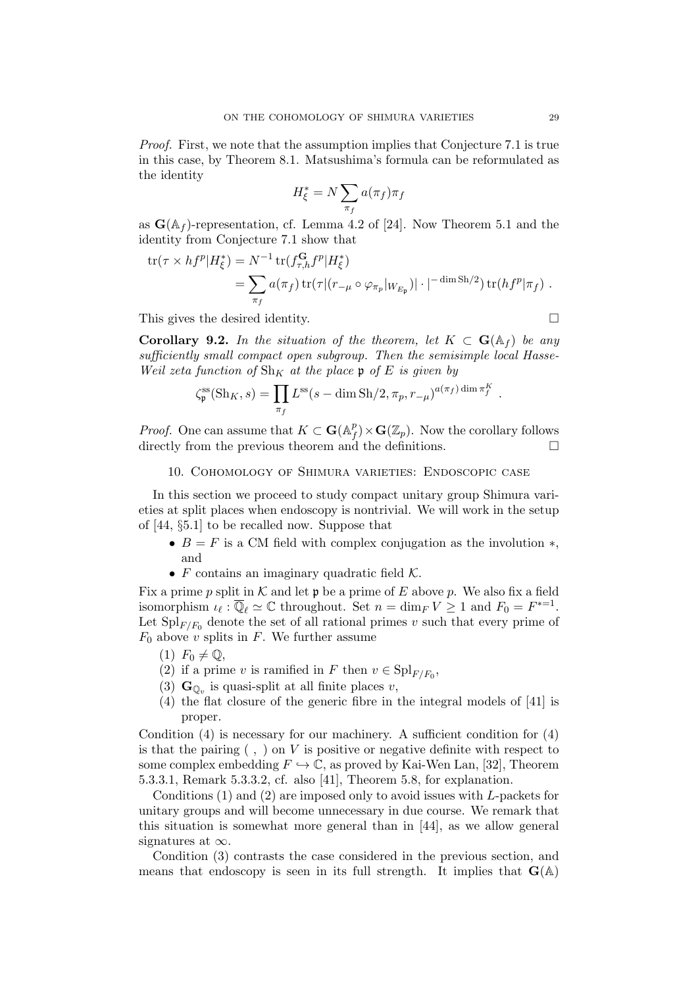Proof. First, we note that the assumption implies that Conjecture 7.1 is true in this case, by Theorem 8.1. Matsushima's formula can be reformulated as the identity

$$
H_{\xi}^* = N \sum_{\pi_f} a(\pi_f) \pi_f
$$

as  $\mathbf{G}(\mathbb{A}_f)$ -representation, cf. Lemma 4.2 of [24]. Now Theorem 5.1 and the identity from Conjecture 7.1 show that

$$
\text{tr}(\tau \times hf^p | H^*_{\xi}) = N^{-1} \text{tr}(f_{\tau,h}^{\mathbf{G}} f^p | H^*_{\xi})
$$
  
= 
$$
\sum_{\pi_f} a(\pi_f) \text{tr}(\tau | (r_{-\mu} \circ \varphi_{\pi_p} |_{W_{E_{\mathfrak{p}}}}) | \cdot |^{-\dim \text{Sh}/2}) \text{tr}(hf^p | \pi_f).
$$

This gives the desired identity.

**Corollary 9.2.** In the situation of the theorem, let  $K \subset \mathbf{G}(\mathbb{A}_f)$  be any sufficiently small compact open subgroup. Then the semisimple local Hasse-Weil zeta function of  $\text{Sh}_K$  at the place p of E is given by

$$
\zeta_{\mathfrak{p}}^{\text{ss}}(\text{Sh}_K, s) = \prod_{\pi_f} L^{\text{ss}}(s - \dim \text{Sh}/2, \pi_p, r_{-\mu})^{a(\pi_f) \dim \pi_f^K}.
$$

*Proof.* One can assume that  $K \subset \mathbf{G}(\mathbb{A}_{\mu}^p)$  $f(f) \times \mathbf{G}(\mathbb{Z}_p)$ . Now the corollary follows directly from the previous theorem and the definitions.

#### 10. Cohomology of Shimura varieties: Endoscopic case

In this section we proceed to study compact unitary group Shimura varieties at split places when endoscopy is nontrivial. We will work in the setup of [44, §5.1] to be recalled now. Suppose that

- $B = F$  is a CM field with complex conjugation as the involution  $\ast$ , and
- $F$  contains an imaginary quadratic field  $K$ .

Fix a prime p split in K and let  $\mathfrak p$  be a prime of E above p. We also fix a field isomorphism  $\iota_{\ell} : \overline{\mathbb{Q}}_{\ell} \simeq \mathbb{C}$  throughout. Set  $n = \dim_F V \ge 1$  and  $F_0 = F^{*-1}$ . Let  $\text{Spl}_{F/F_0}$  denote the set of all rational primes v such that every prime of  $F_0$  above v splits in F. We further assume

- $(1)$   $F_0 \neq \mathbb{Q},$
- (2) if a prime v is ramified in F then  $v \in \mathrm{Spl}_{F/F_0}$ ,
- (3)  $\mathbf{G}_{\mathbb{Q}_v}$  is quasi-split at all finite places v,
- (4) the flat closure of the generic fibre in the integral models of [41] is proper.

Condition (4) is necessary for our machinery. A sufficient condition for (4) is that the pairing  $( , )$  on V is positive or negative definite with respect to some complex embedding  $F \hookrightarrow \mathbb{C}$ , as proved by Kai-Wen Lan, [32], Theorem 5.3.3.1, Remark 5.3.3.2, cf. also [41], Theorem 5.8, for explanation.

Conditions  $(1)$  and  $(2)$  are imposed only to avoid issues with L-packets for unitary groups and will become unnecessary in due course. We remark that this situation is somewhat more general than in [44], as we allow general signatures at  $\infty$ .

Condition (3) contrasts the case considered in the previous section, and means that endoscopy is seen in its full strength. It implies that  $\mathbf{G}(\mathbb{A})$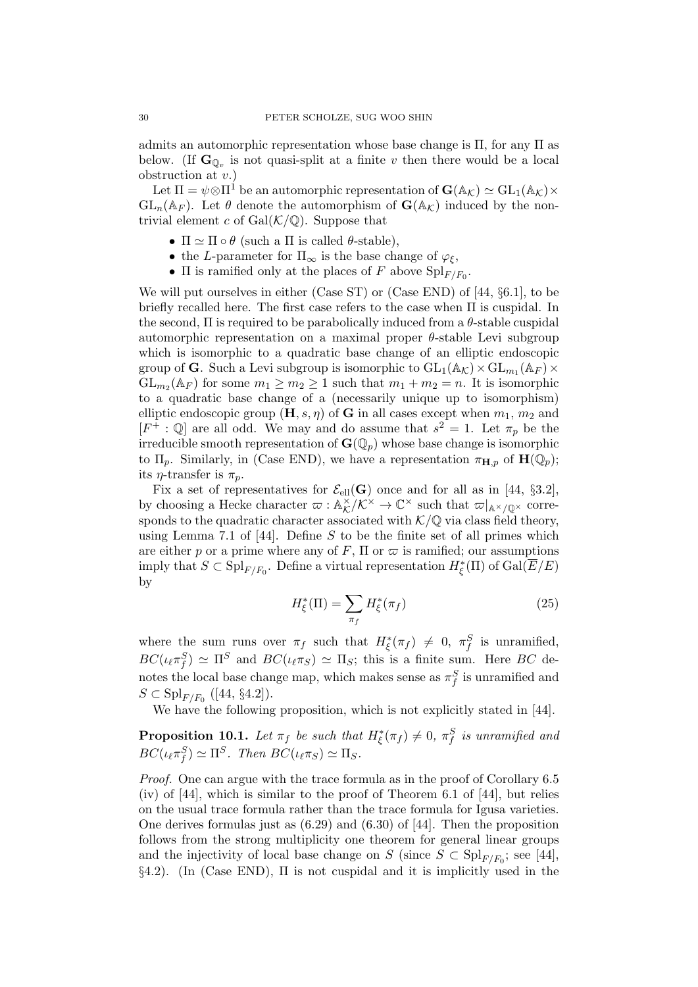admits an automorphic representation whose base change is  $\Pi$ , for any  $\Pi$  as below. (If  $\mathbf{G}_{\mathbb{Q}_v}$  is not quasi-split at a finite v then there would be a local obstruction at  $v.$ )

Let  $\Pi = \psi \otimes \Pi^1$  be an automorphic representation of  $\mathbf{G}(\mathbb{A}_{\mathcal{K}}) \simeq \mathrm{GL}_1(\mathbb{A}_{\mathcal{K}}) \times$  $GL_n(\mathbb{A}_F)$ . Let  $\theta$  denote the automorphism of  $\mathbf{G}(\mathbb{A}_K)$  induced by the nontrivial element c of  $Gal(K/\mathbb{Q})$ . Suppose that

- $\Pi \simeq \Pi \circ \theta$  (such a  $\Pi$  is called  $\theta$ -stable),
- the L-parameter for  $\Pi_{\infty}$  is the base change of  $\varphi_{\xi}$ ,
- $\Pi$  is ramified only at the places of F above  $\mathrm{Spl}_{F/F_0}$ .

We will put ourselves in either (Case ST) or (Case END) of [44, §6.1], to be briefly recalled here. The first case refers to the case when Π is cuspidal. In the second,  $\Pi$  is required to be parabolically induced from a  $\theta$ -stable cuspidal automorphic representation on a maximal proper  $\theta$ -stable Levi subgroup which is isomorphic to a quadratic base change of an elliptic endoscopic group of **G**. Such a Levi subgroup is isomorphic to  $\mathrm{GL}_1(\mathbb{A}_{\mathcal{K}}) \times \mathrm{GL}_{m_1}(\mathbb{A}_F) \times$  $GL_{m_2}(\mathbb{A}_F)$  for some  $m_1 \geq m_2 \geq 1$  such that  $m_1 + m_2 = n$ . It is isomorphic to a quadratic base change of a (necessarily unique up to isomorphism) elliptic endoscopic group  $(\mathbf{H}, s, \eta)$  of G in all cases except when  $m_1, m_2$  and  $[F^+ : \mathbb{Q}]$  are all odd. We may and do assume that  $s^2 = 1$ . Let  $\pi_p$  be the irreducible smooth representation of  $\mathbf{G}(\mathbb{Q}_p)$  whose base change is isomorphic to  $\Pi_p$ . Similarly, in (Case END), we have a representation  $\pi_{\mathbf{H},p}$  of  $\mathbf{H}(\mathbb{Q}_p)$ ; its  $\eta$ -transfer is  $\pi_p$ .

Fix a set of representatives for  $\mathcal{E}_{ell}(\mathbf{G})$  once and for all as in [44, §3.2], by choosing a Hecke character  $\varpi : \mathbb{A}_K^{\times}$  $K^{\times}/K^{\times} \to \mathbb{C}^{\times}$  such that  $\varpi|_{\mathbb{A}^{\times}/\mathbb{Q}^{\times}}$  corresponds to the quadratic character associated with  $K/\mathbb{Q}$  via class field theory, using Lemma 7.1 of [44]. Define S to be the finite set of all primes which are either p or a prime where any of F,  $\Pi$  or  $\varpi$  is ramified; our assumptions imply that  $S \subset \mathrm{Spl}_{F/F_0}$ . Define a virtual representation  $H^*_{\xi}(\Pi)$  of  $\mathrm{Gal}(\overline{E}/E)$ by

$$
H_{\xi}^*(\Pi) = \sum_{\pi_f} H_{\xi}^*(\pi_f) \tag{25}
$$

where the sum runs over  $\pi_f$  such that  $H^*_{\xi}(\pi_f) \neq 0, \pi_f^S$  is unramified,  $BC(\iota_{\ell} \pi_f^S) \simeq \Pi^S$  and  $BC(\iota_{\ell} \pi_S) \simeq \Pi_S$ ; this is a finite sum. Here BC denotes the local base change map, which makes sense as  $\pi_f^S$  is unramified and  $S \subset \mathrm{Spl}_{F/F_0}$  ([44, §4.2]).

We have the following proposition, which is not explicitly stated in [44].

**Proposition 10.1.** Let  $\pi_f$  be such that  $H^*_\xi(\pi_f) \neq 0$ ,  $\pi_f^S$  is unramified and  $BC(\iota_{\ell}\pi_f^S) \simeq \Pi^S$ . Then  $BC(\iota_{\ell}\pi_S) \simeq \Pi_S$ .

Proof. One can argue with the trace formula as in the proof of Corollary 6.5 (iv) of [44], which is similar to the proof of Theorem 6.1 of [44], but relies on the usual trace formula rather than the trace formula for Igusa varieties. One derives formulas just as  $(6.29)$  and  $(6.30)$  of [44]. Then the proposition follows from the strong multiplicity one theorem for general linear groups and the injectivity of local base change on  $S$  (since  $S \subset \mathrm{Spl}_{F/F_0}$ ; see [44], §4.2). (In (Case END), Π is not cuspidal and it is implicitly used in the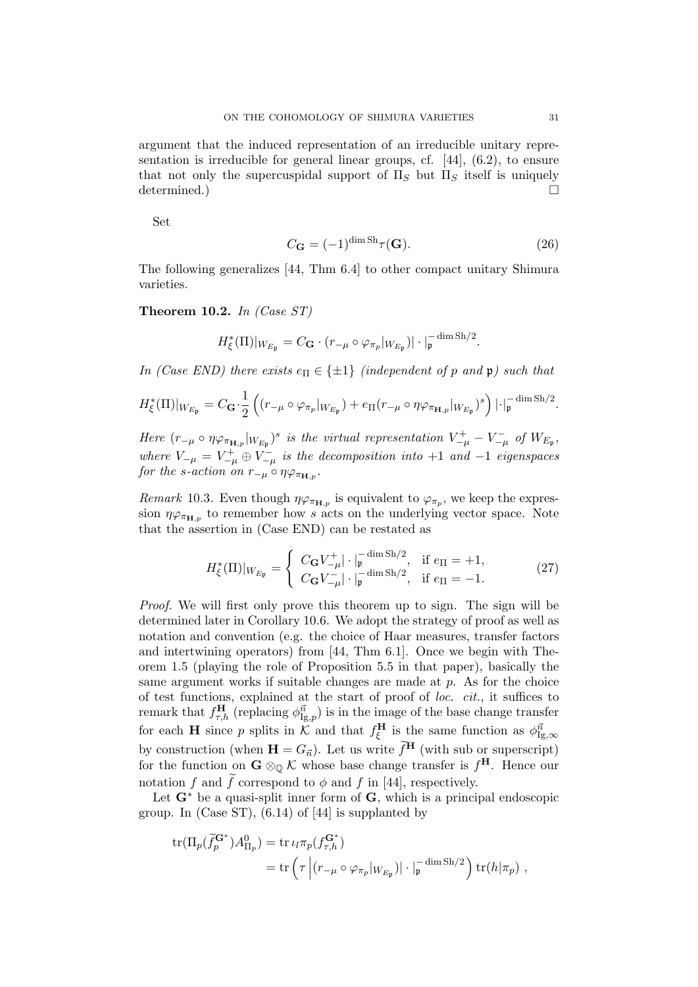argument that the induced representation of an irreducible unitary representation is irreducible for general linear groups, cf. [44], (6.2), to ensure that not only the supercuspidal support of  $\Pi_S$  but  $\Pi_S$  itself is uniquely determined.)

Set

$$
C_{\mathbf{G}} = (-1)^{\dim \text{Sh}} \tau(\mathbf{G}).\tag{26}
$$

The following generalizes [44, Thm 6.4] to other compact unitary Shimura varieties.

**Theorem 10.2.** In (Case  $ST$ )

$$
H_{\xi}^{*}(\Pi)|_{W_{E_{\mathfrak{p}}}} = C_{\mathbf{G}} \cdot (r_{-\mu} \circ \varphi_{\pi_{p}}|_{W_{E_{\mathfrak{p}}}})| \cdot |_{\mathfrak{p}}^{-\dim \operatorname{Sh}/2}.
$$

In (Case END) there exists  $e_{\Pi} \in \{\pm 1\}$  (independent of p and p) such that

$$
H_{\xi}^{*}(\Pi)|_{W_{E_{\mathfrak{p}}}} = C_{\mathbf{G}} \cdot \frac{1}{2} \left( (r_{-\mu} \circ \varphi_{\pi_p}|_{W_{E_{\mathfrak{p}}}}) + e_{\Pi}(r_{-\mu} \circ \eta \varphi_{\pi_{\mathbf{H},p}}|_{W_{E_{\mathfrak{p}}}})^s \right) |\cdot|_{\mathfrak{p}}^{-\dim \operatorname{Sh}/2}.
$$

Here  $(r_{-\mu} \circ \eta \varphi_{\pi_{\mathbf{H},p}}|_{W_{E_{\mathfrak{p}}}})^s$  is the virtual representation  $V_{-\mu}^+ - V_{-\mu}^-$  of  $W_{E_{\mathfrak{p}}},$ where  $V_{-\mu} = V_{-\mu}^+ \oplus V_{-\mu}^-$  is the decomposition into  $+1$  and  $-1$  eigenspaces for the s-action on  $r_{-\mu} \circ \eta \varphi_{\pi_{\mathbf{H},p}}$ .

Remark 10.3. Even though  $\eta \varphi_{\pi_{\mathbf{H},p}}$  is equivalent to  $\varphi_{\pi_p}$ , we keep the expression  $\eta \varphi_{\pi_{\mathbf{H},p}}$  to remember how s acts on the underlying vector space. Note that the assertion in (Case END) can be restated as

$$
H_{\xi}^{*}(\Pi)|_{W_{E_{\mathfrak{p}}}} = \begin{cases} C_{\mathbf{G}} V_{-\mu}^{+} |\cdot|_{\mathfrak{p}}^{-\dim \text{Sh}/2}, & \text{if } e_{\Pi} = +1, \\ C_{\mathbf{G}} V_{-\mu}^{-} |\cdot|_{\mathfrak{p}}^{-\dim \text{Sh}/2}, & \text{if } e_{\Pi} = -1. \end{cases}
$$
(27)

Proof. We will first only prove this theorem up to sign. The sign will be determined later in Corollary 10.6. We adopt the strategy of proof as well as notation and convention (e.g. the choice of Haar measures, transfer factors and intertwining operators) from [44, Thm 6.1]. Once we begin with Theorem 1.5 (playing the role of Proposition 5.5 in that paper), basically the same argument works if suitable changes are made at  $p$ . As for the choice of test functions, explained at the start of proof of loc. cit., it suffices to remark that  $f_{\tau,h}^{\text{H}}$  (replacing  $\phi_{\text{Ig},p}^{\vec{n}}$ ) is in the image of the base change transfer for each **H** since p splits in K and that  $f_{\xi}^{\mathbf{H}}$  is the same function as  $\phi_{\text{Ig},\infty}^{\vec{n}}$ by construction (when  $\mathbf{H} = G_{\vec{n}}$ ). Let us write  $\widetilde{f}^{\mathbf{H}}$  (with sub or superscript) for the function on  $G \otimes_{\mathbb{Q}} \mathcal{K}$  whose base change transfer is  $f^{\mathbf{H}}$ . Hence our notation f and  $\tilde{f}$  correspond to  $\phi$  and f in [44], respectively.

Let  $G^*$  be a quasi-split inner form of  $G$ , which is a principal endoscopic group. In (Case ST),  $(6.14)$  of  $[44]$  is supplanted by

$$
\mathrm{tr}(\Pi_p(\widetilde{f}_p^{\mathbf{G}^*})A_{\Pi_p}^0) = \mathrm{tr} \,\iota_l \pi_p(f_{\tau,h}^{\mathbf{G}^*})
$$
  
= 
$$
\mathrm{tr} \left( \tau \left| (r_{-\mu} \circ \varphi_{\pi_p} |_{W_{E_p}}) | \cdot |_{\mathfrak{p}}^{-\dim \mathrm{Sh}/2} \right) \mathrm{tr}(h|\pi_p) \right|,
$$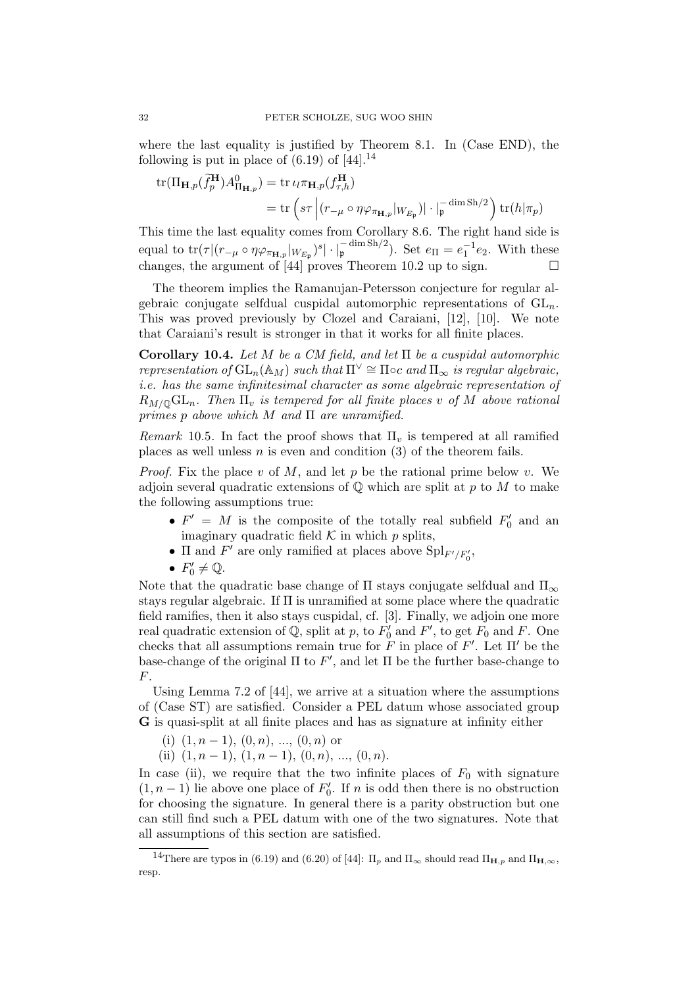where the last equality is justified by Theorem 8.1. In (Case END), the following is put in place of  $(6.19)$  of  $[44]$ .<sup>14</sup>

$$
\operatorname{tr}(\Pi_{\mathbf{H},p}(\widetilde{f}_p^{\mathbf{H}})A_{\Pi_{\mathbf{H},p}}^0) = \operatorname{tr} \iota_l \pi_{\mathbf{H},p}(f_{\tau,h}^{\mathbf{H}})
$$
  
= 
$$
\operatorname{tr} \left( s\tau \left| (r_{-\mu} \circ \eta \varphi_{\pi_{\mathbf{H},p}} |_{W_{E_p}}) | \cdot |_{\mathfrak{p}}^{-\dim \operatorname{Sh}/2} \right) \operatorname{tr}(h|\pi_p)
$$

This time the last equality comes from Corollary 8.6. The right hand side is equal to  $\text{tr}(\tau | (r_{-\mu} \circ \eta \varphi_{\pi_{\mathbf{H},p}} |_{W_{E_{\mathfrak{p}}}})^s | \cdot |_{\mathfrak{p}}^{-\dim \text{Sh}/2}).$  Set  $e_{\Pi} = e_1^{-1} e_2$ . With these changes, the argument of [44] proves Theorem 10.2 up to sign.  $\square$ 

The theorem implies the Ramanujan-Petersson conjecture for regular algebraic conjugate selfdual cuspidal automorphic representations of  $GL_n$ . This was proved previously by Clozel and Caraiani, [12], [10]. We note that Caraiani's result is stronger in that it works for all finite places.

Corollary 10.4. Let M be a CM field, and let  $\Pi$  be a cuspidal automorphic representation of  $GL_n(\mathbb{A}_M)$  such that  $\Pi^{\vee} \cong \Pi$  oc and  $\Pi_{\infty}$  is regular algebraic, i.e. has the same infinitesimal character as some algebraic representation of  $R_{M/\mathbb{Q}}\mathrm{GL}_n$ . Then  $\Pi_v$  is tempered for all finite places v of M above rational primes p above which  $M$  and  $\Pi$  are unramified.

Remark 10.5. In fact the proof shows that  $\Pi_v$  is tempered at all ramified places as well unless  $n$  is even and condition (3) of the theorem fails.

*Proof.* Fix the place v of M, and let p be the rational prime below v. We adjoin several quadratic extensions of  $\mathbb Q$  which are split at p to M to make the following assumptions true:

- $F' = M$  is the composite of the totally real subfield  $F'_0$  and an imaginary quadratic field  $K$  in which  $p$  splits,
- $\bullet$   $\Pi$  and  $F'$  are only ramified at places above  $\mathrm{Spl}_{F'/F_0'} ,$
- $F'_0 \neq \mathbb{Q}$ .

Note that the quadratic base change of  $\Pi$  stays conjugate selfdual and  $\Pi_{\infty}$ stays regular algebraic. If Π is unramified at some place where the quadratic field ramifies, then it also stays cuspidal, cf. [3]. Finally, we adjoin one more real quadratic extension of  $\overline{Q}$ , split at p, to  $F'_0$  and  $F'$ , to get  $F_0$  and F. One checks that all assumptions remain true for  $\tilde{F}$  in place of  $F'$ . Let  $\Pi'$  be the base-change of the original  $\Pi$  to  $F'$ , and let  $\Pi$  be the further base-change to F.

Using Lemma 7.2 of [44], we arrive at a situation where the assumptions of (Case ST) are satisfied. Consider a PEL datum whose associated group G is quasi-split at all finite places and has as signature at infinity either

- (i)  $(1, n-1)$ ,  $(0, n)$ , ...,  $(0, n)$  or
- (ii)  $(1, n 1), (1, n 1), (0, n), ..., (0, n).$

In case (ii), we require that the two infinite places of  $F_0$  with signature  $(1, n-1)$  lie above one place of  $F'_0$ . If n is odd then there is no obstruction for choosing the signature. In general there is a parity obstruction but one can still find such a PEL datum with one of the two signatures. Note that all assumptions of this section are satisfied.

<sup>&</sup>lt;sup>14</sup>There are typos in (6.19) and (6.20) of [44]:  $\Pi_p$  and  $\Pi_\infty$  should read  $\Pi_{\mathbf{H},p}$  and  $\Pi_{\mathbf{H},\infty}$ , resp.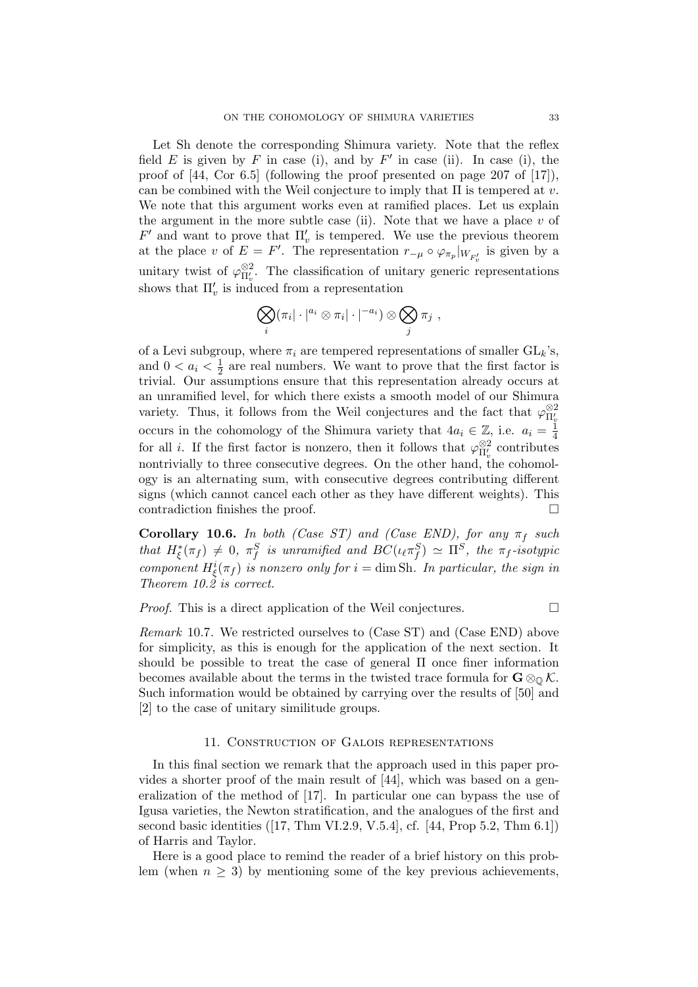Let Sh denote the corresponding Shimura variety. Note that the reflex field E is given by F in case (i), and by F' in case (ii). In case (i), the proof of [44, Cor 6.5] (following the proof presented on page 207 of [17]), can be combined with the Weil conjecture to imply that  $\Pi$  is tempered at v. We note that this argument works even at ramified places. Let us explain the argument in the more subtle case (ii). Note that we have a place  $v$  of  $F'$  and want to prove that  $\Pi'_v$  is tempered. We use the previous theorem at the place v of  $E = F'$ . The representation  $r_{-\mu} \circ \varphi_{\pi_p}|_{W_{F'_v}}$  is given by a unitary twist of  $\varphi_{\Pi_v'}^{\otimes 2}$ . The classification of unitary generic representations shows that  $\Pi'_{v}$  is induced from a representation

$$
\bigotimes_i (\pi_i | \cdot |^{a_i} \otimes \pi_i | \cdot |^{-a_i}) \otimes \bigotimes_j \pi_j ,
$$

of a Levi subgroup, where  $\pi_i$  are tempered representations of smaller  $GL_k$ 's, and  $0 < a_i < \frac{1}{2}$  $\frac{1}{2}$  are real numbers. We want to prove that the first factor is trivial. Our assumptions ensure that this representation already occurs at an unramified level, for which there exists a smooth model of our Shimura variety. Thus, it follows from the Weil conjectures and the fact that  $\varphi_{\Pi_v'}^{\otimes 2}$ occurs in the cohomology of the Shimura variety that  $4a_i \in \mathbb{Z}$ , i.e.  $a_i = \frac{1}{4}$ 4 for all *i*. If the first factor is nonzero, then it follows that  $\varphi_{\Pi_v'}^{\otimes 2}$  contributes nontrivially to three consecutive degrees. On the other hand, the cohomology is an alternating sum, with consecutive degrees contributing different signs (which cannot cancel each other as they have different weights). This contradiction finishes the proof.

**Corollary 10.6.** In both (Case ST) and (Case END), for any  $\pi_f$  such that  $H_{\xi}^*(\pi_f) \neq 0$ ,  $\pi_f^S$  is unramified and  $BC(\iota_{\ell} \pi_f^S) \simeq \Pi^S$ , the  $\pi_f$ -isotypic component  $H_{\xi}^{i}(\pi_{f})$  is nonzero only for  $i = \dim Sh$ . In particular, the sign in Theorem 10.2 is correct.

*Proof.* This is a direct application of the Weil conjectures.  $\Box$ 

Remark 10.7. We restricted ourselves to (Case ST) and (Case END) above for simplicity, as this is enough for the application of the next section. It should be possible to treat the case of general Π once finer information becomes available about the terms in the twisted trace formula for  $\mathbf{G} \otimes_{\mathbb{O}} \mathcal{K}$ . Such information would be obtained by carrying over the results of [50] and [2] to the case of unitary similitude groups.

#### 11. Construction of Galois representations

In this final section we remark that the approach used in this paper provides a shorter proof of the main result of [44], which was based on a generalization of the method of [17]. In particular one can bypass the use of Igusa varieties, the Newton stratification, and the analogues of the first and second basic identities ([17, Thm VI.2.9, V.5.4], cf. [44, Prop 5.2, Thm 6.1]) of Harris and Taylor.

Here is a good place to remind the reader of a brief history on this problem (when  $n \geq 3$ ) by mentioning some of the key previous achievements,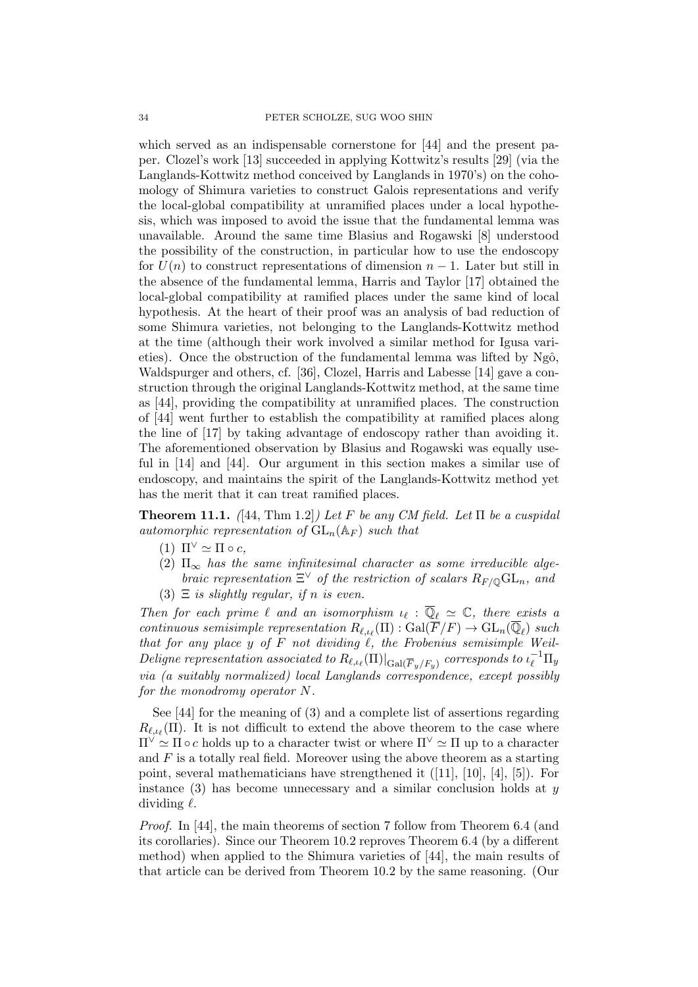which served as an indispensable cornerstone for [44] and the present paper. Clozel's work [13] succeeded in applying Kottwitz's results [29] (via the Langlands-Kottwitz method conceived by Langlands in 1970's) on the cohomology of Shimura varieties to construct Galois representations and verify the local-global compatibility at unramified places under a local hypothesis, which was imposed to avoid the issue that the fundamental lemma was unavailable. Around the same time Blasius and Rogawski [8] understood the possibility of the construction, in particular how to use the endoscopy for  $U(n)$  to construct representations of dimension  $n-1$ . Later but still in the absence of the fundamental lemma, Harris and Taylor [17] obtained the local-global compatibility at ramified places under the same kind of local hypothesis. At the heart of their proof was an analysis of bad reduction of some Shimura varieties, not belonging to the Langlands-Kottwitz method at the time (although their work involved a similar method for Igusa varieties). Once the obstruction of the fundamental lemma was lifted by  $Ng\hat{o}$ , Waldspurger and others, cf. [36], Clozel, Harris and Labesse [14] gave a construction through the original Langlands-Kottwitz method, at the same time as [44], providing the compatibility at unramified places. The construction of [44] went further to establish the compatibility at ramified places along the line of [17] by taking advantage of endoscopy rather than avoiding it. The aforementioned observation by Blasius and Rogawski was equally useful in [14] and [44]. Our argument in this section makes a similar use of endoscopy, and maintains the spirit of the Langlands-Kottwitz method yet has the merit that it can treat ramified places.

**Theorem 11.1.** ([44, Thm 1.2]) Let F be any CM field. Let  $\Pi$  be a cuspidal automorphic representation of  $GL_n(\mathbb{A}_F)$  such that

- (1)  $\Pi^{\vee} \simeq \Pi \circ c$ ,
- (2)  $\Pi_{\infty}$  has the same infinitesimal character as some irreducible algebraic representation  $\Xi^{\vee}$  of the restriction of scalars  $R_{F/\mathbb{Q}}\mathrm{GL}_n$ , and
- (3)  $\Xi$  is slightly regular, if n is even.

Then for each prime  $\ell$  and an isomorphism  $\iota_{\ell} : \overline{\mathbb{Q}}_{\ell} \simeq \mathbb{C}$ , there exists a continuous semisimple representation  $R_{\ell,\iota_{\ell}}(\Pi) : \text{Gal}(\overline{F}/F) \to \text{GL}_n(\overline{\mathbb{Q}}_{\ell})$  such that for any place y of  $F$  not dividing  $\ell$ , the Frobenius semisimple Weil- $\emph{Delique representation associated to } R_{\ell,\iota_{\ell}}(\Pi)|_{{\rm Gal}(\overline{F}_y/F_y)}$  corresponds to  $\iota_{\ell}^{-1}\Pi_y$ via (a suitably normalized) local Langlands correspondence, except possibly for the monodromy operator N.

See [44] for the meaning of (3) and a complete list of assertions regarding  $R_{\ell,\iota_{\ell}}(\Pi)$ . It is not difficult to extend the above theorem to the case where  $\Pi^{\vee} \simeq \Pi \circ c$  holds up to a character twist or where  $\Pi^{\vee} \simeq \Pi$  up to a character and  $F$  is a totally real field. Moreover using the above theorem as a starting point, several mathematicians have strengthened it  $([11], [10], [4], [5]$ ). For instance  $(3)$  has become unnecessary and a similar conclusion holds at y dividing  $\ell$ .

Proof. In [44], the main theorems of section 7 follow from Theorem 6.4 (and its corollaries). Since our Theorem 10.2 reproves Theorem 6.4 (by a different method) when applied to the Shimura varieties of [44], the main results of that article can be derived from Theorem 10.2 by the same reasoning. (Our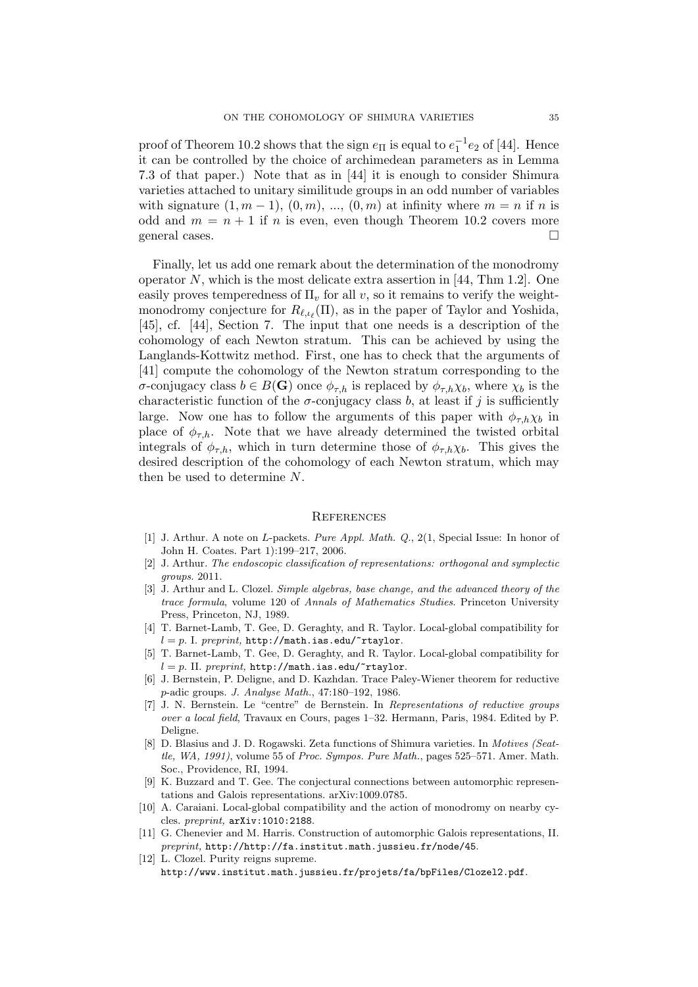proof of Theorem 10.2 shows that the sign  $e_{\Pi}$  is equal to  $e_1^{-1}e_2$  of [44]. Hence it can be controlled by the choice of archimedean parameters as in Lemma 7.3 of that paper.) Note that as in [44] it is enough to consider Shimura varieties attached to unitary similitude groups in an odd number of variables with signature  $(1, m - 1)$ ,  $(0, m)$ , ...,  $(0, m)$  at infinity where  $m = n$  if n is odd and  $m = n + 1$  if n is even, even though Theorem 10.2 covers more general cases.

Finally, let us add one remark about the determination of the monodromy operator N, which is the most delicate extra assertion in [44, Thm 1.2]. One easily proves temperedness of  $\Pi_v$  for all v, so it remains to verify the weightmonodromy conjecture for  $R_{\ell,\iota_{\ell}}(\Pi)$ , as in the paper of Taylor and Yoshida, [45], cf. [44], Section 7. The input that one needs is a description of the cohomology of each Newton stratum. This can be achieved by using the Langlands-Kottwitz method. First, one has to check that the arguments of [41] compute the cohomology of the Newton stratum corresponding to the σ-conjugacy class  $b \in B(G)$  once  $\phi_{\tau,h}$  is replaced by  $\phi_{\tau,h}\chi_b$ , where  $\chi_b$  is the characteristic function of the  $\sigma$ -conjugacy class b, at least if j is sufficiently large. Now one has to follow the arguments of this paper with  $\phi_{\tau,h}\chi_b$  in place of  $\phi_{\tau,h}$ . Note that we have already determined the twisted orbital integrals of  $\phi_{\tau,h}$ , which in turn determine those of  $\phi_{\tau,h}\chi_b$ . This gives the desired description of the cohomology of each Newton stratum, which may then be used to determine N.

#### **REFERENCES**

- [1] J. Arthur. A note on L-packets. Pure Appl. Math. Q., 2(1, Special Issue: In honor of John H. Coates. Part 1):199–217, 2006.
- [2] J. Arthur. The endoscopic classification of representations: orthogonal and symplectic groups. 2011.
- [3] J. Arthur and L. Clozel. Simple algebras, base change, and the advanced theory of the trace formula, volume 120 of Annals of Mathematics Studies. Princeton University Press, Princeton, NJ, 1989.
- [4] T. Barnet-Lamb, T. Gee, D. Geraghty, and R. Taylor. Local-global compatibility for  $l = p$ . I. preprint, http://math.ias.edu/~rtaylor.
- [5] T. Barnet-Lamb, T. Gee, D. Geraghty, and R. Taylor. Local-global compatibility for  $l = p$ . II. preprint, http://math.ias.edu/~rtaylor.
- [6] J. Bernstein, P. Deligne, and D. Kazhdan. Trace Paley-Wiener theorem for reductive p-adic groups. J. Analyse Math., 47:180–192, 1986.
- [7] J. N. Bernstein. Le "centre" de Bernstein. In Representations of reductive groups over a local field, Travaux en Cours, pages 1–32. Hermann, Paris, 1984. Edited by P. Deligne.
- [8] D. Blasius and J. D. Rogawski. Zeta functions of Shimura varieties. In Motives (Seattle, WA, 1991), volume 55 of Proc. Sympos. Pure Math., pages 525–571. Amer. Math. Soc., Providence, RI, 1994.
- [9] K. Buzzard and T. Gee. The conjectural connections between automorphic representations and Galois representations. arXiv:1009.0785.
- [10] A. Caraiani. Local-global compatibility and the action of monodromy on nearby cycles. preprint, arXiv:1010:2188.
- [11] G. Chenevier and M. Harris. Construction of automorphic Galois representations, II. preprint, http://http://fa.institut.math.jussieu.fr/node/45.
- [12] L. Clozel. Purity reigns supreme. http://www.institut.math.jussieu.fr/projets/fa/bpFiles/Clozel2.pdf.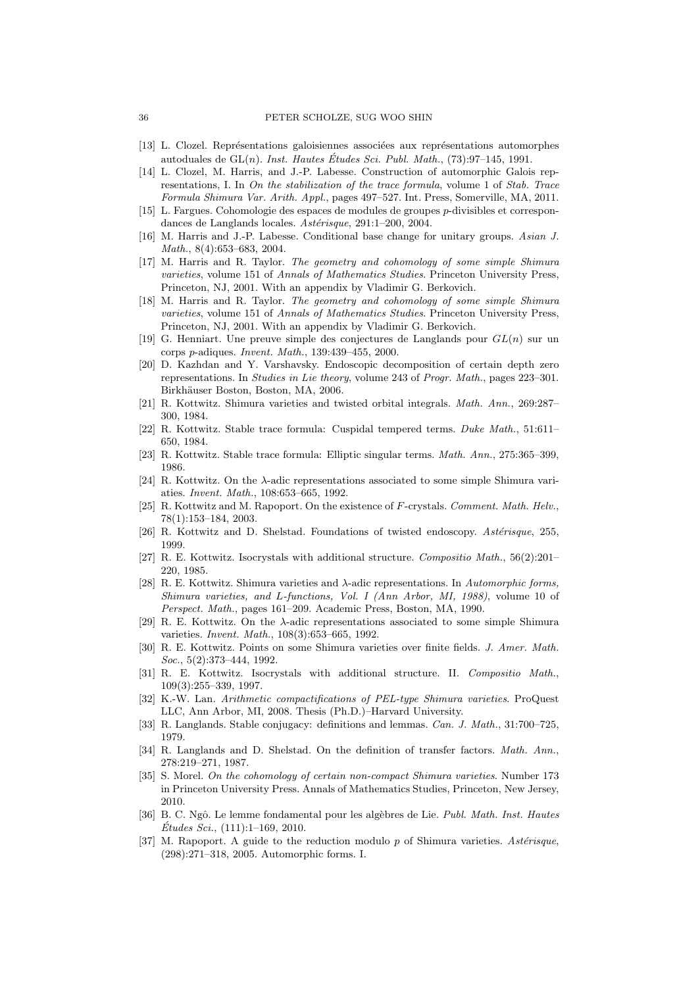- [13] L. Clozel. Représentations galoisiennes associées aux représentations automorphes autoduales de  $GL(n)$ . *Inst. Hautes Études Sci. Publ. Math.*,  $(73):97-145, 1991$ .
- [14] L. Clozel, M. Harris, and J.-P. Labesse. Construction of automorphic Galois representations, I. In On the stabilization of the trace formula, volume 1 of Stab. Trace Formula Shimura Var. Arith. Appl., pages 497–527. Int. Press, Somerville, MA, 2011.
- [15] L. Fargues. Cohomologie des espaces de modules de groupes p-divisibles et correspondances de Langlands locales. Astérisque, 291:1-200, 2004.
- [16] M. Harris and J.-P. Labesse. Conditional base change for unitary groups. Asian J. Math., 8(4):653–683, 2004.
- [17] M. Harris and R. Taylor. The geometry and cohomology of some simple Shimura varieties, volume 151 of Annals of Mathematics Studies. Princeton University Press, Princeton, NJ, 2001. With an appendix by Vladimir G. Berkovich.
- [18] M. Harris and R. Taylor. The geometry and cohomology of some simple Shimura varieties, volume 151 of Annals of Mathematics Studies. Princeton University Press, Princeton, NJ, 2001. With an appendix by Vladimir G. Berkovich.
- [19] G. Henniart. Une preuve simple des conjectures de Langlands pour  $GL(n)$  sur un corps p-adiques. Invent. Math., 139:439–455, 2000.
- [20] D. Kazhdan and Y. Varshavsky. Endoscopic decomposition of certain depth zero representations. In Studies in Lie theory, volume 243 of Progr. Math., pages 223–301. Birkhäuser Boston, Boston, MA, 2006.
- [21] R. Kottwitz. Shimura varieties and twisted orbital integrals. Math. Ann., 269:287– 300, 1984.
- [22] R. Kottwitz. Stable trace formula: Cuspidal tempered terms. Duke Math., 51:611– 650, 1984.
- [23] R. Kottwitz. Stable trace formula: Elliptic singular terms. Math. Ann., 275:365–399, 1986.
- [24] R. Kottwitz. On the λ-adic representations associated to some simple Shimura variaties. Invent. Math., 108:653–665, 1992.
- [25] R. Kottwitz and M. Rapoport. On the existence of F-crystals. Comment. Math. Helv., 78(1):153–184, 2003.
- [26] R. Kottwitz and D. Shelstad. Foundations of twisted endoscopy. Astérisque, 255, 1999.
- [27] R. E. Kottwitz. Isocrystals with additional structure. Compositio Math., 56(2):201– 220, 1985.
- [28] R. E. Kottwitz. Shimura varieties and  $\lambda$ -adic representations. In Automorphic forms, Shimura varieties, and L-functions, Vol. I (Ann Arbor, MI, 1988), volume 10 of Perspect. Math., pages 161–209. Academic Press, Boston, MA, 1990.
- [29] R. E. Kottwitz. On the  $\lambda$ -adic representations associated to some simple Shimura varieties. Invent. Math., 108(3):653–665, 1992.
- [30] R. E. Kottwitz. Points on some Shimura varieties over finite fields. J. Amer. Math. Soc., 5(2):373-444, 1992.
- [31] R. E. Kottwitz. Isocrystals with additional structure. II. Compositio Math., 109(3):255–339, 1997.
- [32] K.-W. Lan. Arithmetic compactifications of PEL-type Shimura varieties. ProQuest LLC, Ann Arbor, MI, 2008. Thesis (Ph.D.)–Harvard University.
- [33] R. Langlands. Stable conjugacy: definitions and lemmas. Can. J. Math., 31:700–725. 1979.
- [34] R. Langlands and D. Shelstad. On the definition of transfer factors. Math. Ann., 278:219–271, 1987.
- [35] S. Morel. On the cohomology of certain non-compact Shimura varieties. Number 173 in Princeton University Press. Annals of Mathematics Studies, Princeton, New Jersey, 2010.
- [36] B. C. Ngô. Le lemme fondamental pour les algèbres de Lie. Publ. Math. Inst. Hautes  $Études\, Sci., (111):1–169, 2010.$
- [37] M. Rapoport. A guide to the reduction modulo p of Shimura varieties. Asterisque, (298):271–318, 2005. Automorphic forms. I.